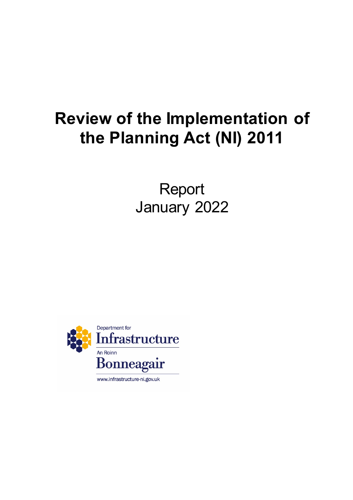# **Review of the Implementation of the Planning Act (NI) 2011**

Report January 2022

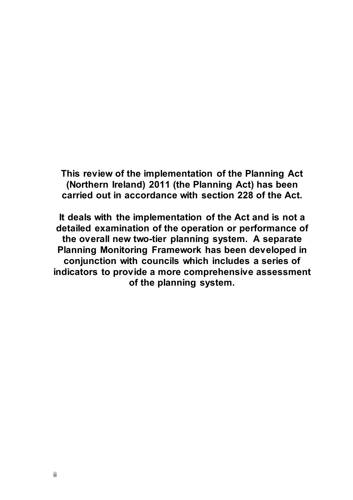**This review of the implementation of the Planning Act (Northern Ireland) 2011 (the Planning Act) has been carried out in accordance with section 228 of the Act.**

**It deals with the implementation of the Act and is not a detailed examination of the operation or performance of the overall new two-tier planning system. A separate Planning Monitoring Framework has been developed in conjunction with councils which includes a series of indicators to provide a more comprehensive assessment of the planning system.**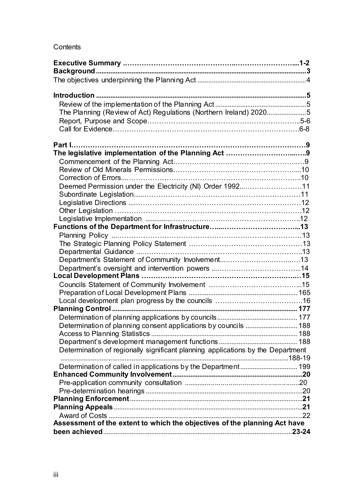## **Contents**

| The Planning (Review of Act) Regulations (Northern Ireland) 20205               |  |
|---------------------------------------------------------------------------------|--|
|                                                                                 |  |
|                                                                                 |  |
|                                                                                 |  |
|                                                                                 |  |
|                                                                                 |  |
|                                                                                 |  |
|                                                                                 |  |
|                                                                                 |  |
| Deemed Permission under the Electricity (NI) Order 199211                       |  |
|                                                                                 |  |
|                                                                                 |  |
|                                                                                 |  |
|                                                                                 |  |
|                                                                                 |  |
|                                                                                 |  |
|                                                                                 |  |
|                                                                                 |  |
|                                                                                 |  |
|                                                                                 |  |
|                                                                                 |  |
|                                                                                 |  |
|                                                                                 |  |
|                                                                                 |  |
|                                                                                 |  |
|                                                                                 |  |
| Determination of planning consent applications by councils  188                 |  |
|                                                                                 |  |
|                                                                                 |  |
| Determination of regionally significant planning applications by the Department |  |
|                                                                                 |  |
| Determination of called in applications by the Department 199                   |  |
|                                                                                 |  |
|                                                                                 |  |
|                                                                                 |  |
|                                                                                 |  |
|                                                                                 |  |
|                                                                                 |  |
| Assessment of the extent to which the objectives of the planning Act have       |  |
|                                                                                 |  |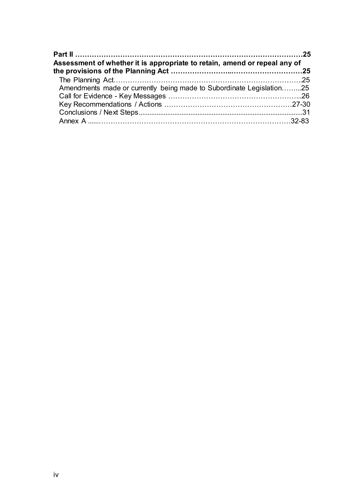<span id="page-3-0"></span>

| Assessment of whether it is appropriate to retain, amend or repeal any of |  |
|---------------------------------------------------------------------------|--|
|                                                                           |  |
|                                                                           |  |
| Amendments made or currently being made to Subordinate Legislation25      |  |
|                                                                           |  |
|                                                                           |  |
|                                                                           |  |
|                                                                           |  |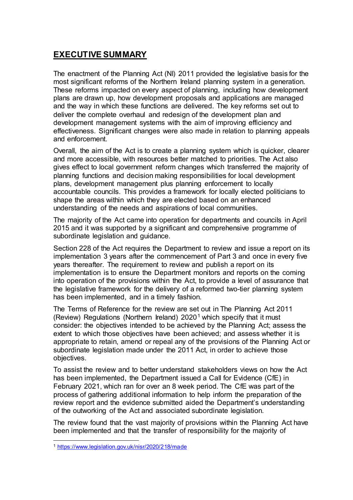# **EXECUTIVE SUMMARY**

The enactment of the Planning Act (NI) 2011 provided the legislative basis for the most significant reforms of the Northern Ireland planning system in a generation. These reforms impacted on every aspect of planning, including how development plans are drawn up, how development proposals and applications are managed and the way in which these functions are delivered. The key reforms set out to deliver the complete overhaul and redesign of the development plan and development management systems with the aim of improving efficiency and effectiveness. Significant changes were also made in relation to planning appeals and enforcement.

Overall, the aim of the Act is to create a planning system which is quicker, clearer and more accessible, with resources better matched to priorities. The Act also gives effect to local government reform changes which transferred the majority of planning functions and decision making responsibilities for local development plans, development management plus planning enforcement to locally accountable councils. This provides a framework for locally elected politicians to shape the areas within which they are elected based on an enhanced understanding of the needs and aspirations of local communities.

The majority of the Act came into operation for departments and councils in April 2015 and it was supported by a significant and comprehensive programme of subordinate legislation and guidance.

Section 228 of the Act requires the Department to review and issue a report on its implementation 3 years after the commencement of Part 3 and once in every five years thereafter. The requirement to review and publish a report on its implementation is to ensure the Department monitors and reports on the coming into operation of the provisions within the Act, to provide a level of assurance that the legislative framework for the delivery of a reformed two-tier planning system has been implemented, and in a timely fashion.

The Terms of Reference for the review are set out in The Planning Act 2011 (Review) Regulations (Northern Ireland) 2020<sup>[1](#page-4-0)</sup> which specify that it must consider: the objectives intended to be achieved by the Planning Act; assess the extent to which those objectives have been achieved; and assess whether it is appropriate to retain, amend or repeal any of the provisions of the Planning Act or subordinate legislation made under the 2011 Act, in order to achieve those objectives.

To assist the review and to better understand stakeholders views on how the Act has been implemented, the Department issued a Call for Evidence (CfE) in February 2021, which ran for over an 8 week period. The CfE was part of the process of gathering additional information to help inform the preparation of the review report and the evidence submitted aided the Department's understanding of the outworking of the Act and associated subordinate legislation.

The review found that the vast majority of provisions within the Planning Act have been implemented and that the transfer of responsibility for the majority of

<span id="page-4-0"></span><sup>-</sup><sup>1</sup> <https://www.legislation.gov.uk/nisr/2020/218/made>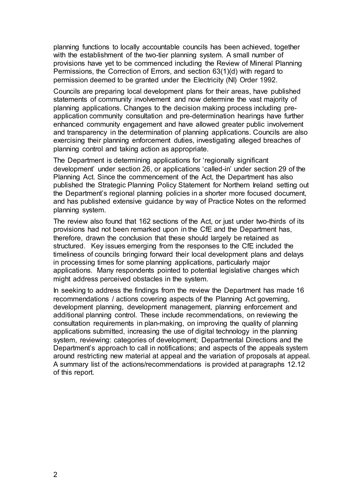planning functions to locally accountable councils has been achieved, together with the establishment of the two-tier planning system. A small number of provisions have yet to be commenced including the Review of Mineral Planning Permissions, the Correction of Errors, and section 63(1)(d) with regard to permission deemed to be granted under the Electricity (NI) Order 1992.

Councils are preparing local development plans for their areas, have published statements of community involvement and now determine the vast majority of planning applications. Changes to the decision making process including preapplication community consultation and pre-determination hearings have further enhanced community engagement and have allowed greater public involvement and transparency in the determination of planning applications. Councils are also exercising their planning enforcement duties, investigating alleged breaches of planning control and taking action as appropriate.

The Department is determining applications for 'regionally significant development' under section 26, or applications 'called-in' under section 29 of the Planning Act. Since the commencement of the Act, the Department has also published the Strategic Planning Policy Statement for Northern Ireland setting out the Department's regional planning policies in a shorter more focused document, and has published extensive guidance by way of Practice Notes on the reformed planning system.

The review also found that 162 sections of the Act, or just under two-thirds of its provisions had not been remarked upon in the CfE and the Department has, therefore, drawn the conclusion that these should largely be retained as structured. Key issues emerging from the responses to the CfE included the timeliness of councils bringing forward their local development plans and delays in processing times for some planning applications, particularly major applications. Many respondents pointed to potential legislative changes which might address perceived obstacles in the system.

In seeking to address the findings from the review the Department has made 16 recommendations / actions covering aspects of the Planning Act governing, development planning, development management, planning enforcement and additional planning control. These include recommendations, on reviewing the consultation requirements in plan-making, on improving the quality of planning applications submitted, increasing the use of digital technology in the planning system, reviewing: categories of development; Departmental Directions and the Department's approach to call in notifications; and aspects of the appeals system around restricting new material at appeal and the variation of proposals at appeal. A summary list of the actions/recommendations is provided at paragraphs 12.12 of this report.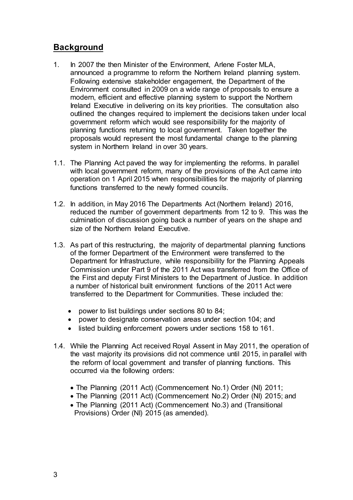# **Background**

- 1. In 2007 the then Minister of the Environment, Arlene Foster MLA, announced a programme to reform the Northern Ireland planning system. Following extensive stakeholder engagement, the Department of the Environment consulted in 2009 on a wide range of proposals to ensure a modern, efficient and effective planning system to support the Northern Ireland Executive in delivering on its key priorities. The consultation also outlined the changes required to implement the decisions taken under local government reform which would see responsibility for the majority of planning functions returning to local government. Taken together the proposals would represent the most fundamental change to the planning system in Northern Ireland in over 30 years.
- 1.1. The Planning Act paved the way for implementing the reforms. In parallel with local government reform, many of the provisions of the Act came into operation on 1 April 2015 when responsibilities for the majority of planning functions transferred to the newly formed councils.
- 1.2. In addition, in May 2016 The Departments Act (Northern Ireland) 2016, reduced the number of government departments from 12 to 9. This was the culmination of discussion going back a number of years on the shape and size of the Northern Ireland Executive.
- 1.3. As part of this restructuring, the majority of departmental planning functions of the former Department of the Environment were transferred to the Department for Infrastructure, while responsibility for the Planning Appeals Commission under Part 9 of the 2011 Act was transferred from the Office of the First and deputy First Ministers to the Department of Justice. In addition a number of historical built environment functions of the 2011 Act were transferred to the Department for Communities. These included the:
	- power to list buildings under sections 80 to 84;
	- power to designate conservation areas under section 104; and
	- listed building enforcement powers under sections 158 to 161.
- 1.4. While the Planning Act received Royal Assent in May 2011, the operation of the vast majority its provisions did not commence until 2015, in parallel with the reform of local government and transfer of planning functions. This occurred via the following orders:
	- The Planning (2011 Act) (Commencement No.1) Order (NI) 2011;
	- The Planning (2011 Act) (Commencement No.2) Order (NI) 2015; and
	- The Planning (2011 Act) (Commencement No.3) and (Transitional Provisions) Order (NI) 2015 (as amended).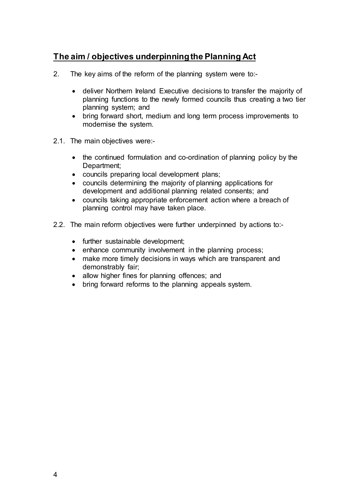# <span id="page-7-0"></span>**The aim / objectives underpinning the Planning Act**

- 2. The key aims of the reform of the planning system were to:-
	- deliver Northern Ireland Executive decisions to transfer the majority of planning functions to the newly formed councils thus creating a two tier planning system; and
	- bring forward short, medium and long term process improvements to modernise the system.
- 2.1. The main objectives were:-
	- the continued formulation and co-ordination of planning policy by the Department;
	- councils preparing local development plans;
	- councils determining the majority of planning applications for development and additional planning related consents; and
	- councils taking appropriate enforcement action where a breach of planning control may have taken place.
- <span id="page-7-1"></span>2.2. The main reform objectives were further underpinned by actions to:-
	- further sustainable development;
	- enhance community involvement in the planning process;
	- make more timely decisions in ways which are transparent and demonstrably fair;
	- allow higher fines for planning offences; and
	- bring forward reforms to the planning appeals system.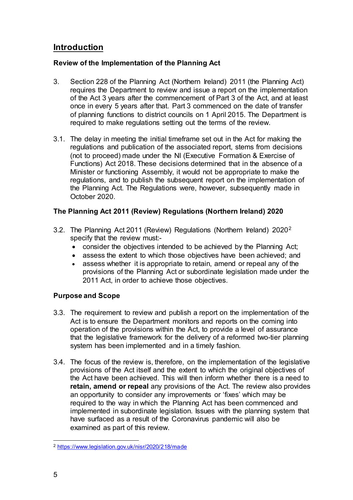# **Introduction**

## **Review of the Implementation of the Planning Act**

- 3. Section 228 of the Planning Act (Northern Ireland) 2011 (the Planning Act) requires the Department to review and issue a report on the implementation of the Act 3 years after the commencement of Part 3 of the Act, and at least once in every 5 years after that. Part 3 commenced on the date of transfer of planning functions to district councils on 1 April 2015. The Department is required to make regulations setting out the terms of the review.
- 3.1. The delay in meeting the initial timeframe set out in the Act for making the regulations and publication of the associated report, stems from decisions (not to proceed) made under the NI (Executive Formation & Exercise of Functions) Act 2018. These decisions determined that in the absence of a Minister or functioning Assembly, it would not be appropriate to make the regulations, and to publish the subsequent report on the implementation of the Planning Act. The Regulations were, however, subsequently made in October 2020.

## <span id="page-8-0"></span>**The Planning Act 2011 (Review) Regulations (Northern Ireland) 2020**

- 3.2. The Planning Act 2011 (Review) Regulations (Northern Ireland) 2020[2](#page-8-1) specify that the review must:-
	- consider the objectives intended to be achieved by the Planning Act;
	- assess the extent to which those objectives have been achieved; and
	- assess whether it is appropriate to retain, amend or repeal any of the provisions of the Planning Act or subordinate legislation made under the 2011 Act, in order to achieve those objectives.

## **Purpose and Scope**

- 3.3. The requirement to review and publish a report on the implementation of the Act is to ensure the Department monitors and reports on the coming into operation of the provisions within the Act, to provide a level of assurance that the legislative framework for the delivery of a reformed two-tier planning system has been implemented and in a timely fashion.
- 3.4. The focus of the review is, therefore, on the implementation of the legislative provisions of the Act itself and the extent to which the original objectives of the Act have been achieved. This will then inform whether there is a need to **retain, amend or repeal** any provisions of the Act. The review also provides an opportunity to consider any improvements or 'fixes' which may be required to the way in which the Planning Act has been commenced and implemented in subordinate legislation. Issues with the planning system that have surfaced as a result of the Coronavirus pandemic will also be examined as part of this review.

<span id="page-8-1"></span><sup>-</sup><sup>2</sup> <https://www.legislation.gov.uk/nisr/2020/218/made>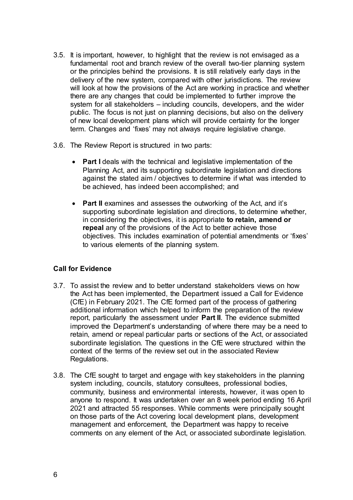- 3.5. It is important, however, to highlight that the review is not envisaged as a fundamental root and branch review of the overall two-tier planning system or the principles behind the provisions. It is still relatively early days in the delivery of the new system, compared with other jurisdictions. The review will look at how the provisions of the Act are working in practice and whether there are any changes that could be implemented to further improve the system for all stakeholders – including councils, developers, and the wider public. The focus is not just on planning decisions, but also on the delivery of new local development plans which will provide certainty for the longer term. Changes and 'fixes' may not always require legislative change.
- 3.6. The Review Report is structured in two parts:
	- **Part I** deals with the technical and legislative implementation of the Planning Act, and its supporting subordinate legislation and directions against the stated aim / objectives to determine if what was intended to be achieved, has indeed been accomplished; and
	- **Part II** examines and assesses the outworking of the Act, and it's supporting subordinate legislation and directions, to determine whether, in considering the objectives, it is appropriate **to retain, amend or repeal** any of the provisions of the Act to better achieve those objectives. This includes examination of potential amendments or 'fixes' to various elements of the planning system.

## **Call for Evidence**

- 3.7. To assist the review and to better understand stakeholders views on how the Act has been implemented, the Department issued a Call for Evidence (CfE) in February 2021. The CfE formed part of the process of gathering additional information which helped to inform the preparation of the review report, particularly the assessment under **Part II**. The evidence submitted improved the Department's understanding of where there may be a need to retain, amend or repeal particular parts or sections of the Act, or associated subordinate legislation. The questions in the CfE were structured within the context of the terms of the review set out in the associated Review Regulations.
- 3.8. The CfE sought to target and engage with key stakeholders in the planning system including, councils, statutory consultees, professional bodies, community, business and environmental interests, however, it was open to anyone to respond. It was undertaken over an 8 week period ending 16 April 2021 and attracted 55 responses. While comments were principally sought on those parts of the Act covering local development plans, development management and enforcement, the Department was happy to receive comments on any element of the Act, or associated subordinate legislation.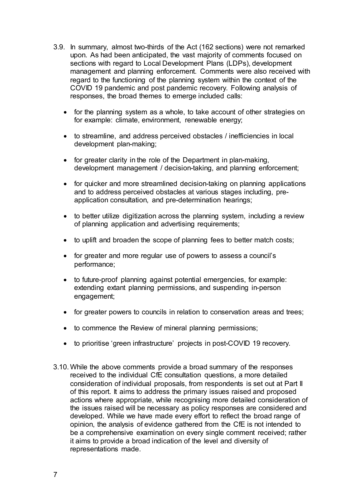- 3.9. In summary, almost two-thirds of the Act (162 sections) were not remarked upon. As had been anticipated, the vast majority of comments focused on sections with regard to Local Development Plans (LDPs), development management and planning enforcement. Comments were also received with regard to the functioning of the planning system within the context of the COVID 19 pandemic and post pandemic recovery. Following analysis of responses, the broad themes to emerge included calls:
	- for the planning system as a whole, to take account of other strategies on for example: climate, environment, renewable energy;
	- to streamline, and address perceived obstacles / inefficiencies in local development plan-making;
	- for greater clarity in the role of the Department in plan-making, development management / decision-taking, and planning enforcement;
	- for quicker and more streamlined decision-taking on planning applications and to address perceived obstacles at various stages including, preapplication consultation, and pre-determination hearings;
	- to better utilize digitization across the planning system, including a review of planning application and advertising requirements;
	- to uplift and broaden the scope of planning fees to better match costs;
	- for greater and more regular use of powers to assess a council's performance;
	- to future-proof planning against potential emergencies, for example: extending extant planning permissions, and suspending in-person engagement;
	- for greater powers to councils in relation to conservation areas and trees;
	- to commence the Review of mineral planning permissions;
	- to prioritise 'green infrastructure' projects in post-COVID 19 recovery.
- 3.10. While the above comments provide a broad summary of the responses received to the individual CfE consultation questions, a more detailed consideration of individual proposals, from respondents is set out at Part II of this report. It aims to address the primary issues raised and proposed actions where appropriate, while recognising more detailed consideration of the issues raised will be necessary as policy responses are considered and developed. While we have made every effort to reflect the broad range of opinion, the analysis of evidence gathered from the CfE is not intended to be a comprehensive examination on every single comment received; rather it aims to provide a broad indication of the level and diversity of representations made.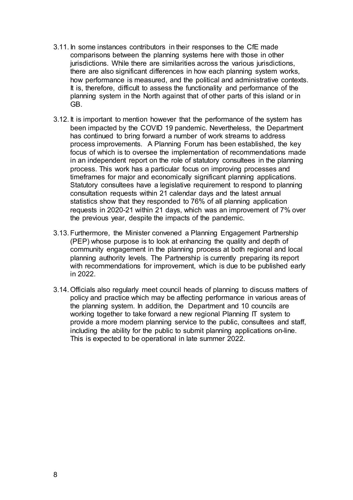- 3.11. In some instances contributors in their responses to the CfE made comparisons between the planning systems here with those in other jurisdictions. While there are similarities across the various jurisdictions, there are also significant differences in how each planning system works, how performance is measured, and the political and administrative contexts. It is, therefore, difficult to assess the functionality and performance of the planning system in the North against that of other parts of this island or in GB.
- 3.12. It is important to mention however that the performance of the system has been impacted by the COVID 19 pandemic. Nevertheless, the Department has continued to bring forward a number of work streams to address process improvements. A Planning Forum has been established, the key focus of which is to oversee the implementation of recommendations made in an independent report on the role of statutory consultees in the planning process. This work has a particular focus on improving processes and timeframes for major and economically significant planning applications. Statutory consultees have a legislative requirement to respond to planning consultation requests within 21 calendar days and the latest annual statistics show that they responded to 76% of all planning application requests in 2020-21 within 21 days, which was an improvement of 7% over the previous year, despite the impacts of the pandemic.
- 3.13. Furthermore, the Minister convened a Planning Engagement Partnership (PEP) whose purpose is to look at enhancing the quality and depth of community engagement in the planning process at both regional and local planning authority levels. The Partnership is currently preparing its report with recommendations for improvement, which is due to be published early in 2022.
- 3.14. Officials also regularly meet council heads of planning to discuss matters of policy and practice which may be affecting performance in various areas of the planning system. In addition, the Department and 10 councils are working together to take forward a new regional Planning IT system to provide a more modern planning service to the public, consultees and staff, including the ability for the public to submit planning applications on-line. This is expected to be operational in late summer 2022.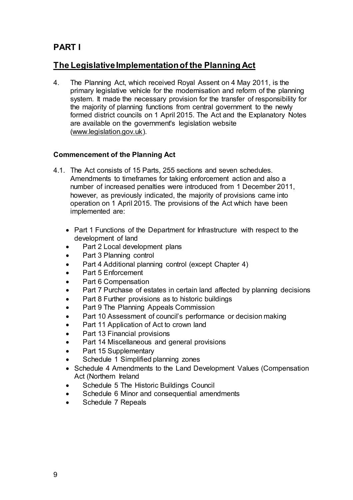# <span id="page-12-0"></span>**PART I**

# **The Legislative Implementation of the Planning Act**

4. The Planning Act, which received Royal Assent on 4 May 2011, is the primary legislative vehicle for the modernisation and reform of the planning system. It made the necessary provision for the transfer of responsibility for the majority of planning functions from central government to the newly formed district councils on 1 April 2015. The Act and the Explanatory Notes are available on the government's legislation website [\(www.legislation.gov.uk\).](http://www.legislation.gov.uk/)

## <span id="page-12-1"></span>**Commencement of the Planning Act**

- 4.1. The Act consists of 15 Parts, 255 sections and seven schedules. Amendments to timeframes for taking enforcement action and also a number of increased penalties were introduced from 1 December 2011, however, as previously indicated, the majority of provisions came into operation on 1 April 2015. The provisions of the Act which have been implemented are:
	- Part 1 Functions of the Department for Infrastructure with respect to the development of land
	- Part 2 Local development plans
	- Part 3 Planning control
	- Part 4 Additional planning control (except Chapter 4)
	- Part 5 Enforcement
	- Part 6 Compensation
	- Part 7 Purchase of estates in certain land affected by planning decisions
	- Part 8 Further provisions as to historic buildings
	- Part 9 The Planning Appeals Commission
	- Part 10 Assessment of council's performance or decision making
	- Part 11 Application of Act to crown land
	- Part 13 Financial provisions
	- Part 14 Miscellaneous and general provisions
	- Part 15 Supplementary
	- Schedule 1 Simplified planning zones
	- Schedule 4 Amendments to the Land Development Values (Compensation Act (Northern Ireland
	- Schedule 5 The Historic Buildings Council
	- Schedule 6 Minor and consequential amendments
	- Schedule 7 Repeals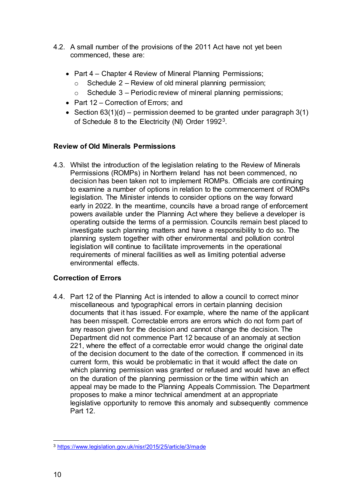- 4.2. A small number of the provisions of the 2011 Act have not yet been commenced, these are:
	- Part 4 Chapter 4 Review of Mineral Planning Permissions;
		- $\circ$  Schedule 2 Review of old mineral planning permission;
		- $\circ$  Schedule 3 Periodic review of mineral planning permissions;
	- Part 12 Correction of Errors; and
	- Section  $63(1)(d)$  permission deemed to be granted under paragraph  $3(1)$ of Schedule 8 to the Electricity (NI) Order 1992[3.](#page-13-2)

## <span id="page-13-0"></span>**Review of Old Minerals Permissions**

4.3. Whilst the introduction of the legislation relating to the Review of Minerals Permissions (ROMPs) in Northern Ireland has not been commenced, no decision has been taken not to implement ROMPs. Officials are continuing to examine a number of options in relation to the commencement of ROMPs legislation. The Minister intends to consider options on the way forward early in 2022. In the meantime, councils have a broad range of enforcement powers available under the Planning Act where they believe a developer is operating outside the terms of a permission. Councils remain best placed to investigate such planning matters and have a responsibility to do so. The planning system together with other environmental and pollution control legislation will continue to facilitate improvements in the operational requirements of mineral facilities as well as limiting potential adverse environmental effects.

## <span id="page-13-1"></span>**Correction of Errors**

4.4. Part 12 of the Planning Act is intended to allow a council to correct minor miscellaneous and typographical errors in certain planning decision documents that it has issued. For example, where the name of the applicant has been misspelt. Correctable errors are errors which do not form part of any reason given for the decision and cannot change the decision. The Department did not commence Part 12 because of an anomaly at section 221, where the effect of a correctable error would change the original date of the decision document to the date of the correction. If commenced in its current form, this would be problematic in that it would affect the date on which planning permission was granted or refused and would have an effect on the duration of the planning permission or the time within which an appeal may be made to the Planning Appeals Commission. The Department proposes to make a minor technical amendment at an appropriate legislative opportunity to remove this anomaly and subsequently commence Part 12.

<span id="page-13-2"></span><sup>-</sup><sup>3</sup> <https://www.legislation.gov.uk/nisr/2015/25/article/3/made>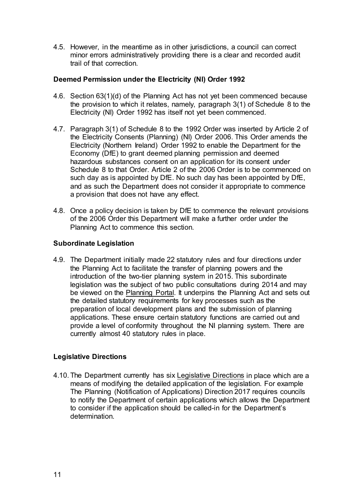4.5. However, in the meantime as in other jurisdictions, a council can correct minor errors administratively providing there is a clear and recorded audit trail of that correction.

#### **Deemed Permission under the Electricity (NI) Order 1992**

- 4.6. Section 63(1)(d) of the Planning Act has not yet been commenced because the provision to which it relates, namely, paragraph 3(1) of Schedule 8 to the Electricity (NI) Order 1992 has itself not yet been commenced.
- 4.7. Paragraph 3(1) of Schedule 8 to the 1992 Order was inserted by Article 2 of the Electricity Consents (Planning) (NI) Order 2006. This Order amends the Electricity (Northern Ireland) Order 1992 to enable the Department for the Economy (DfE) to grant deemed planning permission and deemed hazardous substances consent on an application for its consent under Schedule 8 to that Order. Article 2 of the 2006 Order is to be commenced on such day as is appointed by DfE. No such day has been appointed by DfE, and as such the Department does not consider it appropriate to commence a provision that does not have any effect.
- 4.8. Once a policy decision is taken by DfE to commence the relevant provisions of the 2006 Order this Department will make a further order under the Planning Act to commence this section.

#### <span id="page-14-0"></span>**Subordinate Legislation**

4.9. The Department initially made 22 statutory rules and four directions under the Planning Act to facilitate the transfer of planning powers and the introduction of the two-tier planning system in 2015. This subordinate legislation was the subject of two public consultations during 2014 and may be viewed on the [Planning Portal.](https://www.infrastructure-ni.gov.uk/articles/current-planning-legislation) It underpins the Planning Act and sets out the detailed statutory requirements for key processes such as the preparation of local development plans and the submission of planning applications. These ensure certain statutory functions are carried out and provide a level of conformity throughout the NI planning system. There are currently almost 40 statutory rules in place.

## <span id="page-14-1"></span>**Legislative Directions**

4.10. The Department currently has six [Legislative Directions](https://www.infrastructure-ni.gov.uk/publications/planning-legislative-directions) in place which are a means of modifying the detailed application of the legislation. For example The Planning (Notification of Applications) Direction 2017 requires councils to notify the Department of certain applications which allows the Department to consider if the application should be called-in for the Department's determination.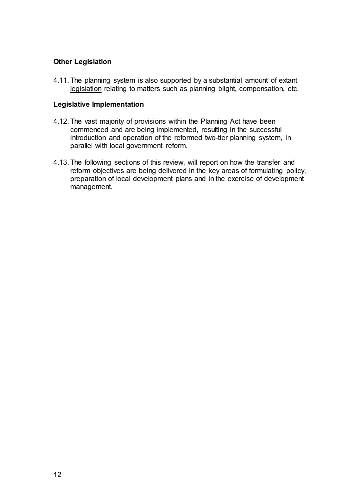### **Other Legislation**

4.11. The planning system is also supported by a substantial amount of extant [legislation](https://www.infrastructure-ni.gov.uk/articles/current-planning-legislation) relating to matters such as planning blight, compensation, etc.

#### **Legislative Implementation**

- 4.12. The vast majority of provisions within the Planning Act have been commenced and are being implemented, resulting in the successful introduction and operation of the reformed two-tier planning system, in parallel with local government reform.
- <span id="page-15-0"></span>4.13. The following sections of this review, will report on how the transfer and reform objectives are being delivered in the key areas of formulating policy, preparation of local development plans and in the exercise of development management.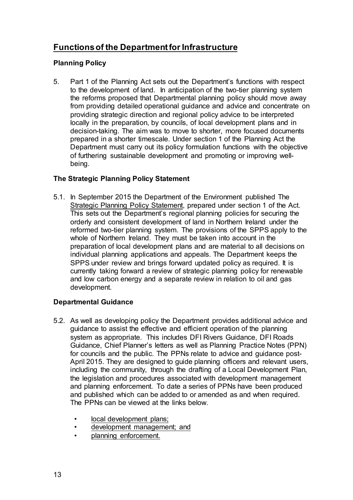# <span id="page-16-0"></span>**Functions of the Department for Infrastructure**

## <span id="page-16-1"></span>**Planning Policy**

5. Part 1 of the Planning Act sets out the Department's functions with respect to the development of land. In anticipation of the two-tier planning system the reforms proposed that Departmental planning policy should move away from providing detailed operational guidance and advice and concentrate on providing strategic direction and regional policy advice to be interpreted locally in the preparation, by councils, of local development plans and in decision-taking. The aim was to move to shorter, more focused documents prepared in a shorter timescale. Under section 1 of the Planning Act the Department must carry out its policy formulation functions with the objective of furthering sustainable development and promoting or improving wellbeing.

## <span id="page-16-2"></span>**The Strategic Planning Policy Statement**

5.1. In September 2015 the Department of the Environment published The [Strategic Planning Policy Statement,](http://www.planningni.gov.uk/index/policy/spps.htm) prepared under section 1 of the Act. This sets out the Department's regional planning policies for securing the orderly and consistent development of land in Northern Ireland under the reformed two-tier planning system. The provisions of the SPPS apply to the whole of Northern Ireland. They must be taken into account in the preparation of local development plans and are material to all decisions on individual planning applications and appeals. The Department keeps the SPPS under review and brings forward updated policy as required. It is currently taking forward a review of strategic planning policy for renewable and low carbon energy and a separate review in relation to oil and gas development.

## <span id="page-16-3"></span>**Departmental Guidance**

- 5.2. As well as developing policy the Department provides additional advice and guidance to assist the effective and efficient operation of the planning system as appropriate. This includes DFI Rivers Guidance, DFI Roads Guidance, Chief Planner's letters as well as Planning Practice Notes (PPN) for councils and the public. The PPNs relate to advice and guidance post-April 2015. They are designed to guide planning officers and relevant users, including the community, through the drafting of a Local Development Plan, the legislation and procedures associated with development management and planning enforcement. To date a series of PPNs have been produced and published which can be added to or amended as and when required. The PPNs can be viewed at the links below.
	- local development plans;
	- [development management; and](http://www.planningni.gov.uk/index/advice/practice-notes/common-newpage-10.htm)
	- [planning enforcement.](http://www.planningni.gov.uk/index/advice/practice-notes/enforcement-practice-notes.htm)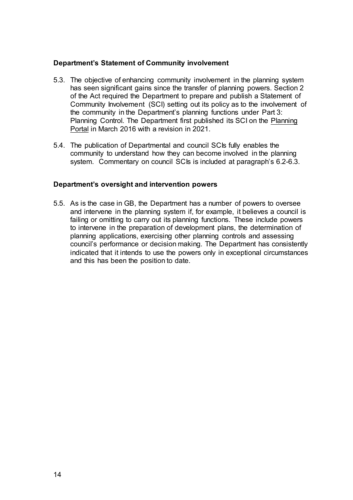#### **Department's Statement of Community involvement**

- 5.3. The objective of enhancing community involvement in the planning system has seen significant gains since the transfer of planning powers. Section 2 of the Act required the Department to prepare and publish a Statement of Community Involvement (SCI) setting out its policy as to the involvement of the community in the Department's planning functions under Part 3: Planning Control. The Department first published its SCI on the [Planning](https://www.infrastructure-ni.gov.uk/articles/departments-statement-community-involvement-sci)  [Portal](https://www.infrastructure-ni.gov.uk/articles/departments-statement-community-involvement-sci) in March 2016 with a revision in 2021.
- 5.4. The publication of Departmental and council SCIs fully enables the community to understand how they can become involved in the planning system. Commentary on council SCIs is included at paragraph's 6.2-6.3.

#### <span id="page-17-0"></span>**Department's oversight and intervention powers**

5.5. As is the case in GB, the Department has a number of powers to oversee and intervene in the planning system if, for example, it believes a council is failing or omitting to carry out its planning functions. These include powers to intervene in the preparation of development plans, the determination of planning applications, exercising other planning controls and assessing council's performance or decision making. The Department has consistently indicated that it intends to use the powers only in exceptional circumstances and this has been the position to date.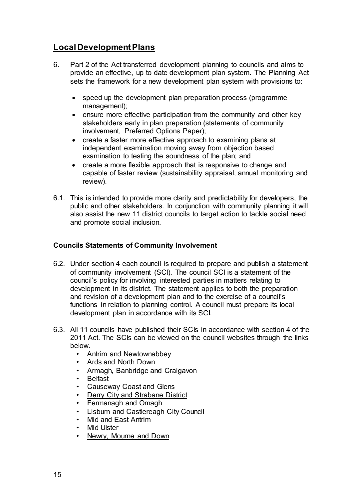# <span id="page-18-0"></span>**Local Development Plans**

- 6. Part 2 of the Act transferred development planning to councils and aims to provide an effective, up to date development plan system. The Planning Act sets the framework for a new development plan system with provisions to:
	- speed up the development plan preparation process (programme management);
	- ensure more effective participation from the community and other key stakeholders early in plan preparation (statements of community involvement, Preferred Options Paper);
	- create a faster more effective approach to examining plans at independent examination moving away from objection based examination to testing the soundness of the plan; and
	- create a more flexible approach that is responsive to change and capable of faster review (sustainability appraisal, annual monitoring and review).
- 6.1. This is intended to provide more clarity and predictability for developers, the public and other stakeholders. In conjunction with community planning it will also assist the new 11 district councils to target action to tackle social need and promote social inclusion.

## <span id="page-18-1"></span>**Councils Statements of Community Involvement**

- 6.2. Under [section 4](http://www.legislation.gov.uk/nia/2011/25/section/4) each council is required to prepare and publish a statement of community involvement (SCI). The council SCI is a statement of the council's policy for involving interested parties in matters relating to development in its district. The statement applies to both the preparation and revision of a development plan and to the exercise of a council's functions in relation to planning control. A council must prepare its local development plan in accordance with its SCI.
- 6.3. All 11 councils have published their SCIs in accordance with section 4 of the 2011 Act. The SCIs can be viewed on the council websites through the links below.
	- [Antrim and Newtownabbey](https://antrimandnewtownabbey.gov.uk/getmedia/7429e531-dcf4-4752-b58c-0fd0fbefbc0a/Statement-of-Community-Involvement_1.pdf.aspx)
	- [Ards and North Down](https://www.ardsandnorthdown.gov.uk/resident/planning/community-involvement)
	- [Armagh, Banbridge and Craigavon](https://www.armaghbanbridgecraigavon.gov.uk/download/147/statement-of-community-involvement/18172/statement-of-community-involvement-2.pdf)
	- [Belfast](https://www.belfastcity.gov.uk/pad#520-3)
	- [Causeway Coast and Glens](https://www.causewaycoastandglens.gov.uk/uploads/general/Statement_of_Community_Involvement_-_Revised_201117.pdf)
	- [Derry City and Strabane District](http://www.derrystrabane.com/getmedia/61c51b7c-6905-4c3b-8018-b7b90c6405ef/FINAL-SCI-VERSION-30-6-16.pdf)
	- [Fermanagh and Omagh](https://www.fermanaghomagh.com/services/planning/consultation-on-statement-of-community-involvement/)
	- [Lisburn and Castlereagh City Council](https://www.lisburncastlereagh.gov.uk/uploads/general/SCI_Summary_Document_-_Public_June_2016.pdf)
	- [Mid and East Antrim](https://www.midandeastantrim.gov.uk/business/planning/draft-statement-of-community-involvement)
	- [Mid Ulster](https://www.midulstercouncil.org/MidUlsterCouncil/media/Mid-Ulster-Council/Publications/Planning/Local%20Development%20Plan/Statement-of-Community-Involvement-November-2018-for-publication.pdf)
	- [Newry, Mourne and Down](http://www.newrymournedown.org/media/uploads/draft_statement_of_community_involvement_(sci).pdf)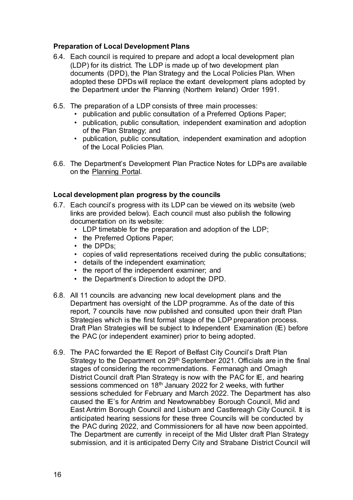#### <span id="page-19-0"></span>**Preparation of Local Development Plans**

- 6.4. Each council is required to prepare and adopt a local development plan (LDP) for its district. The LDP is made up of two development plan documents (DPD), the Plan Strategy and the Local Policies Plan. When adopted these DPDs will replace the extant development plans adopted by the Department under the Planning (Northern Ireland) Order 1991.
- 6.5. The preparation of a LDP consists of three main processes:
	- publication and public consultation of a Preferred Options Paper;
	- publication, public consultation, independent examination and adoption of the Plan Strategy; and
	- publication, public consultation, independent examination and adoption of the Local Policies Plan.
- 6.6. The Department's Development Plan Practice Notes for LDPs are available on the [Planning Portal](https://www.infrastructure-ni.gov.uk/publications/development-plan-practice-notes).

#### <span id="page-19-1"></span>**Local development plan progress by the councils**

- 6.7. Each council's progress with its LDP can be viewed on its website (web links are provided below). Each council must also publish the following documentation on its website:
	- LDP timetable for the preparation and adoption of the LDP;
	- the Preferred Options Paper:
	- the DPDs:
	- copies of valid representations received during the public consultations;
	- details of the independent examination;
	- the report of the independent examiner; and
	- the Department's Direction to adopt the DPD.
- 6.8. All 11 councils are advancing new local development plans and the Department has oversight of the LDP programme. As of the date of this report, 7 councils have now published and consulted upon their draft Plan Strategies which is the first formal stage of the LDP preparation process. Draft Plan Strategies will be subject to Independent Examination (IE) before the PAC (or independent examiner) prior to being adopted.
- 6.9. The PAC forwarded the IE Report of Belfast City Council's Draft Plan Strategy to the Department on  $29<sup>th</sup>$  September 2021. Officials are in the final stages of considering the recommendations. Fermanagh and Omagh District Council draft Plan Strategy is now with the PAC for IE, and hearing sessions commenced on 18<sup>th</sup> January 2022 for 2 weeks, with further sessions scheduled for February and March 2022. The Department has also caused the IE's for Antrim and Newtownabbey Borough Council, Mid and East Antrim Borough Council and Lisburn and Castlereagh City Council. It is anticipated hearing sessions for these three Councils will be conducted by the PAC during 2022, and Commissioners for all have now been appointed. The Department are currently in receipt of the Mid Ulster draft Plan Strategy submission, and it is anticipated Derry City and Strabane District Council will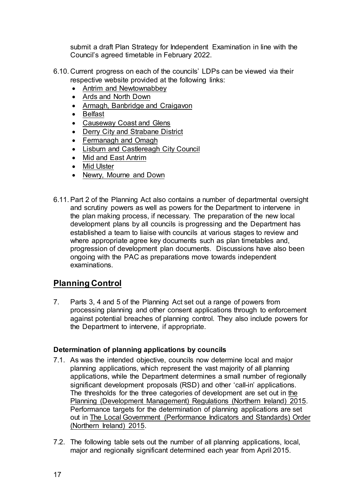submit a draft Plan Strategy for Independent Examination in line with the Council's agreed timetable in February 2022.

- 6.10. Current progress on each of the councils' LDPs can be viewed via their respective website provided at the following links:
	- [Antrim and Newtownabbey](http://www.antrimandnewtownabbey.gov.uk/Council/Planning/Local-Development-Plan)
	- [Ards and North Down](http://www.ardsandnorthdown.gov.uk/resident/planning/local-development-plan)
	- [Armagh, Banbridge and Craigavon](https://www.armaghbanbridgecraigavon.gov.uk/resident/local-development-plan-residents/)
	- [Belfast](http://www.belfastcity.gov.uk/buildingcontrol-environment/Planning/localdevelopmentplan.aspx)
	- [Causeway Coast and Glens](https://www.causewaycoastandglens.gov.uk/live/planning/development-plan)
	- [Derry City and Strabane District](http://www.derrystrabane.com/Subsites/LDP/Local-Development-Plan)
	- [Fermanagh and Omagh](http://www.fermanaghomagh.com/residential-services/planning-and-building/planning/local-development-plan/)
	- [Lisburn and Castlereagh City Council](https://www.lisburncastlereagh.gov.uk/resident/planning/local-development-plan)
	- [Mid and East Antrim](https://www.midandeastantrim.gov.uk/business/planning/local-development-plan/)
	- [Mid Ulster](http://www.midulstercouncil.org/Planning/Mid-Ulster-Development-Plan)
	- [Newry, Mourne and Down](http://www.newrymournedown.org/local_development_plan)
- 6.11.Part 2 of the Planning Act also contains a number of departmental oversight and scrutiny powers as well as powers for the Department to intervene in the plan making process, if necessary. The preparation of the new local development plans by all councils is progressing and the Department has established a team to liaise with councils at various stages to review and where appropriate agree key documents such as plan timetables and, progression of development plan documents. Discussions have also been ongoing with the PAC as preparations move towards independent examinations.

# <span id="page-20-0"></span>**Planning Control**

7. Parts 3, 4 and 5 of the Planning Act set out a range of powers from processing planning and other consent applications through to enforcement against potential breaches of planning control. They also include powers for the Department to intervene, if appropriate.

## <span id="page-20-1"></span>**Determination of planning applications by councils**

- 7.1. As was the intended objective, councils now determine local and major planning applications, which represent the vast majority of all planning applications, while the Department determines a small number of regionally significant development proposals (RSD) and other 'call-in' applications. The thresholds for the three categories of development are set out in [the](http://www.legislation.gov.uk/nisr/2015/71/contents/made)  [Planning \(Development Management\) Regulations \(Northern Ireland\) 2015.](http://www.legislation.gov.uk/nisr/2015/71/contents/made) Performance targets for the determination of planning applications are set out in [The Local Government \(Performance Indicators and Standards\) Order](http://www.legislation.gov.uk/nisr/2015/327/contents/made)  [\(Northern Ireland\) 2015.](http://www.legislation.gov.uk/nisr/2015/327/contents/made)
- 7.2. The following table sets out the number of all planning applications, local, major and regionally significant determined each year from April 2015.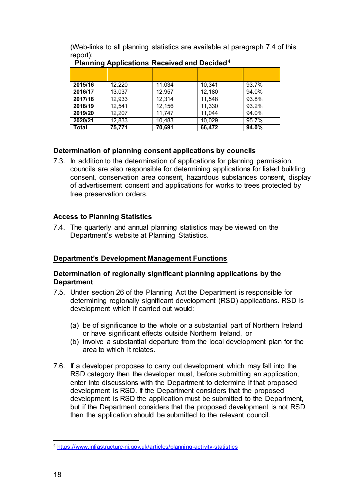(Web-links to all planning statistics are available at paragraph 7.4 of this report):

| --      | . .    |        |        |       |
|---------|--------|--------|--------|-------|
| 2015/16 | 12,220 | 11,034 | 10,341 | 93.7% |
| 2016/17 | 13,037 | 12,957 | 12,180 | 94.0% |
| 2017/18 | 12,933 | 12,314 | 11,548 | 93.8% |
| 2018/19 | 12,541 | 12,156 | 11,330 | 93.2% |
| 2019/20 | 12,207 | 11,747 | 11,044 | 94.0% |
| 2020/21 | 12,833 | 10,483 | 10,029 | 95.7% |
| Total   | 75,771 | 70,691 | 66,472 | 94.0% |

# **Planning Applications Received and Decided[4](#page-21-4)**

## <span id="page-21-0"></span>**Determination of planning consent applications by councils**

7.3. In addition to the determination of applications for planning permission, councils are also responsible for determining applications for listed building consent, conservation area consent, hazardous substances consent, display of advertisement consent and applications for works to trees protected by tree preservation orders.

## <span id="page-21-1"></span>**Access to Planning Statistics**

7.4. The quarterly and annual planning statistics may be viewed on the Department's website at [Planning Statistics.](https://www.infrastructure-ni.gov.uk/topics/statistics-and-research/statistics-0)

# <span id="page-21-2"></span>**Department's Development Management Functions**

## <span id="page-21-3"></span>**Determination of regionally significant planning applications by the Department**

- 7.5. Under [section](http://www.legislation.gov.uk/nia/2011/25/section/26) 26 of the Planning Act the Department is responsible for determining regionally significant development (RSD) applications. RSD is development which if carried out would:
	- (a) be of significance to the whole or a substantial part of Northern Ireland or have significant effects outside Northern Ireland, or
	- (b) involve a substantial departure from the local development plan for the area to which it relates.
- 7.6. If a developer proposes to carry out development which may fall into the RSD category then the developer must, before submitting an application, enter into discussions with the Department to determine if that proposed development is RSD. If the Department considers that the proposed development is RSD the application must be submitted to the Department, but if the Department considers that the proposed development is not RSD then the application should be submitted to the relevant council.

<span id="page-21-4"></span><sup>-</sup><sup>4</sup> <https://www.infrastructure-ni.gov.uk/articles/planning-activity-statistics>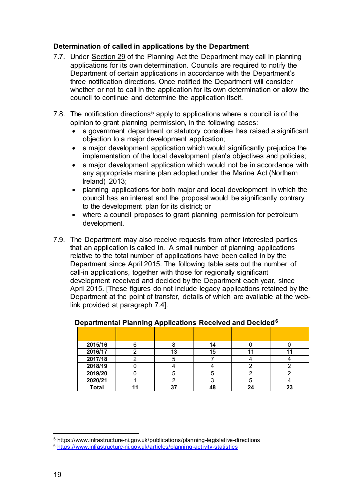#### <span id="page-22-0"></span>**Determination of called in applications by the Department**

- 7.7. Under [Section 29](http://www.legislation.gov.uk/nia/2011/25/section/29) of the Planning Act the Department may call in planning applications for its own determination. Councils are required to notify the Department of certain applications in accordance with the Department's three notification directions. Once notified the Department will consider whether or not to call in the application for its own determination or allow the council to continue and determine the application itself.
- 7.8. The notification directions<sup>[5](#page-22-2)</sup> apply to applications where a council is of the opinion to grant planning permission, in the following cases:
	- a government department or statutory consultee has raised a significant objection to a major development application;
	- a major development application which would significantly prejudice the implementation of the local development plan's objectives and policies;
	- a major development application which would not be in accordance with any appropriate marine plan adopted under the Marine Act (Northern Ireland) 2013;
	- planning applications for both major and local development in which the council has an interest and the proposal would be significantly contrary to the development plan for its district; or
	- where a council proposes to grant planning permission for petroleum development.
- 7.9. The Department may also receive requests from other interested parties that an application is called in. A small number of planning applications relative to the total number of applications have been called in by the Department since April 2015. The following table sets out the number of call-in applications, together with those for regionally significant development received and decided by the Department each year, since April 2015. [These figures do not include legacy applications retained by the Department at the point of transfer, details of which are available at the weblink provided at paragraph 7.4].

| 2015/16      |    | 14 |    |
|--------------|----|----|----|
| 2016/17      | 13 | 15 |    |
| 2017/18      |    |    |    |
| 2018/19      |    |    |    |
| 2019/20      |    |    |    |
| 2020/21      |    |    |    |
| <b>Total</b> | ^7 |    | 23 |

#### <span id="page-22-1"></span>**Departmental Planning Applications Received and Decided[6](#page-22-3)**

<u>.</u>

<span id="page-22-2"></span><sup>5</sup> https://www.infrastructure-ni.gov.uk/publications/planning-legislative-directions

<span id="page-22-3"></span><sup>6</sup> <https://www.infrastructure-ni.gov.uk/articles/planning-activity-statistics>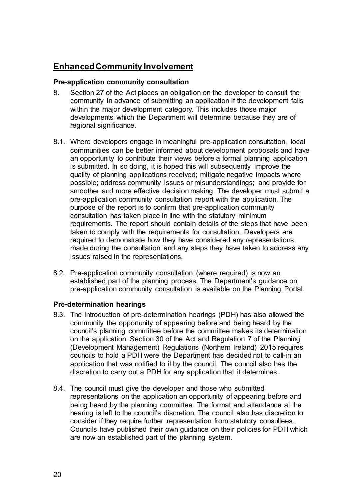# **Enhanced Community Involvement**

#### <span id="page-23-0"></span>**Pre-application community consultation**

- 8. Section 27 of the Act places an obligation on the developer to consult the community in advance of submitting an application if the development falls within the major development category. This includes those major developments which the Department will determine because they are of regional significance.
- 8.1. Where developers engage in meaningful pre-application consultation, local communities can be better informed about development proposals and have an opportunity to contribute their views before a formal planning application is submitted. In so doing, it is hoped this will subsequently improve the quality of planning applications received; mitigate negative impacts where possible; address community issues or misunderstandings; and provide for smoother and more effective decision making. The developer must submit a pre-application community consultation report with the application. The purpose of the report is to confirm that pre-application community consultation has taken place in line with the statutory minimum requirements. The report should contain details of the steps that have been taken to comply with the requirements for consultation. Developers are required to demonstrate how they have considered any representations made during the consultation and any steps they have taken to address any issues raised in the representations.
- 8.2. Pre-application community consultation (where required) is now an established part of the planning process. The Department's guidance on pre-application community consultation is available on the [Planning Portal.](http://www.planningni.gov.uk/index/advice/practice-notes/dm_practice_note_10_pacc-2.pdf)

#### <span id="page-23-1"></span>**Pre-determination hearings**

- 8.3. The introduction of pre-determination hearings (PDH) has also allowed the community the opportunity of appearing before and being heard by the council's planning committee before the committee makes its determination on the application. [Section 30](http://www.legislation.gov.uk/nia/2011/25/section/30) of the Act and Regulation 7 of the Planning (Development Management) Regulations (Northern Ireland) 2015 requires councils to hold a PDH were the Department has decided not to call-in an application that was notified to it by the council. The council also has the discretion to carry out a PDH for any application that it determines.
- 8.4. The council must give the developer and those who submitted representations on the application an opportunity of appearing before and being heard by the planning committee. The format and attendance at the hearing is left to the council's discretion. The council also has discretion to consider if they require further representation from statutory consultees. Councils have published their own guidance on their policies for PDH which are now an established part of the planning system.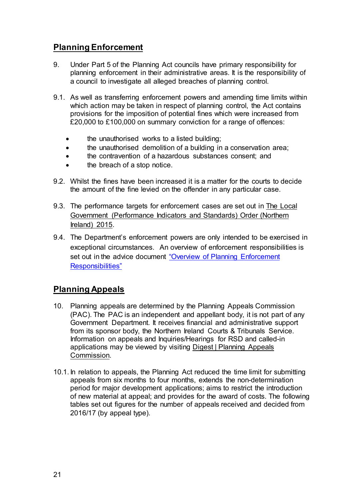# <span id="page-24-0"></span>**Planning Enforcement**

- 9. Under Part 5 of the Planning Act councils have primary responsibility for planning enforcement in their administrative areas. It is the responsibility of a council to investigate all alleged breaches of planning control.
- 9.1. As well as transferring enforcement powers and amending time limits within which action may be taken in respect of planning control, the Act contains provisions for the imposition of potential fines which were increased from £20,000 to £100,000 on summary conviction for a range of offences:
	- the unauthorised works to a listed building;
	- the unauthorised demolition of a building in a conservation area;
	- the contravention of a hazardous substances consent; and
	- the breach of a stop notice.
- 9.2. Whilst the fines have been increased it is a matter for the courts to decide the amount of the fine levied on the offender in any particular case.
- 9.3. The performance targets for enforcement cases are set out i[n The Local](http://www.legislation.gov.uk/nisr/2015/327/contents/made)  [Government \(Performance Indicators and Standards\) Order \(Northern](http://www.legislation.gov.uk/nisr/2015/327/contents/made)  [Ireland\) 2015.](http://www.legislation.gov.uk/nisr/2015/327/contents/made)
- 9.4. The Department's enforcement powers are only intended to be exercised in exceptional circumstances. An overview of enforcement responsibilities is set out in the advice document "Overview of Planning Enforcement [Responsibilities"](https://www.infrastructure-ni.gov.uk/articles/overview-planning-enforcement-responsibilities)

# <span id="page-24-1"></span>**Planning Appeals**

- 10. Planning appeals are determined by the Planning Appeals Commission (PAC). The PAC is an independent and appellant body, it is not part of any Government Department. It receives financial and administrative support from its sponsor body, the Northern Ireland Courts & Tribunals Service. Information on appeals and Inquiries/Hearings for RSD and called-in applications may be viewed by visiting [Digest | Planning Appeals](https://www.pacni.gov.uk/digest)  [Commission.](https://www.pacni.gov.uk/digest)
- 10.1. In relation to appeals, the Planning Act reduced the time limit for submitting appeals from six months to four months, extends the non-determination period for major development applications; aims to restrict the introduction of new material at appeal; and provides for the award of costs. The following tables set out figures for the number of appeals received and decided from 2016/17 (by appeal type).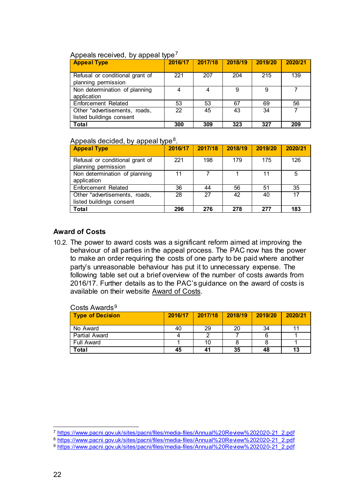#### Appeals received, by appeal type<sup>[7](#page-25-2)</sup>

| <b>Appeal Type</b>                                        | 2016/17 | 2017/18 | 2018/19 | 2019/20 | 2020/21 |
|-----------------------------------------------------------|---------|---------|---------|---------|---------|
| Refusal or conditional grant of<br>planning permission    | 221     | 207     | 204     | 215     | 139     |
| Non determination of planning<br>application              | 4       | 4       | 9       | 9       |         |
| <b>Enforcement Related</b>                                | 53      | 53      | 67      | 69      | 56      |
| Other *advertisements, roads,<br>listed buildings consent | 22      | 45      | 43      | 34      |         |
| <b>Total</b>                                              | 300     | 309     | 323     | 327     | 209     |

#### Appeals decided, by appeal type<sup>[8](#page-25-3)</sup>.

| <b>Appeal Type</b>                                        | 2016/17 | 2017/18 | 2018/19 | 2019/20 | 2020/21 |
|-----------------------------------------------------------|---------|---------|---------|---------|---------|
| Refusal or conditional grant of<br>planning permission    | 221     | 198     | 179     | 175     | 126     |
| Non determination of planning<br>application              | 11      |         |         | 11      | 5       |
| <b>Enforcement Related</b>                                | 36      | 44      | 56      | 51      | 35      |
| Other *advertisements, roads,<br>listed buildings consent | 28      | 27      | 42      | 40      | 17      |
| <b>Total</b>                                              | 296     | 276     | 278     | 277     | 183     |

#### <span id="page-25-0"></span>**Award of Costs**

10.2. The power to award costs was a significant reform aimed at improving the behaviour of all parties in the appeal process. The PAC now has the power to make an order requiring the costs of one party to be paid where another party's unreasonable behaviour has put it to unnecessary expense. The following table set out a brief overview of the number of costs awards from 2016/17. Further details as to the PAC's guidance on the award of costs is available on their website [Award of Costs.](https://www.pacni.gov.uk/sites/pacni/files/media-files/Costawardii.pdf)

<span id="page-25-1"></span>

| <b>Type of Decision</b> | 2016/17 | 2017/18 | 2018/19 | 2019/20 | 2020/21 |
|-------------------------|---------|---------|---------|---------|---------|
| No Award                | 40      | 29      | 20      | 34      |         |
| Partial Award           |         |         |         |         |         |
| Full Award              |         | 10      |         |         |         |
| Total                   | 45      | 41      | 35      | 48      | 13      |

#### Costs Awards<sup>[9](#page-25-4)</sup>

<sup>&</sup>lt;u>.</u> <sup>7</sup> [https://www.pacni.gov.uk/sites/pacni/files/media-files/Annual%20Review%202020-21\\_2.pdf](https://www.pacni.gov.uk/sites/pacni/files/media-files/Annual%20Review%202020-21_2.pdf)

<span id="page-25-3"></span><span id="page-25-2"></span><sup>8</sup> [https://www.pacni.gov.uk/sites/pacni/files/media-files/Annual%20Review%202020-21\\_2.pdf](https://www.pacni.gov.uk/sites/pacni/files/media-files/Annual%20Review%202020-21_2.pdf)

<span id="page-25-4"></span><sup>9</sup> [https://www.pacni.gov.uk/sites/pacni/files/media-files/Annual%20Review%202020-21\\_2.pdf](https://www.pacni.gov.uk/sites/pacni/files/media-files/Annual%20Review%202020-21_2.pdf)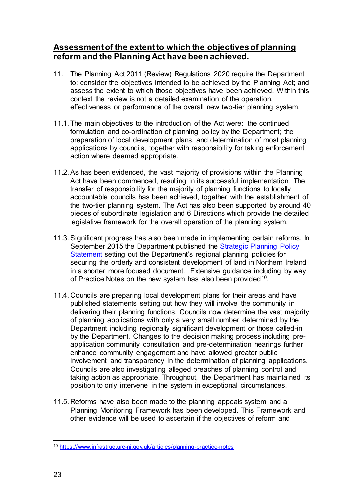# **Assessment of the extent to which the objectives of planning reform and the Planning Act have been achieved.**

- 11. The Planning Act 2011 (Review) Regulations 2020 require the Department to: consider the objectives intended to be achieved by the Planning Act; and assess the extent to which those objectives have been achieved. Within this context the review is not a detailed examination of the operation, effectiveness or performance of the overall new two-tier planning system.
- 11.1. The main objectives to the introduction of the Act were: the continued formulation and co-ordination of planning policy by the Department; the preparation of local development plans, and determination of most planning applications by councils, together with responsibility for taking enforcement action where deemed appropriate.
- 11.2.As has been evidenced, the vast majority of provisions within the Planning Act have been commenced, resulting in its successful implementation. The transfer of responsibility for the majority of planning functions to locally accountable councils has been achieved, together with the establishment of the two-tier planning system. The Act has also been supported by around 40 pieces of subordinate legislation and 6 Directions which provide the detailed legislative framework for the overall operation of the planning system.
- 11.3.Significant progress has also been made in implementing certain reforms. In September 2015 the Department published the [Strategic Planning Policy](https://www.infrastructure-ni.gov.uk/publications/strategic-planning-policy-statement)  [Statement](https://www.infrastructure-ni.gov.uk/publications/strategic-planning-policy-statement) setting out the Department's regional planning policies for securing the orderly and consistent development of land in Northern Ireland in a shorter more focused document. Extensive guidance including by way of Practice Notes on the new system has also been provided<sup>[10](#page-26-0)</sup>.
- 11.4. Councils are preparing local development plans for their areas and have published statements setting out how they will involve the community in delivering their planning functions. Councils now determine the vast majority of planning applications with only a very small number determined by the Department including regionally significant development or those called-in by the Department. Changes to the decision making process including preapplication community consultation and pre-determination hearings further enhance community engagement and have allowed greater public involvement and transparency in the determination of planning applications. Councils are also investigating alleged breaches of planning control and taking action as appropriate. Throughout, the Department has maintained its position to only intervene in the system in exceptional circumstances.
- 11.5. Reforms have also been made to the planning appeals system and a Planning Monitoring Framework has been developed. This Framework and other evidence will be used to ascertain if the objectives of reform and

<span id="page-26-0"></span><sup>-</sup><sup>10</sup> <https://www.infrastructure-ni.gov.uk/articles/planning-practice-notes>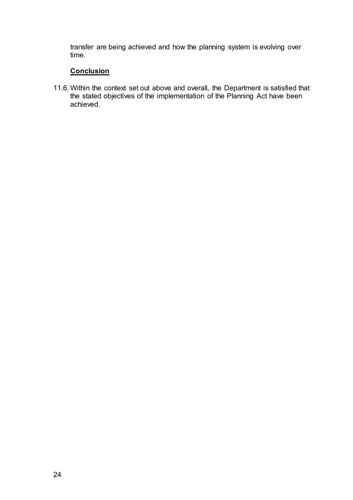transfer are being achieved and how the planning system is evolving over time.

# **Conclusion**

<span id="page-27-0"></span>11.6. Within the context set out above and overall, the Department is satisfied that the stated objectives of the implementation of the Planning Act have been achieved.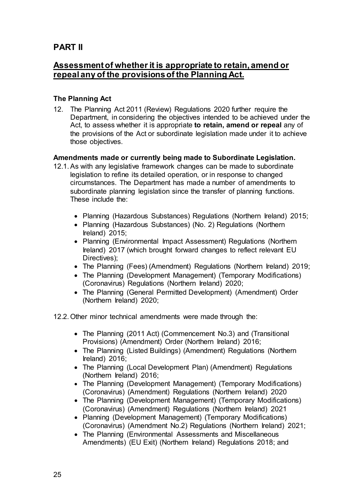# **PART II**

# **Assessment of whether it is appropriate to retain, amend or repeal any of the provisions of the Planning Act.**

#### <span id="page-28-0"></span>**The Planning Act**

12. The Planning Act 2011 (Review) Regulations 2020 further require the Department, in considering the objectives intended to be achieved under the Act, to assess whether it is appropriate **to retain, amend or repeal** any of the provisions of the Act or subordinate legislation made under it to achieve those objectives.

#### <span id="page-28-1"></span>**Amendments made or currently being made to Subordinate Legislation.**

- 12.1. As with any legislative framework changes can be made to subordinate legislation to refine its detailed operation, or in response to changed circumstances. The Department has made a number of amendments to subordinate planning legislation since the transfer of planning functions. These include the:
	- Planning (Hazardous Substances) Regulations (Northern Ireland) 2015;
	- Planning (Hazardous Substances) (No. 2) Regulations (Northern Ireland) 2015;
	- Planning (Environmental Impact Assessment) Regulations (Northern Ireland) 2017 (which brought forward changes to reflect relevant EU Directives);
	- The Planning (Fees) (Amendment) Regulations (Northern Ireland) 2019;
	- The Planning (Development Management) (Temporary Modifications) (Coronavirus) Regulations (Northern Ireland) 2020;
	- The Planning (General Permitted Development) (Amendment) Order (Northern Ireland) 2020;
- 12.2. Other minor technical amendments were made through the:
	- [The Planning \(2011 Act\) \(Commencement No.3\) and \(Transitional](http://www.legislation.gov.uk/nisr/2016/159/contents/made)  [Provisions\) \(Amendment\) Order \(Northern Ireland\) 2016;](http://www.legislation.gov.uk/nisr/2016/159/contents/made)
	- [The Planning \(Listed Buildings\) \(Amendment\) Regulations \(Northern](http://www.legislation.gov.uk/nisr/2016/117/contents/made)  [Ireland\) 2016;](http://www.legislation.gov.uk/nisr/2016/117/contents/made)
	- [The Planning \(Local Development Plan\) \(Amendment\) Regulations](http://www.legislation.gov.uk/nisr/2016/27/contents/made)  [\(Northern Ireland\) 2016;](http://www.legislation.gov.uk/nisr/2016/27/contents/made)
	- The Planning (Development Management) (Temporary Modifications) (Coronavirus) (Amendment) Regulations (Northern Ireland) 2020
	- The Planning (Development Management) (Temporary Modifications) (Coronavirus) (Amendment) Regulations (Northern Ireland) 2021
	- Planning (Development Management) (Temporary Modifications) (Coronavirus) (Amendment No.2) Regulations (Northern Ireland) 2021;
	- The Planning (Environmental Assessments and Miscellaneous Amendments) (EU Exit) (Northern Ireland) Regulations 2018; and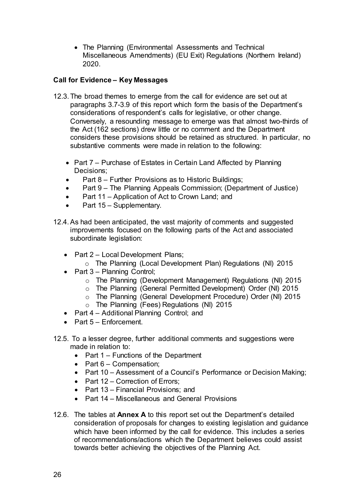• The Planning (Environmental Assessments and Technical Miscellaneous Amendments) (EU Exit) Regulations (Northern Ireland) 2020.

### **Call for Evidence – Key Messages**

- 12.3. The broad themes to emerge from the call for evidence are set out at paragraphs 3.7-3.9 of this report which form the basis of the Department's considerations of respondent's calls for legislative, or other change. Conversely, a resounding message to emerge was that almost two-thirds of the Act (162 sections) drew little or no comment and the Department considers these provisions should be retained as structured. In particular, no substantive comments were made in relation to the following:
	- Part 7 Purchase of Estates in Certain Land Affected by Planning Decisions;
	- Part 8 Further Provisions as to Historic Buildings;
	- Part 9 The Planning Appeals Commission; (Department of Justice)
	- Part 11 Application of Act to Crown Land; and
	- Part 15 Supplementary.
- 12.4.As had been anticipated, the vast majority of comments and suggested improvements focused on the following parts of the Act and associated subordinate legislation:
	- Part 2 Local Development Plans;
		- o The Planning (Local Development Plan) Regulations (NI) 2015
	- Part 3 Planning Control;
		- o The Planning (Development Management) Regulations (NI) 2015
		- o The Planning (General Permitted Development) Order (NI) 2015
		- o The Planning (General Development Procedure) Order (NI) 2015
		- o The Planning (Fees) Regulations (NI) 2015
	- Part 4 Additional Planning Control; and
	- Part 5 Enforcement.
- 12.5. To a lesser degree, further additional comments and suggestions were made in relation to:
	- Part 1 Functions of the Department
	- Part  $6 -$  Compensation;
	- Part 10 Assessment of a Council's Performance or Decision Making;
	- Part 12 Correction of Errors:
	- Part 13 Financial Provisions; and
	- Part 14 Miscellaneous and General Provisions
- 12.6. The tables at **Annex A** to this report set out the Department's detailed consideration of proposals for changes to existing legislation and guidance which have been informed by the call for evidence. This includes a series of recommendations/actions which the Department believes could assist towards better achieving the objectives of the Planning Act.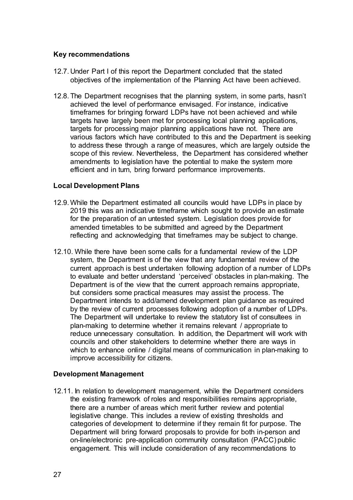#### **Key recommendations**

- 12.7. Under Part I of this report the Department concluded that the stated objectives of the implementation of the Planning Act have been achieved.
- 12.8. The Department recognises that the planning system, in some parts, hasn't achieved the level of performance envisaged. For instance, indicative timeframes for bringing forward LDPs have not been achieved and while targets have largely been met for processing local planning applications, targets for processing major planning applications have not. There are various factors which have contributed to this and the Department is seeking to address these through a range of measures, which are largely outside the scope of this review. Nevertheless, the Department has considered whether amendments to legislation have the potential to make the system more efficient and in turn, bring forward performance improvements.

#### **Local Development Plans**

- 12.9. While the Department estimated all councils would have LDPs in place by 2019 this was an indicative timeframe which sought to provide an estimate for the preparation of an untested system. Legislation does provide for amended timetables to be submitted and agreed by the Department reflecting and acknowledging that timeframes may be subject to change.
- 12.10. While there have been some calls for a fundamental review of the LDP system, the Department is of the view that any fundamental review of the current approach is best undertaken following adoption of a number of LDPs to evaluate and better understand 'perceived' obstacles in plan-making. The Department is of the view that the current approach remains appropriate, but considers some practical measures may assist the process. The Department intends to add/amend development plan guidance as required by the review of current processes following adoption of a number of LDPs. The Department will undertake to review the statutory list of consultees in plan-making to determine whether it remains relevant / appropriate to reduce unnecessary consultation. In addition, the Department will work with councils and other stakeholders to determine whether there are ways in which to enhance online / digital means of communication in plan-making to improve accessibility for citizens.

#### **Development Management**

12.11. In relation to development management, while the Department considers the existing framework of roles and responsibilities remains appropriate, there are a number of areas which merit further review and potential legislative change. This includes a review of existing thresholds and categories of development to determine if they remain fit for purpose. The Department will bring forward proposals to provide for both in-person and on-line/electronic pre-application community consultation (PACC) public engagement. This will include consideration of any recommendations to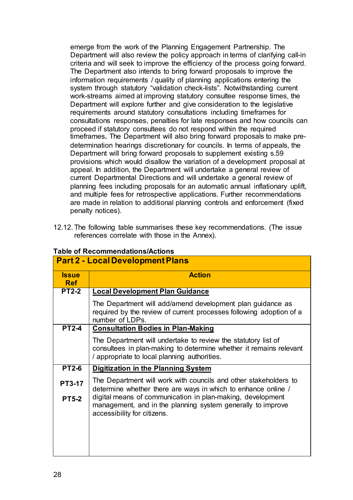emerge from the work of the Planning Engagement Partnership. The Department will also review the policy approach in terms of clarifying call-in criteria and will seek to improve the efficiency of the process going forward. The Department also intends to bring forward proposals to improve the information requirements / quality of planning applications entering the system through statutory "validation check-lists". Notwithstanding current work-streams aimed at improving statutory consultee response times, the Department will explore further and give consideration to the legislative requirements around statutory consultations including timeframes for consultations responses, penalties for late responses and how councils can proceed if statutory consultees do not respond within the required timeframes**.** The Department will also bring forward proposals to make predetermination hearings discretionary for councils. In terms of appeals, the Department will bring forward proposals to supplement existing s.59 provisions which would disallow the variation of a development proposal at appeal. In addition, the Department will undertake a general review of current Departmental Directions and will undertake a general review of planning fees including proposals for an automatic annual inflationary uplift, and multiple fees for retrospective applications. Further recommendations are made in relation to additional planning controls and enforcement (fixed penalty notices).

12.12. The following table summarises these key recommendations. (The issue references correlate with those in the Annex).

|                            | <b>Part 2 - Local Development Plans</b>                                                                                                                                             |
|----------------------------|-------------------------------------------------------------------------------------------------------------------------------------------------------------------------------------|
| <b>Issue</b><br><b>Ref</b> | <b>Action</b>                                                                                                                                                                       |
| <b>PT2-2</b>               | <b>Local Development Plan Guidance</b>                                                                                                                                              |
|                            | The Department will add/amend development plan guidance as<br>required by the review of current processes following adoption of a<br>number of LDPs.                                |
| <b>PT2-4</b>               | <b>Consultation Bodies in Plan-Making</b>                                                                                                                                           |
|                            | The Department will undertake to review the statutory list of<br>consultees in plan-making to determine whether it remains relevant<br>/ appropriate to local planning authorities. |
| <b>PT2-6</b>               | <b>Digitization in the Planning System</b>                                                                                                                                          |
| <b>PT3-17</b>              | The Department will work with councils and other stakeholders to<br>determine whether there are ways in which to enhance online /                                                   |
| <b>PT5-2</b>               | digital means of communication in plan-making, development<br>management, and in the planning system generally to improve<br>accessibility for citizens.                            |
|                            |                                                                                                                                                                                     |

# **Table of Recommendations/Actions**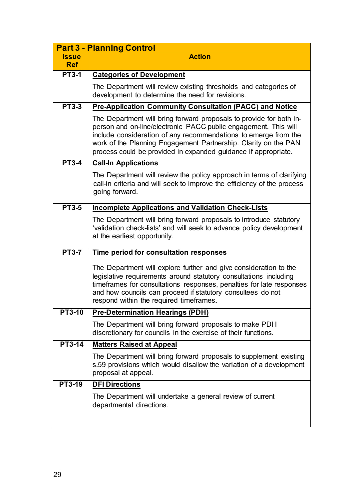|               | <b>Part 3 - Planning Control</b>                                                                                                                                                                                                                                                                                                               |
|---------------|------------------------------------------------------------------------------------------------------------------------------------------------------------------------------------------------------------------------------------------------------------------------------------------------------------------------------------------------|
| <b>Issue</b>  | <b>Action</b>                                                                                                                                                                                                                                                                                                                                  |
| <b>Ref</b>    |                                                                                                                                                                                                                                                                                                                                                |
| $PT3-1$       | <b>Categories of Development</b>                                                                                                                                                                                                                                                                                                               |
|               | The Department will review existing thresholds and categories of<br>development to determine the need for revisions.                                                                                                                                                                                                                           |
| <b>PT3-3</b>  | Pre-Application Community Consultation (PACC) and Notice                                                                                                                                                                                                                                                                                       |
|               | The Department will bring forward proposals to provide for both in-<br>person and on-line/electronic PACC public engagement. This will<br>include consideration of any recommendations to emerge from the<br>work of the Planning Engagement Partnership. Clarity on the PAN<br>process could be provided in expanded guidance if appropriate. |
| <b>PT3-4</b>  | <b>Call-In Applications</b>                                                                                                                                                                                                                                                                                                                    |
|               | The Department will review the policy approach in terms of clarifying<br>call-in criteria and will seek to improve the efficiency of the process<br>going forward.                                                                                                                                                                             |
| <b>PT3-5</b>  | <b>Incomplete Applications and Validation Check-Lists</b>                                                                                                                                                                                                                                                                                      |
|               | The Department will bring forward proposals to introduce statutory<br>'validation check-lists' and will seek to advance policy development<br>at the earliest opportunity.                                                                                                                                                                     |
| <b>PT3-7</b>  | Time period for consultation responses                                                                                                                                                                                                                                                                                                         |
|               | The Department will explore further and give consideration to the<br>legislative requirements around statutory consultations including<br>timeframes for consultations responses, penalties for late responses<br>and how councils can proceed if statutory consultees do not<br>respond within the required timeframes.                       |
| <b>PT3-10</b> | <b>Pre-Determination Hearings (PDH)</b>                                                                                                                                                                                                                                                                                                        |
|               | The Department will bring forward proposals to make PDH<br>discretionary for councils in the exercise of their functions.                                                                                                                                                                                                                      |
| <b>PT3-14</b> | <b>Matters Raised at Appeal</b>                                                                                                                                                                                                                                                                                                                |
|               | The Department will bring forward proposals to supplement existing<br>s.59 provisions which would disallow the variation of a development<br>proposal at appeal.                                                                                                                                                                               |
| <b>PT3-19</b> | <b>DFI Directions</b>                                                                                                                                                                                                                                                                                                                          |
|               | The Department will undertake a general review of current<br>departmental directions.                                                                                                                                                                                                                                                          |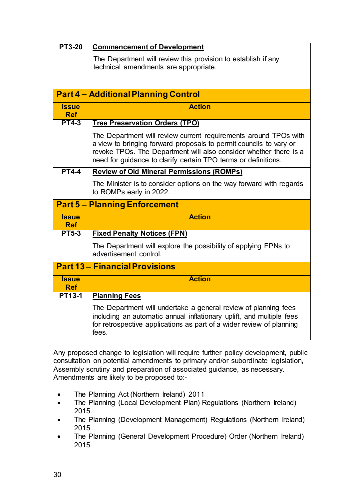| <b>PT3-20</b>              | <b>Commencement of Development</b>                                                                                                                                                                                                                                            |
|----------------------------|-------------------------------------------------------------------------------------------------------------------------------------------------------------------------------------------------------------------------------------------------------------------------------|
|                            | The Department will review this provision to establish if any<br>technical amendments are appropriate.                                                                                                                                                                        |
|                            |                                                                                                                                                                                                                                                                               |
|                            | <b>Part 4 - Additional Planning Control</b>                                                                                                                                                                                                                                   |
| <b>Issue</b><br><b>Ref</b> | <b>Action</b>                                                                                                                                                                                                                                                                 |
| <b>PT4-3</b>               | <b>Tree Preservation Orders (TPO)</b>                                                                                                                                                                                                                                         |
|                            | The Department will review current requirements around TPOs with<br>a view to bringing forward proposals to permit councils to vary or<br>revoke TPOs. The Department will also consider whether there is a<br>need for guidance to clarify certain TPO terms or definitions. |
| <b>PT4-4</b>               | <b>Review of Old Mineral Permissions (ROMPs)</b>                                                                                                                                                                                                                              |
|                            | The Minister is to consider options on the way forward with regards<br>to ROMPs early in 2022.                                                                                                                                                                                |
|                            | <b>Part 5 - Planning Enforcement</b>                                                                                                                                                                                                                                          |
| <b>Issue</b><br><b>Ref</b> | <b>Action</b>                                                                                                                                                                                                                                                                 |
| <b>PT5-3</b>               | <b>Fixed Penalty Notices (FPN)</b>                                                                                                                                                                                                                                            |
|                            | The Department will explore the possibility of applying FPNs to<br>advertisement control.                                                                                                                                                                                     |
|                            | <b>Part 13 - Financial Provisions</b>                                                                                                                                                                                                                                         |
| <b>Issue</b><br><b>Ref</b> | <b>Action</b>                                                                                                                                                                                                                                                                 |
| <b>PT13-1</b>              | <b>Planning Fees</b>                                                                                                                                                                                                                                                          |
|                            | The Department will undertake a general review of planning fees<br>including an automatic annual inflationary uplift, and multiple fees<br>for retrospective applications as part of a wider review of planning<br>fees.                                                      |

Any proposed change to legislation will require further policy development, public consultation on potential amendments to primary and/or subordinate legislation, Assembly scrutiny and preparation of associated guidance, as necessary. Amendments are likely to be proposed to:-

- The Planning Act (Northern Ireland) 2011
- The Planning (Local Development Plan) Regulations (Northern Ireland) 2015.
- The Planning (Development Management) Regulations (Northern Ireland) 2015
- The Planning (General Development Procedure) Order (Northern Ireland) 2015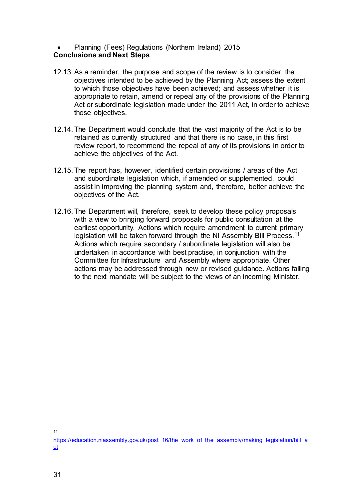#### • Planning (Fees) Regulations (Northern Ireland) 2015 **Conclusions and Next Steps**

- 12.13.As a reminder, the purpose and scope of the review is to consider: the objectives intended to be achieved by the Planning Act; assess the extent to which those objectives have been achieved; and assess whether it is appropriate to retain, amend or repeal any of the provisions of the Planning Act or subordinate legislation made under the 2011 Act, in order to achieve those objectives.
- 12.14. The Department would conclude that the vast majority of the Act is to be retained as currently structured and that there is no case, in this first review report, to recommend the repeal of any of its provisions in order to achieve the objectives of the Act.
- 12.15. The report has, however, identified certain provisions / areas of the Act and subordinate legislation which, if amended or supplemented, could assist in improving the planning system and, therefore, better achieve the objectives of the Act.
- 12.16. The Department will, therefore, seek to develop these policy proposals with a view to bringing forward proposals for public consultation at the earliest opportunity. Actions which require amendment to current primary legislation will be taken forward through the NI Assembly Bill Process.<sup>[11](#page-34-0)</sup> Actions which require secondary / subordinate legislation will also be undertaken in accordance with best practise, in conjunction with the Committee for Infrastructure and Assembly where appropriate. Other actions may be addressed through new or revised guidance. Actions falling to the next mandate will be subject to the views of an incoming Minister.

 $\frac{1}{11}$ 

<span id="page-34-0"></span>[https://education.niassembly.gov.uk/post\\_16/the\\_work\\_of\\_the\\_assembly/making\\_legislation/bill\\_a](https://education.niassembly.gov.uk/post_16/the_work_of_the_assembly/making_legislation/bill_act) [ct](https://education.niassembly.gov.uk/post_16/the_work_of_the_assembly/making_legislation/bill_act)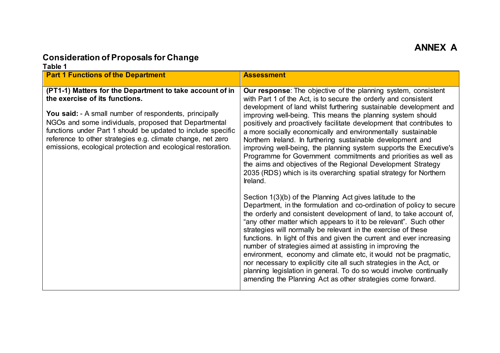# **Consideration of Proposals for Change**

| Table 1<br><b>Part 1 Functions of the Department</b>                                                                                                                                                                                                                                                                                                                                                                | <b>Assessment</b>                                                                                                                                                                                                                                                                                                                                                                                                                                                                                                                                                                                                                                                                                                                                                                                                                                                                                                                                                                                                                                                                                                                                                                                                                                                                                                                                                                                                                                                                                                                                     |
|---------------------------------------------------------------------------------------------------------------------------------------------------------------------------------------------------------------------------------------------------------------------------------------------------------------------------------------------------------------------------------------------------------------------|-------------------------------------------------------------------------------------------------------------------------------------------------------------------------------------------------------------------------------------------------------------------------------------------------------------------------------------------------------------------------------------------------------------------------------------------------------------------------------------------------------------------------------------------------------------------------------------------------------------------------------------------------------------------------------------------------------------------------------------------------------------------------------------------------------------------------------------------------------------------------------------------------------------------------------------------------------------------------------------------------------------------------------------------------------------------------------------------------------------------------------------------------------------------------------------------------------------------------------------------------------------------------------------------------------------------------------------------------------------------------------------------------------------------------------------------------------------------------------------------------------------------------------------------------------|
|                                                                                                                                                                                                                                                                                                                                                                                                                     |                                                                                                                                                                                                                                                                                                                                                                                                                                                                                                                                                                                                                                                                                                                                                                                                                                                                                                                                                                                                                                                                                                                                                                                                                                                                                                                                                                                                                                                                                                                                                       |
| (PT1-1) Matters for the Department to take account of in<br>the exercise of its functions.<br><b>You said:</b> - A small number of respondents, principally<br>NGOs and some individuals, proposed that Departmental<br>functions under Part 1 should be updated to include specific<br>reference to other strategies e.g. climate change, net zero<br>emissions, ecological protection and ecological restoration. | <b>Our response:</b> The objective of the planning system, consistent<br>with Part 1 of the Act, is to secure the orderly and consistent<br>development of land whilst furthering sustainable development and<br>improving well-being. This means the planning system should<br>positively and proactively facilitate development that contributes to<br>a more socially economically and environmentally sustainable<br>Northern Ireland. In furthering sustainable development and<br>improving well-being, the planning system supports the Executive's<br>Programme for Government commitments and priorities as well as<br>the aims and objectives of the Regional Development Strategy<br>2035 (RDS) which is its overarching spatial strategy for Northern<br>Ireland.<br>Section 1(3)(b) of the Planning Act gives latitude to the<br>Department, in the formulation and co-ordination of policy to secure<br>the orderly and consistent development of land, to take account of,<br>"any other matter which appears to it to be relevant". Such other<br>strategies will normally be relevant in the exercise of these<br>functions. In light of this and given the current and ever increasing<br>number of strategies aimed at assisting in improving the<br>environment, economy and climate etc, it would not be pragmatic,<br>nor necessary to explicitly cite all such strategies in the Act, or<br>planning legislation in general. To do so would involve continually<br>amending the Planning Act as other strategies come forward. |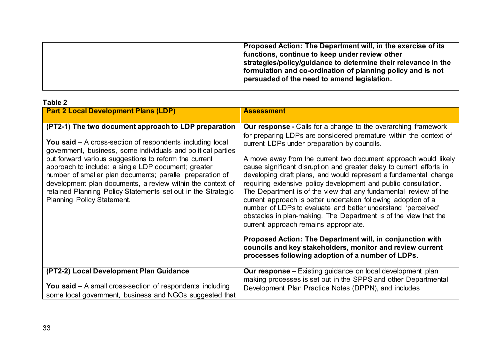## **Table 2**

| <b>Part 2 Local Development Plans (LDP)</b>                                                                                                                                                                                                                                                                                                                                                                                                                                                                                              | <b>Assessment</b>                                                                                                                                                                                                                                                                                                                                                                                                                                                                                                                                                                                                                                                                                                                                                                                                                                                                                                                                                            |
|------------------------------------------------------------------------------------------------------------------------------------------------------------------------------------------------------------------------------------------------------------------------------------------------------------------------------------------------------------------------------------------------------------------------------------------------------------------------------------------------------------------------------------------|------------------------------------------------------------------------------------------------------------------------------------------------------------------------------------------------------------------------------------------------------------------------------------------------------------------------------------------------------------------------------------------------------------------------------------------------------------------------------------------------------------------------------------------------------------------------------------------------------------------------------------------------------------------------------------------------------------------------------------------------------------------------------------------------------------------------------------------------------------------------------------------------------------------------------------------------------------------------------|
| (PT2-1) The two document approach to LDP preparation<br><b>You said –</b> A cross-section of respondents including local<br>government, business, some individuals and political parties<br>put forward various suggestions to reform the current<br>approach to include: a single LDP document; greater<br>number of smaller plan documents; parallel preparation of<br>development plan documents, a review within the context of<br>retained Planning Policy Statements set out in the Strategic<br><b>Planning Policy Statement.</b> | <b>Our response</b> - Calls for a change to the overarching framework<br>for preparing LDPs are considered premature within the context of<br>current LDPs under preparation by councils.<br>A move away from the current two document approach would likely<br>cause significant disruption and greater delay to current efforts in<br>developing draft plans, and would represent a fundamental change<br>requiring extensive policy development and public consultation.<br>The Department is of the view that any fundamental review of the<br>current approach is better undertaken following adoption of a<br>number of LDPs to evaluate and better understand 'perceived'<br>obstacles in plan-making. The Department is of the view that the<br>current approach remains appropriate.<br>Proposed Action: The Department will, in conjunction with<br>councils and key stakeholders, monitor and review current<br>processes following adoption of a number of LDPs. |
| (PT2-2) Local Development Plan Guidance<br><b>You said –</b> A small cross-section of respondents including<br>some local government, business and NGOs suggested that                                                                                                                                                                                                                                                                                                                                                                   | <b>Our response - Existing guidance on local development plan</b><br>making processes is set out in the SPPS and other Departmental<br>Development Plan Practice Notes (DPPN), and includes                                                                                                                                                                                                                                                                                                                                                                                                                                                                                                                                                                                                                                                                                                                                                                                  |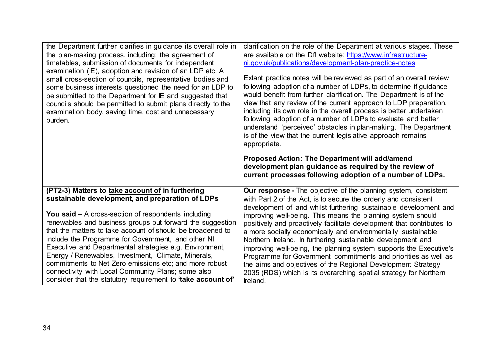| the Department further clarifies in guidance its overall role in<br>the plan-making process, including: the agreement of<br>timetables, submission of documents for independent<br>examination (IE), adoption and revision of an LDP etc. A<br>small cross-section of councils, representative bodies and<br>some business interests questioned the need for an LDP to<br>be submitted to the Department for IE and suggested that<br>councils should be permitted to submit plans directly to the<br>examination body, saving time, cost and unnecessary<br>burden.                                                                             | clarification on the role of the Department at various stages. These<br>are available on the Dfl website: https://www.infrastructure-<br>ni.gov.uk/publications/development-plan-practice-notes<br>Extant practice notes will be reviewed as part of an overall review<br>following adoption of a number of LDPs, to determine if guidance<br>would benefit from further clarification. The Department is of the<br>view that any review of the current approach to LDP preparation,<br>including its own role in the overall process is better undertaken<br>following adoption of a number of LDPs to evaluate and better<br>understand 'perceived' obstacles in plan-making. The Department<br>is of the view that the current legislative approach remains<br>appropriate.<br>Proposed Action: The Department will add/amend<br>development plan guidance as required by the review of<br>current processes following adoption of a number of LDPs. |
|--------------------------------------------------------------------------------------------------------------------------------------------------------------------------------------------------------------------------------------------------------------------------------------------------------------------------------------------------------------------------------------------------------------------------------------------------------------------------------------------------------------------------------------------------------------------------------------------------------------------------------------------------|---------------------------------------------------------------------------------------------------------------------------------------------------------------------------------------------------------------------------------------------------------------------------------------------------------------------------------------------------------------------------------------------------------------------------------------------------------------------------------------------------------------------------------------------------------------------------------------------------------------------------------------------------------------------------------------------------------------------------------------------------------------------------------------------------------------------------------------------------------------------------------------------------------------------------------------------------------|
| (PT2-3) Matters to take account of in furthering<br>sustainable development, and preparation of LDPs<br>You said $-$ A cross-section of respondents including<br>renewables and business groups put forward the suggestion<br>that the matters to take account of should be broadened to<br>include the Programme for Government, and other NI<br>Executive and Departmental strategies e.g. Environment,<br>Energy / Renewables, Investment, Climate, Minerals,<br>commitments to Net Zero emissions etc; and more robust<br>connectivity with Local Community Plans; some also<br>consider that the statutory requirement to 'take account of' | <b>Our response</b> - The objective of the planning system, consistent<br>with Part 2 of the Act, is to secure the orderly and consistent<br>development of land whilst furthering sustainable development and<br>improving well-being. This means the planning system should<br>positively and proactively facilitate development that contributes to<br>a more socially economically and environmentally sustainable<br>Northern Ireland. In furthering sustainable development and<br>improving well-being, the planning system supports the Executive's<br>Programme for Government commitments and priorities as well as<br>the aims and objectives of the Regional Development Strategy<br>2035 (RDS) which is its overarching spatial strategy for Northern<br>Ireland.                                                                                                                                                                          |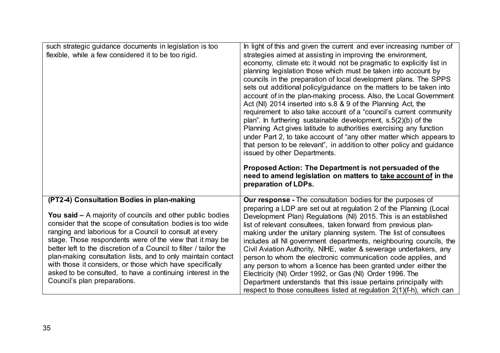| such strategic guidance documents in legislation is too<br>flexible, while a few considered it to be too rigid.                                                                                                                                                                                                                                                                                                                                                                                                                                                                                      | In light of this and given the current and ever increasing number of<br>strategies aimed at assisting in improving the environment,<br>economy, climate etc it would not be pragmatic to explicitly list in<br>planning legislation those which must be taken into account by<br>councils in the preparation of local development plans. The SPPS<br>sets out additional policy/guidance on the matters to be taken into<br>account of in the plan-making process. Also, the Local Government<br>Act (NI) 2014 inserted into s.8 & 9 of the Planning Act, the<br>requirement to also take account of a "council's current community<br>plan". In furthering sustainable development, $s.5(2)(b)$ of the<br>Planning Act gives latitude to authorities exercising any function<br>under Part 2, to take account of "any other matter which appears to<br>that person to be relevant", in addition to other policy and guidance<br>issued by other Departments.<br>Proposed Action: The Department is not persuaded of the<br>need to amend legislation on matters to take account of in the<br>preparation of LDPs. |
|------------------------------------------------------------------------------------------------------------------------------------------------------------------------------------------------------------------------------------------------------------------------------------------------------------------------------------------------------------------------------------------------------------------------------------------------------------------------------------------------------------------------------------------------------------------------------------------------------|--------------------------------------------------------------------------------------------------------------------------------------------------------------------------------------------------------------------------------------------------------------------------------------------------------------------------------------------------------------------------------------------------------------------------------------------------------------------------------------------------------------------------------------------------------------------------------------------------------------------------------------------------------------------------------------------------------------------------------------------------------------------------------------------------------------------------------------------------------------------------------------------------------------------------------------------------------------------------------------------------------------------------------------------------------------------------------------------------------------------|
| (PT2-4) Consultation Bodies in plan-making<br><b>You said - A majority of councils and other public bodies</b><br>consider that the scope of consultation bodies is too wide<br>ranging and laborious for a Council to consult at every<br>stage. Those respondents were of the view that it may be<br>better left to the discretion of a Council to filter / tailor the<br>plan-making consultation lists, and to only maintain contact<br>with those it considers, or those which have specifically<br>asked to be consulted, to have a continuing interest in the<br>Council's plan preparations. | Our response - The consultation bodies for the purposes of<br>preparing a LDP are set out at regulation 2 of the Planning (Local<br>Development Plan) Regulations (NI) 2015. This is an established<br>list of relevant consultees, taken forward from previous plan-<br>making under the unitary planning system. The list of consultees<br>includes all NI government departments, neighbouring councils, the<br>Civil Aviation Authority, NIHE, water & sewerage undertakers, any<br>person to whom the electronic communication code applies, and<br>any person to whom a licence has been granted under either the<br>Electricity (NI) Order 1992, or Gas (NI) Order 1996. The<br>Department understands that this issue pertains principally with<br>respect to those consultees listed at regulation 2(1)(f-h), which can                                                                                                                                                                                                                                                                                   |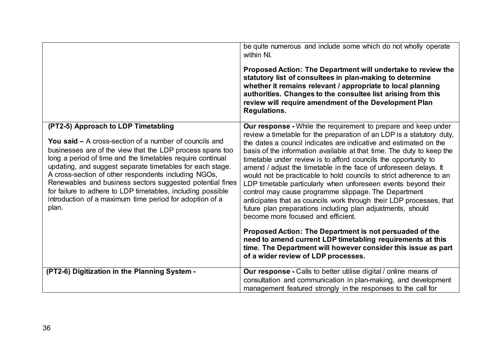|                                                                                                                                                                                                                                                                                                                                                                                                                                                                                                                                                 | be quite numerous and include some which do not wholly operate<br>within NI.<br>Proposed Action: The Department will undertake to review the<br>statutory list of consultees in plan-making to determine<br>whether it remains relevant / appropriate to local planning<br>authorities. Changes to the consultee list arising from this<br>review will require amendment of the Development Plan<br><b>Regulations.</b>                                                                                                                                                                                                                                                                                                                                                                                           |
|-------------------------------------------------------------------------------------------------------------------------------------------------------------------------------------------------------------------------------------------------------------------------------------------------------------------------------------------------------------------------------------------------------------------------------------------------------------------------------------------------------------------------------------------------|-------------------------------------------------------------------------------------------------------------------------------------------------------------------------------------------------------------------------------------------------------------------------------------------------------------------------------------------------------------------------------------------------------------------------------------------------------------------------------------------------------------------------------------------------------------------------------------------------------------------------------------------------------------------------------------------------------------------------------------------------------------------------------------------------------------------|
| (PT2-5) Approach to LDP Timetabling<br>You said $-$ A cross-section of a number of councils and<br>businesses are of the view that the LDP process spans too<br>long a period of time and the timetables require continual<br>updating, and suggest separate timetables for each stage.<br>A cross-section of other respondents including NGOs,<br>Renewables and business sectors suggested potential fines<br>for failure to adhere to LDP timetables, including possible<br>introduction of a maximum time period for adoption of a<br>plan. | <b>Our response -</b> While the requirement to prepare and keep under<br>review a timetable for the preparation of an LDP is a statutory duty,<br>the dates a council indicates are indicative and estimated on the<br>basis of the information available at that time. The duty to keep the<br>timetable under review is to afford councils the opportunity to<br>amend / adjust the timetable in the face of unforeseen delays. It<br>would not be practicable to hold councils to strict adherence to an<br>LDP timetable particularly when unforeseen events beyond their<br>control may cause programme slippage. The Department<br>anticipates that as councils work through their LDP processes, that<br>future plan preparations including plan adjustments, should<br>become more focused and efficient. |
|                                                                                                                                                                                                                                                                                                                                                                                                                                                                                                                                                 | Proposed Action: The Department is not persuaded of the<br>need to amend current LDP timetabling requirements at this<br>time. The Department will however consider this issue as part<br>of a wider review of LDP processes.                                                                                                                                                                                                                                                                                                                                                                                                                                                                                                                                                                                     |
| (PT2-6) Digitization in the Planning System -                                                                                                                                                                                                                                                                                                                                                                                                                                                                                                   | <b>Our response</b> - Calls to better utilise digital / online means of<br>consultation and communication in plan-making, and development<br>management featured strongly in the responses to the call for                                                                                                                                                                                                                                                                                                                                                                                                                                                                                                                                                                                                        |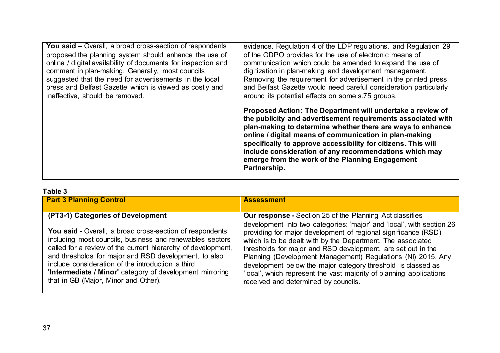| <b>You said – Overall, a broad cross-section of respondents</b> | evidence. Regulation 4 of the LDP regulations, and Regulation 29                                                                                                                                                                                                                                                                                                                                                                                 |
|-----------------------------------------------------------------|--------------------------------------------------------------------------------------------------------------------------------------------------------------------------------------------------------------------------------------------------------------------------------------------------------------------------------------------------------------------------------------------------------------------------------------------------|
| proposed the planning system should enhance the use of          | of the GDPO provides for the use of electronic means of                                                                                                                                                                                                                                                                                                                                                                                          |
| online / digital availability of documents for inspection and   | communication which could be amended to expand the use of                                                                                                                                                                                                                                                                                                                                                                                        |
| comment in plan-making. Generally, most councils                | digitization in plan-making and development management.                                                                                                                                                                                                                                                                                                                                                                                          |
| suggested that the need for advertisements in the local         | Removing the requirement for advertisement in the printed press                                                                                                                                                                                                                                                                                                                                                                                  |
| press and Belfast Gazette which is viewed as costly and         | and Belfast Gazette would need careful consideration particularly                                                                                                                                                                                                                                                                                                                                                                                |
| ineffective, should be removed.                                 | around its potential effects on some s.75 groups.                                                                                                                                                                                                                                                                                                                                                                                                |
|                                                                 | Proposed Action: The Department will undertake a review of<br>the publicity and advertisement requirements associated with<br>plan-making to determine whether there are ways to enhance<br>online / digital means of communication in plan-making<br>specifically to approve accessibility for citizens. This will<br>include consideration of any recommendations which may<br>emerge from the work of the Planning Engagement<br>Partnership. |

## **Table 3**

| <b>Part 3 Planning Control</b>                                                                                                                                                                                                                                                                                                                                                                                | <b>Assessment</b>                                                                                                                                                                                                                                                                                                                                                                                                                            |
|---------------------------------------------------------------------------------------------------------------------------------------------------------------------------------------------------------------------------------------------------------------------------------------------------------------------------------------------------------------------------------------------------------------|----------------------------------------------------------------------------------------------------------------------------------------------------------------------------------------------------------------------------------------------------------------------------------------------------------------------------------------------------------------------------------------------------------------------------------------------|
| (PT3-1) Categories of Development                                                                                                                                                                                                                                                                                                                                                                             | <b>Our response - Section 25 of the Planning Act classifies</b><br>development into two categories: 'major' and 'local', with section 26                                                                                                                                                                                                                                                                                                     |
| <b>You said - Overall, a broad cross-section of respondents</b><br>including most councils, business and renewables sectors<br>called for a review of the current hierarchy of development,<br>and thresholds for major and RSD development, to also<br>include consideration of the introduction a third<br>'Intermediate / Minor' category of development mirroring<br>that in GB (Major, Minor and Other). | providing for major development of regional significance (RSD)<br>which is to be dealt with by the Department. The associated<br>thresholds for major and RSD development, are set out in the<br>Planning (Development Management) Regulations (NI) 2015. Any<br>development below the major category threshold is classed as<br>'local', which represent the vast majority of planning applications<br>received and determined by councils. |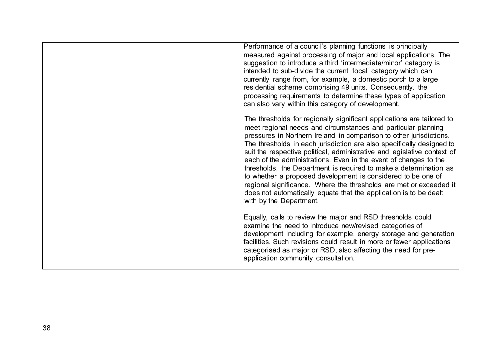| Performance of a council's planning functions is principally<br>measured against processing of major and local applications. The<br>suggestion to introduce a third 'intermediate/minor' category is<br>intended to sub-divide the current 'local' category which can<br>currently range from, for example, a domestic porch to a large<br>residential scheme comprising 49 units. Consequently, the<br>processing requirements to determine these types of application<br>can also vary within this category of development.                                                                                                                                                                                                                      |
|----------------------------------------------------------------------------------------------------------------------------------------------------------------------------------------------------------------------------------------------------------------------------------------------------------------------------------------------------------------------------------------------------------------------------------------------------------------------------------------------------------------------------------------------------------------------------------------------------------------------------------------------------------------------------------------------------------------------------------------------------|
| The thresholds for regionally significant applications are tailored to<br>meet regional needs and circumstances and particular planning<br>pressures in Northern Ireland in comparison to other jurisdictions.<br>The thresholds in each jurisdiction are also specifically designed to<br>suit the respective political, administrative and legislative context of<br>each of the administrations. Even in the event of changes to the<br>thresholds, the Department is required to make a determination as<br>to whether a proposed development is considered to be one of<br>regional significance. Where the thresholds are met or exceeded it<br>does not automatically equate that the application is to be dealt<br>with by the Department. |
| Equally, calls to review the major and RSD thresholds could<br>examine the need to introduce new/revised categories of<br>development including for example, energy storage and generation<br>facilities. Such revisions could result in more or fewer applications<br>categorised as major or RSD, also affecting the need for pre-<br>application community consultation.                                                                                                                                                                                                                                                                                                                                                                        |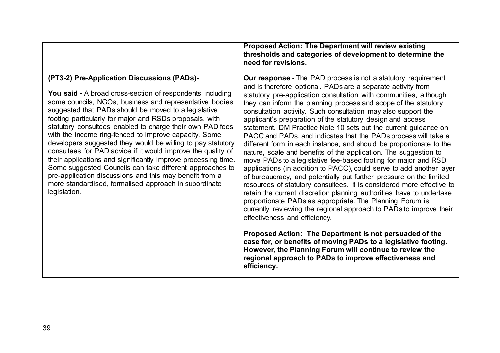|                                                                                                                                                                                                                                                                                                                                                                                                                                                                                                                                                                                                                                                                                                                                                                                                                     | <b>Proposed Action: The Department will review existing</b><br>thresholds and categories of development to determine the<br>need for revisions.                                                                                                                                                                                                                                                                                                                                                                                                                                                                                                                                                                                                                                                                                                                                                                                                                                                                                                                                                                                                                                                                                                                                                                                                                                                                                                                                                   |
|---------------------------------------------------------------------------------------------------------------------------------------------------------------------------------------------------------------------------------------------------------------------------------------------------------------------------------------------------------------------------------------------------------------------------------------------------------------------------------------------------------------------------------------------------------------------------------------------------------------------------------------------------------------------------------------------------------------------------------------------------------------------------------------------------------------------|---------------------------------------------------------------------------------------------------------------------------------------------------------------------------------------------------------------------------------------------------------------------------------------------------------------------------------------------------------------------------------------------------------------------------------------------------------------------------------------------------------------------------------------------------------------------------------------------------------------------------------------------------------------------------------------------------------------------------------------------------------------------------------------------------------------------------------------------------------------------------------------------------------------------------------------------------------------------------------------------------------------------------------------------------------------------------------------------------------------------------------------------------------------------------------------------------------------------------------------------------------------------------------------------------------------------------------------------------------------------------------------------------------------------------------------------------------------------------------------------------|
| (PT3-2) Pre-Application Discussions (PADs)-<br><b>You said - A broad cross-section of respondents including</b><br>some councils, NGOs, business and representative bodies<br>suggested that PADs should be moved to a legislative<br>footing particularly for major and RSDs proposals, with<br>statutory consultees enabled to charge their own PAD fees<br>with the income ring-fenced to improve capacity. Some<br>developers suggested they would be willing to pay statutory<br>consultees for PAD advice if it would improve the quality of<br>their applications and significantly improve processing time.<br>Some suggested Councils can take different approaches to<br>pre-application discussions and this may benefit from a<br>more standardised, formalised approach in subordinate<br>legislation. | <b>Our response</b> - The PAD process is not a statutory requirement<br>and is therefore optional. PADs are a separate activity from<br>statutory pre-application consultation with communities, although<br>they can inform the planning process and scope of the statutory<br>consultation activity. Such consultation may also support the<br>applicant's preparation of the statutory design and access<br>statement. DM Practice Note 10 sets out the current guidance on<br>PACC and PADs, and indicates that the PADs process will take a<br>different form in each instance, and should be proportionate to the<br>nature, scale and benefits of the application. The suggestion to<br>move PADs to a legislative fee-based footing for major and RSD<br>applications (in addition to PACC), could serve to add another layer<br>of bureaucracy, and potentially put further pressure on the limited<br>resources of statutory consultees. It is considered more effective to<br>retain the current discretion planning authorities have to undertake<br>proportionate PADs as appropriate. The Planning Forum is<br>currently reviewing the regional approach to PADs to improve their<br>effectiveness and efficiency.<br>Proposed Action: The Department is not persuaded of the<br>case for, or benefits of moving PADs to a legislative footing.<br>However, the Planning Forum will continue to review the<br>regional approach to PADs to improve effectiveness and<br>efficiency. |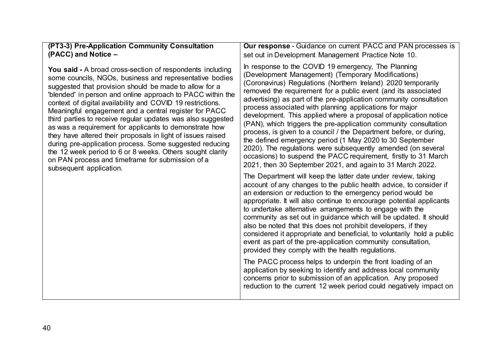| (PT3-3) Pre-Application Community Consultation                   | <b>Our response</b> - Guidance on current PACC and PAN processes is                                                                                                                                                                                                                                                                                                                                                                                                                                                                                                                                                                                                        |
|------------------------------------------------------------------|----------------------------------------------------------------------------------------------------------------------------------------------------------------------------------------------------------------------------------------------------------------------------------------------------------------------------------------------------------------------------------------------------------------------------------------------------------------------------------------------------------------------------------------------------------------------------------------------------------------------------------------------------------------------------|
| (PACC) and Notice -                                              | set out in Development Management Practice Note 10.                                                                                                                                                                                                                                                                                                                                                                                                                                                                                                                                                                                                                        |
| <b>You said - A broad cross-section of respondents including</b> | In response to the COVID 19 emergency, The Planning                                                                                                                                                                                                                                                                                                                                                                                                                                                                                                                                                                                                                        |
| some councils, NGOs, business and representative bodies          | (Development Management) (Temporary Modifications)                                                                                                                                                                                                                                                                                                                                                                                                                                                                                                                                                                                                                         |
| suggested that provision should be made to allow for a           | (Coronavirus) Regulations (Northern Ireland) 2020 temporarily                                                                                                                                                                                                                                                                                                                                                                                                                                                                                                                                                                                                              |
| 'blended' in person and online approach to PACC within the       | removed the requirement for a public event (and its associated                                                                                                                                                                                                                                                                                                                                                                                                                                                                                                                                                                                                             |
| context of digital availability and COVID 19 restrictions.       | advertising) as part of the pre-application community consultation                                                                                                                                                                                                                                                                                                                                                                                                                                                                                                                                                                                                         |
| Meaningful engagement and a central register for PACC            | process associated with planning applications for major                                                                                                                                                                                                                                                                                                                                                                                                                                                                                                                                                                                                                    |
| third parties to receive regular updates was also suggested      | development. This applied where a proposal of application notice                                                                                                                                                                                                                                                                                                                                                                                                                                                                                                                                                                                                           |
| as was a requirement for applicants to demonstrate how           | (PAN), which triggers the pre-application community consultation                                                                                                                                                                                                                                                                                                                                                                                                                                                                                                                                                                                                           |
| they have altered their proposals in light of issues raised      | process, is given to a council / the Department before, or during,                                                                                                                                                                                                                                                                                                                                                                                                                                                                                                                                                                                                         |
| during pre-application process. Some suggested reducing          | the defined emergency period (1 May 2020 to 30 September                                                                                                                                                                                                                                                                                                                                                                                                                                                                                                                                                                                                                   |
| the 12 week period to 6 or 8 weeks. Others sought clarity        | 2020). The regulations were subsequently amended (on several                                                                                                                                                                                                                                                                                                                                                                                                                                                                                                                                                                                                               |
| on PAN process and timeframe for submission of a                 | occasions) to suspend the PACC requirement, firstly to 31 March                                                                                                                                                                                                                                                                                                                                                                                                                                                                                                                                                                                                            |
| subsequent application.                                          | 2021, then 30 September 2021, and again to 31 March 2022.                                                                                                                                                                                                                                                                                                                                                                                                                                                                                                                                                                                                                  |
|                                                                  | The Department will keep the latter date under review, taking<br>account of any changes to the public health advice, to consider if<br>an extension or reduction to the emergency period would be<br>appropriate. It will also continue to encourage potential applicants<br>to undertake alternative arrangements to engage with the<br>community as set out in guidance which will be updated. It should<br>also be noted that this does not prohibit developers, if they<br>considered it appropriate and beneficial, to voluntarily hold a public<br>event as part of the pre-application community consultation,<br>provided they comply with the health regulations. |
|                                                                  | The PACC process helps to underpin the front loading of an<br>application by seeking to identify and address local community<br>concerns prior to submission of an application. Any proposed<br>reduction to the current 12 week period could negatively impact on                                                                                                                                                                                                                                                                                                                                                                                                         |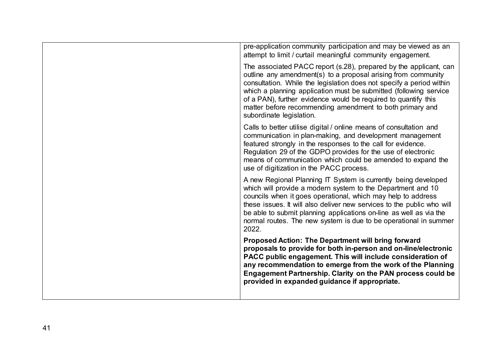| pre-application community participation and may be viewed as an<br>attempt to limit / curtail meaningful community engagement.                                                                                                                                                                                                                                                                                                            |
|-------------------------------------------------------------------------------------------------------------------------------------------------------------------------------------------------------------------------------------------------------------------------------------------------------------------------------------------------------------------------------------------------------------------------------------------|
| The associated PACC report (s.28), prepared by the applicant, can<br>outline any amendment(s) to a proposal arising from community<br>consultation. While the legislation does not specify a period within<br>which a planning application must be submitted (following service<br>of a PAN), further evidence would be required to quantify this<br>matter before recommending amendment to both primary and<br>subordinate legislation. |
| Calls to better utilise digital / online means of consultation and<br>communication in plan-making, and development management<br>featured strongly in the responses to the call for evidence.<br>Regulation 29 of the GDPO provides for the use of electronic<br>means of communication which could be amended to expand the<br>use of digitization in the PACC process.                                                                 |
| A new Regional Planning IT System is currently being developed<br>which will provide a modern system to the Department and 10<br>councils when it goes operational, which may help to address<br>these issues. It will also deliver new services to the public who will<br>be able to submit planning applications on-line as well as via the<br>normal routes. The new system is due to be operational in summer<br>2022.                |
| Proposed Action: The Department will bring forward<br>proposals to provide for both in-person and on-line/electronic<br>PACC public engagement. This will include consideration of<br>any recommendation to emerge from the work of the Planning<br>Engagement Partnership. Clarity on the PAN process could be<br>provided in expanded guidance if appropriate.                                                                          |
|                                                                                                                                                                                                                                                                                                                                                                                                                                           |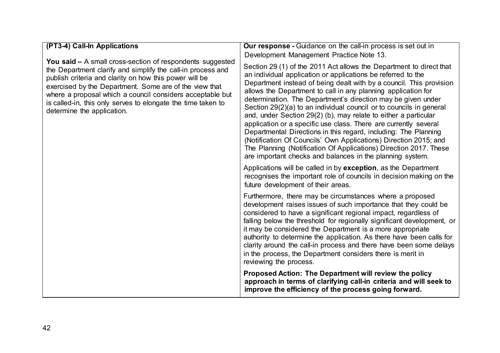| (PT3-4) Call-In Applications<br><b>You said –</b> A small cross-section of respondents suggested<br>the Department clarify and simplify the call-in process and<br>publish criteria and clarity on how this power will be<br>exercised by the Department. Some are of the view that<br>where a proposal which a council considers acceptable but<br>is called-in, this only serves to elongate the time taken to<br>determine the application. | <b>Our response</b> - Guidance on the call-in process is set out in<br>Development Management Practice Note 13.<br>Section 29 (1) of the 2011 Act allows the Department to direct that<br>an individual application or applications be referred to the<br>Department instead of being dealt with by a council. This provision<br>allows the Department to call in any planning application for<br>determination. The Department's direction may be given under<br>Section 29(2)(a) to an individual council or to councils in general<br>and, under Section 29(2) (b), may relate to either a particular<br>application or a specific use class. There are currently several<br>Departmental Directions in this regard, including: The Planning<br>(Notification Of Councils' Own Applications) Direction 2015; and<br>The Planning (Notification Of Applications) Direction 2017. These<br>are important checks and balances in the planning system. |
|------------------------------------------------------------------------------------------------------------------------------------------------------------------------------------------------------------------------------------------------------------------------------------------------------------------------------------------------------------------------------------------------------------------------------------------------|-------------------------------------------------------------------------------------------------------------------------------------------------------------------------------------------------------------------------------------------------------------------------------------------------------------------------------------------------------------------------------------------------------------------------------------------------------------------------------------------------------------------------------------------------------------------------------------------------------------------------------------------------------------------------------------------------------------------------------------------------------------------------------------------------------------------------------------------------------------------------------------------------------------------------------------------------------|
|                                                                                                                                                                                                                                                                                                                                                                                                                                                | Applications will be called in by exception, as the Department<br>recognises the important role of councils in decision making on the<br>future development of their areas.                                                                                                                                                                                                                                                                                                                                                                                                                                                                                                                                                                                                                                                                                                                                                                           |
|                                                                                                                                                                                                                                                                                                                                                                                                                                                | Furthermore, there may be circumstances where a proposed<br>development raises issues of such importance that they could be<br>considered to have a significant regional impact, regardless of<br>falling below the threshold for regionally significant development, or<br>it may be considered the Department is a more appropriate<br>authority to determine the application. As there have been calls for<br>clarity around the call-in process and there have been some delays<br>in the process, the Department considers there is merit in<br>reviewing the process.                                                                                                                                                                                                                                                                                                                                                                           |
|                                                                                                                                                                                                                                                                                                                                                                                                                                                | Proposed Action: The Department will review the policy<br>approach in terms of clarifying call-in criteria and will seek to<br>improve the efficiency of the process going forward.                                                                                                                                                                                                                                                                                                                                                                                                                                                                                                                                                                                                                                                                                                                                                                   |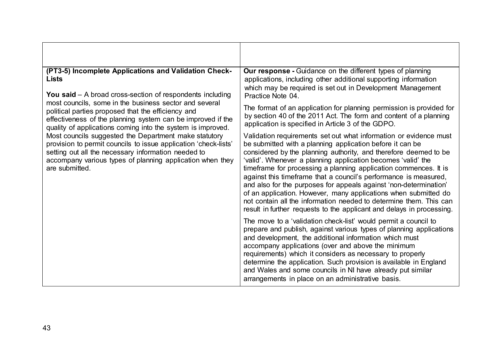| (PT3-5) Incomplete Applications and Validation Check-<br><b>Lists</b><br><b>You said</b> $-$ A broad cross-section of respondents including<br>most councils, some in the business sector and several<br>political parties proposed that the efficiency and<br>effectiveness of the planning system can be improved if the<br>quality of applications coming into the system is improved.<br>Most councils suggested the Department make statutory<br>provision to permit councils to issue application 'check-lists'<br>setting out all the necessary information needed to<br>accompany various types of planning application when they<br>are submitted. | <b>Our response</b> - Guidance on the different types of planning<br>applications, including other additional supporting information<br>which may be required is set out in Development Management<br>Practice Note 04.                                                                                                                                                                                                                                                                                                                                                                                                                                                                           |
|-------------------------------------------------------------------------------------------------------------------------------------------------------------------------------------------------------------------------------------------------------------------------------------------------------------------------------------------------------------------------------------------------------------------------------------------------------------------------------------------------------------------------------------------------------------------------------------------------------------------------------------------------------------|---------------------------------------------------------------------------------------------------------------------------------------------------------------------------------------------------------------------------------------------------------------------------------------------------------------------------------------------------------------------------------------------------------------------------------------------------------------------------------------------------------------------------------------------------------------------------------------------------------------------------------------------------------------------------------------------------|
|                                                                                                                                                                                                                                                                                                                                                                                                                                                                                                                                                                                                                                                             | The format of an application for planning permission is provided for<br>by section 40 of the 2011 Act. The form and content of a planning<br>application is specified in Article 3 of the GDPO.                                                                                                                                                                                                                                                                                                                                                                                                                                                                                                   |
|                                                                                                                                                                                                                                                                                                                                                                                                                                                                                                                                                                                                                                                             | Validation requirements set out what information or evidence must<br>be submitted with a planning application before it can be<br>considered by the planning authority, and therefore deemed to be<br>'valid'. Whenever a planning application becomes 'valid' the<br>timeframe for processing a planning application commences. It is<br>against this timeframe that a council's performance is measured,<br>and also for the purposes for appeals against 'non-determination'<br>of an application. However, many applications when submitted do<br>not contain all the information needed to determine them. This can<br>result in further requests to the applicant and delays in processing. |
|                                                                                                                                                                                                                                                                                                                                                                                                                                                                                                                                                                                                                                                             | The move to a 'validation check-list' would permit a council to<br>prepare and publish, against various types of planning applications<br>and development, the additional information which must<br>accompany applications (over and above the minimum<br>requirements) which it considers as necessary to properly<br>determine the application. Such provision is available in England<br>and Wales and some councils in NI have already put similar<br>arrangements in place on an administrative basis.                                                                                                                                                                                       |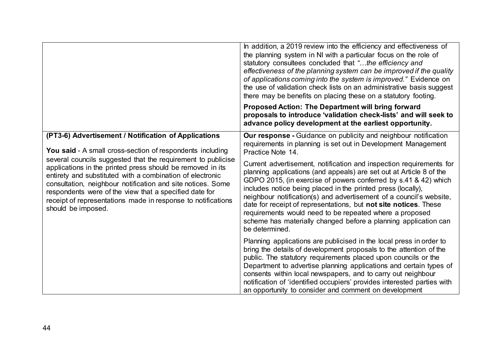|                                                                                                                                                                                                                                                                                                                                                                                                                                                                                                                                    | In addition, a 2019 review into the efficiency and effectiveness of<br>the planning system in NI with a particular focus on the role of<br>statutory consultees concluded that "the efficiency and<br>effectiveness of the planning system can be improved if the quality<br>of applications coming into the system is improved." Evidence on<br>the use of validation check lists on an administrative basis suggest<br>there may be benefits on placing these on a statutory footing.                                                                                  |
|------------------------------------------------------------------------------------------------------------------------------------------------------------------------------------------------------------------------------------------------------------------------------------------------------------------------------------------------------------------------------------------------------------------------------------------------------------------------------------------------------------------------------------|--------------------------------------------------------------------------------------------------------------------------------------------------------------------------------------------------------------------------------------------------------------------------------------------------------------------------------------------------------------------------------------------------------------------------------------------------------------------------------------------------------------------------------------------------------------------------|
|                                                                                                                                                                                                                                                                                                                                                                                                                                                                                                                                    | <b>Proposed Action: The Department will bring forward</b><br>proposals to introduce 'validation check-lists' and will seek to<br>advance policy development at the earliest opportunity.                                                                                                                                                                                                                                                                                                                                                                                 |
| (PT3-6) Advertisement / Notification of Applications<br><b>You said - A small cross-section of respondents including</b><br>several councils suggested that the requirement to publicise<br>applications in the printed press should be removed in its<br>entirety and substituted with a combination of electronic<br>consultation, neighbour notification and site notices. Some<br>respondents were of the view that a specified date for<br>receipt of representations made in response to notifications<br>should be imposed. | Our response - Guidance on publicity and neighbour notification<br>requirements in planning is set out in Development Management<br>Practice Note 14.                                                                                                                                                                                                                                                                                                                                                                                                                    |
|                                                                                                                                                                                                                                                                                                                                                                                                                                                                                                                                    | Current advertisement, notification and inspection requirements for<br>planning applications (and appeals) are set out at Article 8 of the<br>GDPO 2015, (in exercise of powers conferred by s.41 & 42) which<br>includes notice being placed in the printed press (locally),<br>neighbour notification(s) and advertisement of a council's website,<br>date for receipt of representations, but not site notices. These<br>requirements would need to be repeated where a proposed<br>scheme has materially changed before a planning application can<br>be determined. |
|                                                                                                                                                                                                                                                                                                                                                                                                                                                                                                                                    | Planning applications are publicised in the local press in order to<br>bring the details of development proposals to the attention of the<br>public. The statutory requirements placed upon councils or the<br>Department to advertise planning applications and certain types of<br>consents within local newspapers, and to carry out neighbour<br>notification of 'identified occupiers' provides interested parties with<br>an opportunity to consider and comment on development                                                                                    |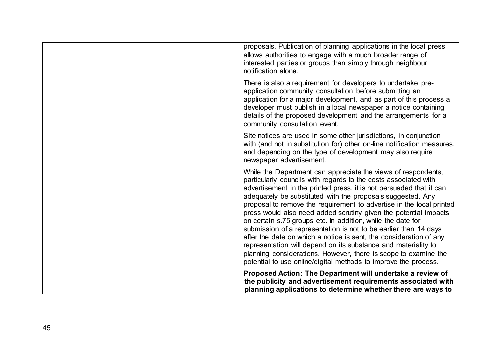| proposals. Publication of planning applications in the local press<br>allows authorities to engage with a much broader range of<br>interested parties or groups than simply through neighbour<br>notification alone.                                                                                                                                                                                                                                                                                                                                                                                                                                                                                                                                                                                                                |
|-------------------------------------------------------------------------------------------------------------------------------------------------------------------------------------------------------------------------------------------------------------------------------------------------------------------------------------------------------------------------------------------------------------------------------------------------------------------------------------------------------------------------------------------------------------------------------------------------------------------------------------------------------------------------------------------------------------------------------------------------------------------------------------------------------------------------------------|
| There is also a requirement for developers to undertake pre-<br>application community consultation before submitting an<br>application for a major development, and as part of this process a<br>developer must publish in a local newspaper a notice containing<br>details of the proposed development and the arrangements for a<br>community consultation event.                                                                                                                                                                                                                                                                                                                                                                                                                                                                 |
| Site notices are used in some other jurisdictions, in conjunction<br>with (and not in substitution for) other on-line notification measures,<br>and depending on the type of development may also require<br>newspaper advertisement.                                                                                                                                                                                                                                                                                                                                                                                                                                                                                                                                                                                               |
| While the Department can appreciate the views of respondents,<br>particularly councils with regards to the costs associated with<br>advertisement in the printed press, it is not persuaded that it can<br>adequately be substituted with the proposals suggested. Any<br>proposal to remove the requirement to advertise in the local printed<br>press would also need added scrutiny given the potential impacts<br>on certain s.75 groups etc. In addition, while the date for<br>submission of a representation is not to be earlier than 14 days<br>after the date on which a notice is sent, the consideration of any<br>representation will depend on its substance and materiality to<br>planning considerations. However, there is scope to examine the<br>potential to use online/digital methods to improve the process. |
| Proposed Action: The Department will undertake a review of<br>the publicity and advertisement requirements associated with<br>planning applications to determine whether there are ways to                                                                                                                                                                                                                                                                                                                                                                                                                                                                                                                                                                                                                                          |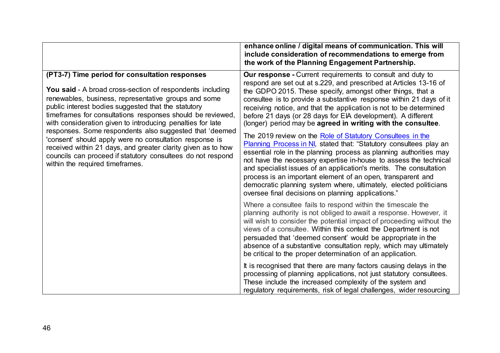|                                                                                                                                                                                                                                                                                                                                                                                                                                                                                                                                                                                                                                                | enhance online / digital means of communication. This will<br>include consideration of recommendations to emerge from<br>the work of the Planning Engagement Partnership.                                                                                                                                                                                                                                                                                                                                                                       |
|------------------------------------------------------------------------------------------------------------------------------------------------------------------------------------------------------------------------------------------------------------------------------------------------------------------------------------------------------------------------------------------------------------------------------------------------------------------------------------------------------------------------------------------------------------------------------------------------------------------------------------------------|-------------------------------------------------------------------------------------------------------------------------------------------------------------------------------------------------------------------------------------------------------------------------------------------------------------------------------------------------------------------------------------------------------------------------------------------------------------------------------------------------------------------------------------------------|
| (PT3-7) Time period for consultation responses<br>You said - A broad cross-section of respondents including<br>renewables, business, representative groups and some<br>public interest bodies suggested that the statutory<br>timeframes for consultations responses should be reviewed,<br>with consideration given to introducing penalties for late<br>responses. Some respondents also suggested that 'deemed<br>'consent' should apply were no consultation response is<br>received within 21 days, and greater clarity given as to how<br>councils can proceed if statutory consultees do not respond<br>within the required timeframes. | <b>Our response</b> - Current requirements to consult and duty to<br>respond are set out at s.229, and prescribed at Articles 13-16 of<br>the GDPO 2015. These specify, amongst other things, that a<br>consultee is to provide a substantive response within 21 days of it<br>receiving notice, and that the application is not to be determined<br>before 21 days (or 28 days for EIA development). A different<br>(longer) period may be agreed in writing with the consultee.<br>The 2019 review on the Role of Statutory Consultees in the |
|                                                                                                                                                                                                                                                                                                                                                                                                                                                                                                                                                                                                                                                | Planning Process in NI, stated that: "Statutory consultees play an<br>essential role in the planning process as planning authorities may<br>not have the necessary expertise in-house to assess the technical<br>and specialist issues of an application's merits. The consultation<br>process is an important element of an open, transparent and<br>democratic planning system where, ultimately, elected politicians<br>oversee final decisions on planning applications."                                                                   |
|                                                                                                                                                                                                                                                                                                                                                                                                                                                                                                                                                                                                                                                | Where a consultee fails to respond within the timescale the<br>planning authority is not obliged to await a response. However, it<br>will wish to consider the potential impact of proceeding without the<br>views of a consultee. Within this context the Department is not<br>persuaded that 'deemed consent' would be appropriate in the<br>absence of a substantive consultation reply, which may ultimately<br>be critical to the proper determination of an application.                                                                  |
|                                                                                                                                                                                                                                                                                                                                                                                                                                                                                                                                                                                                                                                | It is recognised that there are many factors causing delays in the<br>processing of planning applications, not just statutory consultees.<br>These include the increased complexity of the system and<br>regulatory requirements, risk of legal challenges, wider resourcing                                                                                                                                                                                                                                                                    |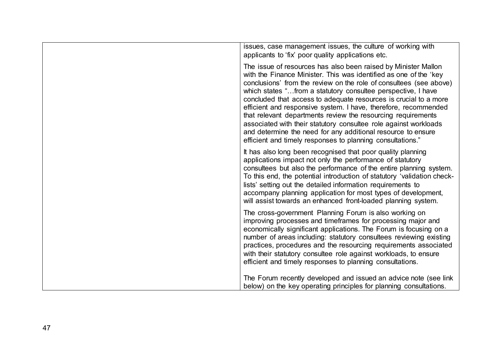| issues, case management issues, the culture of working with                                                                                                                                                                                                                                                                                                                                                                                                                                                                                                                                                                                                                        |
|------------------------------------------------------------------------------------------------------------------------------------------------------------------------------------------------------------------------------------------------------------------------------------------------------------------------------------------------------------------------------------------------------------------------------------------------------------------------------------------------------------------------------------------------------------------------------------------------------------------------------------------------------------------------------------|
| applicants to 'fix' poor quality applications etc.                                                                                                                                                                                                                                                                                                                                                                                                                                                                                                                                                                                                                                 |
| The issue of resources has also been raised by Minister Mallon<br>with the Finance Minister. This was identified as one of the 'key<br>conclusions' from the review on the role of consultees (see above)<br>which states "from a statutory consultee perspective, I have<br>concluded that access to adequate resources is crucial to a more<br>efficient and responsive system. I have, therefore, recommended<br>that relevant departments review the resourcing requirements<br>associated with their statutory consultee role against workloads<br>and determine the need for any additional resource to ensure<br>efficient and timely responses to planning consultations." |
| It has also long been recognised that poor quality planning<br>applications impact not only the performance of statutory<br>consultees but also the performance of the entire planning system.<br>To this end, the potential introduction of statutory 'validation check-<br>lists' setting out the detailed information requirements to<br>accompany planning application for most types of development,<br>will assist towards an enhanced front-loaded planning system.                                                                                                                                                                                                         |
| The cross-government Planning Forum is also working on<br>improving processes and timeframes for processing major and<br>economically significant applications. The Forum is focusing on a<br>number of areas including: statutory consultees reviewing existing<br>practices, procedures and the resourcing requirements associated<br>with their statutory consultee role against workloads, to ensure<br>efficient and timely responses to planning consultations.                                                                                                                                                                                                              |
| The Forum recently developed and issued an advice note (see link<br>below) on the key operating principles for planning consultations.                                                                                                                                                                                                                                                                                                                                                                                                                                                                                                                                             |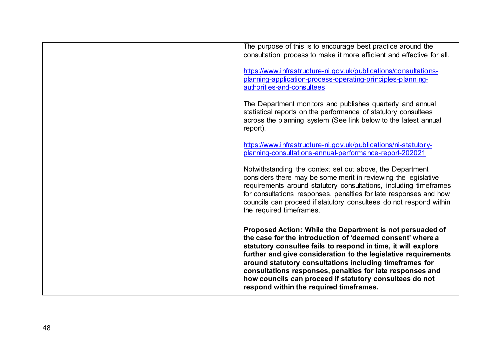| The purpose of this is to encourage best practice around the<br>consultation process to make it more efficient and effective for all.                                                                                                                                                                                                                                                                                                                                                   |
|-----------------------------------------------------------------------------------------------------------------------------------------------------------------------------------------------------------------------------------------------------------------------------------------------------------------------------------------------------------------------------------------------------------------------------------------------------------------------------------------|
| https://www.infrastructure-ni.gov.uk/publications/consultations-<br>planning-application-process-operating-principles-planning-<br>authorities-and-consultees                                                                                                                                                                                                                                                                                                                           |
| The Department monitors and publishes quarterly and annual<br>statistical reports on the performance of statutory consultees<br>across the planning system (See link below to the latest annual<br>report).                                                                                                                                                                                                                                                                             |
| https://www.infrastructure-ni.gov.uk/publications/ni-statutory-<br>planning-consultations-annual-performance-report-202021                                                                                                                                                                                                                                                                                                                                                              |
| Notwithstanding the context set out above, the Department<br>considers there may be some merit in reviewing the legislative<br>requirements around statutory consultations, including timeframes<br>for consultations responses, penalties for late responses and how<br>councils can proceed if statutory consultees do not respond within<br>the required timeframes.                                                                                                                 |
| Proposed Action: While the Department is not persuaded of<br>the case for the introduction of 'deemed consent' where a<br>statutory consultee fails to respond in time, it will explore<br>further and give consideration to the legislative requirements<br>around statutory consultations including timeframes for<br>consultations responses, penalties for late responses and<br>how councils can proceed if statutory consultees do not<br>respond within the required timeframes. |
|                                                                                                                                                                                                                                                                                                                                                                                                                                                                                         |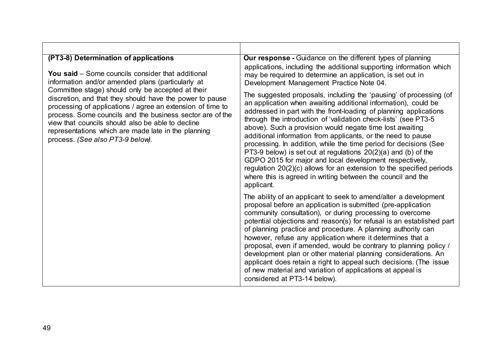| (PT3-8) Determination of applications<br><b>You said</b> – Some councils consider that additional<br>information and/or amended plans (particularly at<br>Committee stage) should only be accepted at their<br>discretion, and that they should have the power to pause<br>processing of applications / agree an extension of time to<br>process. Some councils and the business sector are of the<br>view that councils should also be able to decline<br>representations which are made late in the planning<br>process. (See also PT3-9 below). | <b>Our response</b> - Guidance on the different types of planning<br>applications, including the additional supporting information which<br>may be required to determine an application, is set out in<br>Development Management Practice Note 04.<br>The suggested proposals, including the 'pausing' of processing (of<br>an application when awaiting additional information), could be<br>addressed in part with the front-loading of planning applications<br>through the introduction of 'validation check-lists' (see PT3-5)<br>above). Such a provision would negate time lost awaiting<br>additional information from applicants, or the need to pause<br>processing. In addition, while the time period for decisions (See<br>PT3-9 below) is set out at regulations 20(2)(a) and (b) of the<br>GDPO 2015 for major and local development respectively,<br>regulation 20(2)(c) allows for an extension to the specified periods<br>where this is agreed in writing between the council and the<br>applicant. |
|----------------------------------------------------------------------------------------------------------------------------------------------------------------------------------------------------------------------------------------------------------------------------------------------------------------------------------------------------------------------------------------------------------------------------------------------------------------------------------------------------------------------------------------------------|------------------------------------------------------------------------------------------------------------------------------------------------------------------------------------------------------------------------------------------------------------------------------------------------------------------------------------------------------------------------------------------------------------------------------------------------------------------------------------------------------------------------------------------------------------------------------------------------------------------------------------------------------------------------------------------------------------------------------------------------------------------------------------------------------------------------------------------------------------------------------------------------------------------------------------------------------------------------------------------------------------------------|
|                                                                                                                                                                                                                                                                                                                                                                                                                                                                                                                                                    | The ability of an applicant to seek to amend/alter a development<br>proposal before an application is submitted (pre-application<br>community consultation), or during processing to overcome<br>potential objections and reason(s) for refusal is an established part<br>of planning practice and procedure. A planning authority can<br>however, refuse any application where it determines that a<br>proposal, even if amended, would be contrary to planning policy /<br>development plan or other material planning considerations. An<br>applicant does retain a right to appeal such decisions. (The issue<br>of new material and variation of applications at appeal is<br>considered at PT3-14 below).                                                                                                                                                                                                                                                                                                        |

Г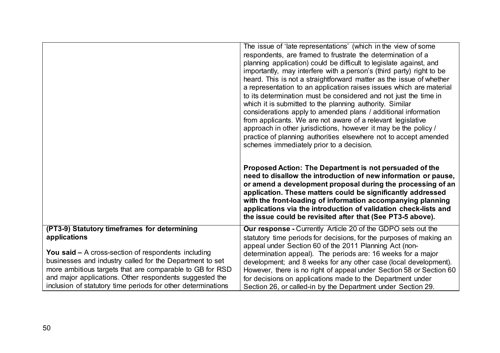|                                                                                                                                                                                                                                                                                                          | The issue of 'late representations' (which in the view of some<br>respondents, are framed to frustrate the determination of a<br>planning application) could be difficult to legislate against, and<br>importantly, may interfere with a person's (third party) right to be<br>heard. This is not a straightforward matter as the issue of whether<br>a representation to an application raises issues which are material<br>to its determination must be considered and not just the time in<br>which it is submitted to the planning authority. Similar<br>considerations apply to amended plans / additional information<br>from applicants. We are not aware of a relevant legislative<br>approach in other jurisdictions, however it may be the policy /<br>practice of planning authorities elsewhere not to accept amended<br>schemes immediately prior to a decision.<br>Proposed Action: The Department is not persuaded of the<br>need to disallow the introduction of new information or pause,<br>or amend a development proposal during the processing of an<br>application. These matters could be significantly addressed<br>with the front-loading of information accompanying planning<br>applications via the introduction of validation check-lists and |
|----------------------------------------------------------------------------------------------------------------------------------------------------------------------------------------------------------------------------------------------------------------------------------------------------------|----------------------------------------------------------------------------------------------------------------------------------------------------------------------------------------------------------------------------------------------------------------------------------------------------------------------------------------------------------------------------------------------------------------------------------------------------------------------------------------------------------------------------------------------------------------------------------------------------------------------------------------------------------------------------------------------------------------------------------------------------------------------------------------------------------------------------------------------------------------------------------------------------------------------------------------------------------------------------------------------------------------------------------------------------------------------------------------------------------------------------------------------------------------------------------------------------------------------------------------------------------------------------|
|                                                                                                                                                                                                                                                                                                          | the issue could be revisited after that (See PT3-5 above).                                                                                                                                                                                                                                                                                                                                                                                                                                                                                                                                                                                                                                                                                                                                                                                                                                                                                                                                                                                                                                                                                                                                                                                                                 |
| (PT3-9) Statutory timeframes for determining<br>applications                                                                                                                                                                                                                                             | <b>Our response - Currently Article 20 of the GDPO sets out the</b><br>statutory time periods for decisions, for the purposes of making an                                                                                                                                                                                                                                                                                                                                                                                                                                                                                                                                                                                                                                                                                                                                                                                                                                                                                                                                                                                                                                                                                                                                 |
| You said $-$ A cross-section of respondents including<br>businesses and industry called for the Department to set<br>more ambitious targets that are comparable to GB for RSD<br>and major applications. Other respondents suggested the<br>inclusion of statutory time periods for other determinations | appeal under Section 60 of the 2011 Planning Act (non-<br>determination appeal). The periods are: 16 weeks for a major<br>development; and 8 weeks for any other case (local development).<br>However, there is no right of appeal under Section 58 or Section 60<br>for decisions on applications made to the Department under<br>Section 26, or called-in by the Department under Section 29.                                                                                                                                                                                                                                                                                                                                                                                                                                                                                                                                                                                                                                                                                                                                                                                                                                                                            |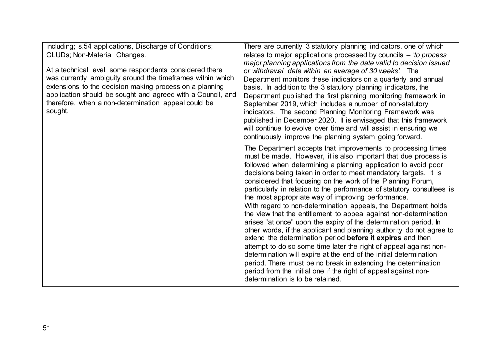including; s.54 applications, Discharge of Conditions; CLUDs; Non-Material Changes.

At a technical level, some respondents considered there was currently ambiguity around the timeframes within which extensions to the decision making process on a planning application should be sought and agreed with a Council, and therefore, when a non-determination appeal could be sought.

There are currently 3 statutory planning indicators, one of which relates to major applications processed by councils – '*to process major planning applications from the date valid to decision issued or withdrawal date within an average of 30 weeks'*. The Department monitors these indicators on a quarterly and annual basis. In addition to the 3 statutory planning indicators, the Department published the first planning monitoring framework in September 2019, which includes a number of non-statutory indicators. The second Planning Monitoring Framework was published in December 2020. It is envisaged that this framework will continue to evolve over time and will assist in ensuring we continuously improve the planning system going forward.

The Department accepts that improvements to processing times must be made. However, it is also important that due process is followed when determining a planning application to avoid poor decisions being taken in order to meet mandatory targets. It is considered that focusing on the work of the Planning Forum, particularly in relation to the performance of statutory consultees is the most appropriate way of improving performance. With regard to non-determination appeals, the Department holds the view that the entitlement to appeal against non-determination arises "at once" upon the expiry of the determination period. In other words, if the applicant and planning authority do not agree to extend the determination period **before it expires** and then attempt to do so some time later the right of appeal against nondetermination will expire at the end of the initial determination period. There must be no break in extending the determination period from the initial one if the right of appeal against nondetermination is to be retained.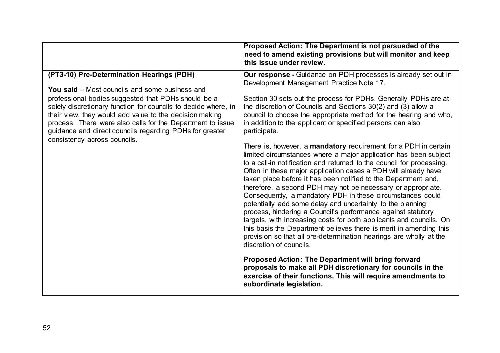|                                                                                                                                                                                                                                                                                                                                                                                                                                                 | Proposed Action: The Department is not persuaded of the<br>need to amend existing provisions but will monitor and keep<br>this issue under review.                                                                                                                                                                                                                                                                                                                                                                                                                                                                                                                                                                                                                                                                                                                                                                                                                                                                                                                                                                                                                                                                                                                                                                                                                                                                                                                                                      |
|-------------------------------------------------------------------------------------------------------------------------------------------------------------------------------------------------------------------------------------------------------------------------------------------------------------------------------------------------------------------------------------------------------------------------------------------------|---------------------------------------------------------------------------------------------------------------------------------------------------------------------------------------------------------------------------------------------------------------------------------------------------------------------------------------------------------------------------------------------------------------------------------------------------------------------------------------------------------------------------------------------------------------------------------------------------------------------------------------------------------------------------------------------------------------------------------------------------------------------------------------------------------------------------------------------------------------------------------------------------------------------------------------------------------------------------------------------------------------------------------------------------------------------------------------------------------------------------------------------------------------------------------------------------------------------------------------------------------------------------------------------------------------------------------------------------------------------------------------------------------------------------------------------------------------------------------------------------------|
| (PT3-10) Pre-Determination Hearings (PDH)<br><b>You said</b> – Most councils and some business and<br>professional bodies suggested that PDHs should be a<br>solely discretionary function for councils to decide where, in<br>their view, they would add value to the decision making<br>process. There were also calls for the Department to issue<br>guidance and direct councils regarding PDHs for greater<br>consistency across councils. | <b>Our response - Guidance on PDH processes is already set out in</b><br>Development Management Practice Note 17.<br>Section 30 sets out the process for PDHs. Generally PDHs are at<br>the discretion of Councils and Sections $30(2)$ and (3) allow a<br>council to choose the appropriate method for the hearing and who,<br>in addition to the applicant or specified persons can also<br>participate.<br>There is, however, a <b>mandatory</b> requirement for a PDH in certain<br>limited circumstances where a major application has been subject<br>to a call-in notification and returned to the council for processing.<br>Often in these major application cases a PDH will already have<br>taken place before it has been notified to the Department and,<br>therefore, a second PDH may not be necessary or appropriate.<br>Consequently, a mandatory PDH in these circumstances could<br>potentially add some delay and uncertainty to the planning<br>process, hindering a Council's performance against statutory<br>targets, with increasing costs for both applicants and councils. On<br>this basis the Department believes there is merit in amending this<br>provision so that all pre-determination hearings are wholly at the<br>discretion of councils.<br><b>Proposed Action: The Department will bring forward</b><br>proposals to make all PDH discretionary for councils in the<br>exercise of their functions. This will require amendments to<br>subordinate legislation. |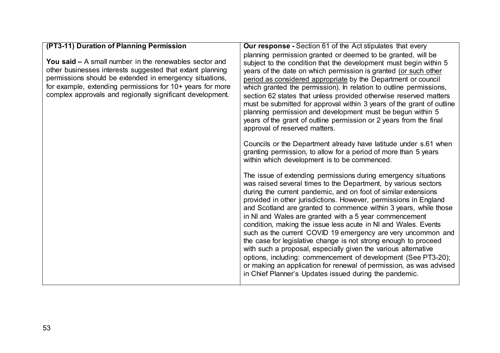| (PT3-11) Duration of Planning Permission                                                                                                                                                                                                                                                                 | <b>Our response - Section 61 of the Act stipulates that every</b>                                                                                                                                                                                                                                                                                                                                                                                                                                                                                                                                                                                                                                                                                                                                                                                                                                                                                                                                                                                                                                                                                                                                                                                                                                                                                                                                                                                                                                                                    |
|----------------------------------------------------------------------------------------------------------------------------------------------------------------------------------------------------------------------------------------------------------------------------------------------------------|--------------------------------------------------------------------------------------------------------------------------------------------------------------------------------------------------------------------------------------------------------------------------------------------------------------------------------------------------------------------------------------------------------------------------------------------------------------------------------------------------------------------------------------------------------------------------------------------------------------------------------------------------------------------------------------------------------------------------------------------------------------------------------------------------------------------------------------------------------------------------------------------------------------------------------------------------------------------------------------------------------------------------------------------------------------------------------------------------------------------------------------------------------------------------------------------------------------------------------------------------------------------------------------------------------------------------------------------------------------------------------------------------------------------------------------------------------------------------------------------------------------------------------------|
| You said - A small number in the renewables sector and<br>other businesses interests suggested that extant planning<br>permissions should be extended in emergency situations,<br>for example, extending permissions for 10+ years for more<br>complex approvals and regionally significant development. | planning permission granted or deemed to be granted, will be<br>subject to the condition that the development must begin within 5<br>years of the date on which permission is granted (or such other<br>period as considered appropriate by the Department or council<br>which granted the permission). In relation to outline permissions,<br>section 62 states that unless provided otherwise reserved matters<br>must be submitted for approval within 3 years of the grant of outline<br>planning permission and development must be begun within 5<br>years of the grant of outline permission or 2 years from the final<br>approval of reserved matters.<br>Councils or the Department already have latitude under s.61 when<br>granting permission, to allow for a period of more than 5 years<br>within which development is to be commenced.<br>The issue of extending permissions during emergency situations<br>was raised several times to the Department, by various sectors<br>during the current pandemic, and on foot of similar extensions<br>provided in other jurisdictions. However, permissions in England<br>and Scotland are granted to commence within 3 years, while those<br>in NI and Wales are granted with a 5 year commencement<br>condition, making the issue less acute in NI and Wales. Events<br>such as the current COVID 19 emergency are very uncommon and<br>the case for legislative change is not strong enough to proceed<br>with such a proposal, especially given the various alternative |
|                                                                                                                                                                                                                                                                                                          | options, including: commencement of development (See PT3-20);<br>or making an application for renewal of permission, as was advised<br>in Chief Planner's Updates issued during the pandemic.                                                                                                                                                                                                                                                                                                                                                                                                                                                                                                                                                                                                                                                                                                                                                                                                                                                                                                                                                                                                                                                                                                                                                                                                                                                                                                                                        |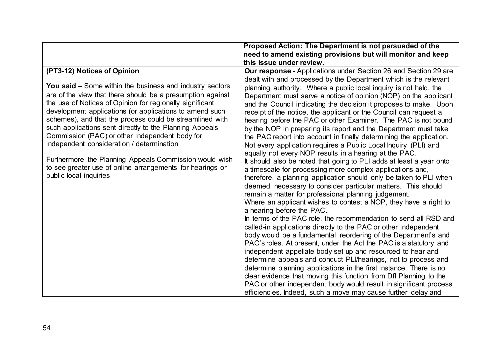| Proposed Action: The Department is not persuaded of the                                                                                 |
|-----------------------------------------------------------------------------------------------------------------------------------------|
| need to amend existing provisions but will monitor and keep                                                                             |
| this issue under review.                                                                                                                |
| Our response - Applications under Section 26 and Section 29 are                                                                         |
| dealt with and processed by the Department which is the relevant                                                                        |
| planning authority. Where a public local inquiry is not held, the                                                                       |
| Department must serve a notice of opinion (NOP) on the applicant                                                                        |
| and the Council indicating the decision it proposes to make. Upon                                                                       |
| receipt of the notice, the applicant or the Council can request a                                                                       |
| hearing before the PAC or other Examiner. The PAC is not bound                                                                          |
| by the NOP in preparing its report and the Department must take                                                                         |
| the PAC report into account in finally determining the application.                                                                     |
| Not every application requires a Public Local Inquiry (PLI) and                                                                         |
| equally not every NOP results in a hearing at the PAC.                                                                                  |
| It should also be noted that going to PLI adds at least a year onto                                                                     |
| a timescale for processing more complex applications and,                                                                               |
| therefore, a planning application should only be taken to PLI when                                                                      |
| deemed necessary to consider particular matters. This should                                                                            |
| remain a matter for professional planning judgement.                                                                                    |
| Where an applicant wishes to contest a NOP, they have a right to                                                                        |
| a hearing before the PAC.                                                                                                               |
| In terms of the PAC role, the recommendation to send all RSD and                                                                        |
| called-in applications directly to the PAC or other independent                                                                         |
| body would be a fundamental reordering of the Department's and                                                                          |
| PAC's roles. At present, under the Act the PAC is a statutory and                                                                       |
| independent appellate body set up and resourced to hear and<br>determine appeals and conduct PLI/hearings, not to process and           |
|                                                                                                                                         |
| determine planning applications in the first instance. There is no<br>clear evidence that moving this function from Dfl Planning to the |
| PAC or other independent body would result in significant process                                                                       |
| efficiencies. Indeed, such a move may cause further delay and                                                                           |
|                                                                                                                                         |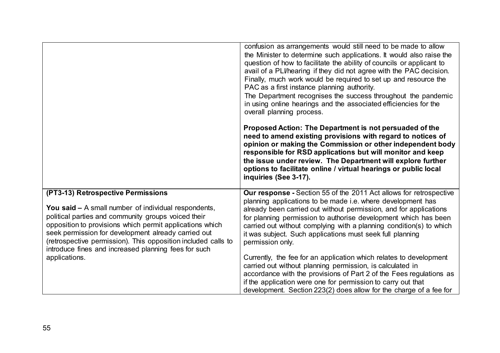|                                                                                                                                                                                                                                                                                                                                                                                                                       | confusion as arrangements would still need to be made to allow<br>the Minister to determine such applications. It would also raise the<br>question of how to facilitate the ability of councils or applicant to<br>avail of a PLI/hearing if they did not agree with the PAC decision.<br>Finally, much work would be required to set up and resource the<br>PAC as a first instance planning authority.<br>The Department recognises the success throughout the pandemic<br>in using online hearings and the associated efficiencies for the<br>overall planning process.<br>Proposed Action: The Department is not persuaded of the<br>need to amend existing provisions with regard to notices of<br>opinion or making the Commission or other independent body<br>responsible for RSD applications but will monitor and keep<br>the issue under review. The Department will explore further<br>options to facilitate online / virtual hearings or public local<br>inquiries (See 3-17). |
|-----------------------------------------------------------------------------------------------------------------------------------------------------------------------------------------------------------------------------------------------------------------------------------------------------------------------------------------------------------------------------------------------------------------------|---------------------------------------------------------------------------------------------------------------------------------------------------------------------------------------------------------------------------------------------------------------------------------------------------------------------------------------------------------------------------------------------------------------------------------------------------------------------------------------------------------------------------------------------------------------------------------------------------------------------------------------------------------------------------------------------------------------------------------------------------------------------------------------------------------------------------------------------------------------------------------------------------------------------------------------------------------------------------------------------|
| (PT3-13) Retrospective Permissions<br><b>You said - A small number of individual respondents,</b><br>political parties and community groups voiced their<br>opposition to provisions which permit applications which<br>seek permission for development already carried out<br>(retrospective permission). This opposition included calls to<br>introduce fines and increased planning fees for such<br>applications. | Our response - Section 55 of the 2011 Act allows for retrospective<br>planning applications to be made i.e. where development has<br>already been carried out without permission, and for applications<br>for planning permission to authorise development which has been<br>carried out without complying with a planning condition(s) to which<br>it was subject. Such applications must seek full planning<br>permission only.<br>Currently, the fee for an application which relates to development<br>carried out without planning permission, is calculated in<br>accordance with the provisions of Part 2 of the Fees regulations as<br>if the application were one for permission to carry out that<br>development. Section 223(2) does allow for the charge of a fee for                                                                                                                                                                                                           |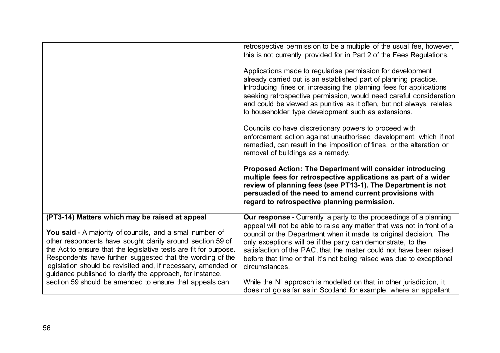|                                                                                                                                                                                                                                                                                                                                                                                                                                           | retrospective permission to be a multiple of the usual fee, however,<br>this is not currently provided for in Part 2 of the Fees Regulations.                                                                                                                                                                                                                                                                                                             |
|-------------------------------------------------------------------------------------------------------------------------------------------------------------------------------------------------------------------------------------------------------------------------------------------------------------------------------------------------------------------------------------------------------------------------------------------|-----------------------------------------------------------------------------------------------------------------------------------------------------------------------------------------------------------------------------------------------------------------------------------------------------------------------------------------------------------------------------------------------------------------------------------------------------------|
|                                                                                                                                                                                                                                                                                                                                                                                                                                           | Applications made to regularise permission for development<br>already carried out is an established part of planning practice.<br>Introducing fines or, increasing the planning fees for applications<br>seeking retrospective permission, would need careful consideration<br>and could be viewed as punitive as it often, but not always, relates<br>to householder type development such as extensions.                                                |
|                                                                                                                                                                                                                                                                                                                                                                                                                                           | Councils do have discretionary powers to proceed with<br>enforcement action against unauthorised development, which if not<br>remedied, can result in the imposition of fines, or the alteration or<br>removal of buildings as a remedy.                                                                                                                                                                                                                  |
|                                                                                                                                                                                                                                                                                                                                                                                                                                           | Proposed Action: The Department will consider introducing<br>multiple fees for retrospective applications as part of a wider<br>review of planning fees (see PT13-1). The Department is not<br>persuaded of the need to amend current provisions with<br>regard to retrospective planning permission.                                                                                                                                                     |
| (PT3-14) Matters which may be raised at appeal<br>You said - A majority of councils, and a small number of<br>other respondents have sought clarity around section 59 of<br>the Act to ensure that the legislative tests are fit for purpose.<br>Respondents have further suggested that the wording of the<br>legislation should be revisited and, if necessary, amended or<br>guidance published to clarify the approach, for instance, | <b>Our response - Currently a party to the proceedings of a planning</b><br>appeal will not be able to raise any matter that was not in front of a<br>council or the Department when it made its original decision. The<br>only exceptions will be if the party can demonstrate, to the<br>satisfaction of the PAC, that the matter could not have been raised<br>before that time or that it's not being raised was due to exceptional<br>circumstances. |
| section 59 should be amended to ensure that appeals can                                                                                                                                                                                                                                                                                                                                                                                   | While the NI approach is modelled on that in other jurisdiction, it<br>does not go as far as in Scotland for example, where an appellant                                                                                                                                                                                                                                                                                                                  |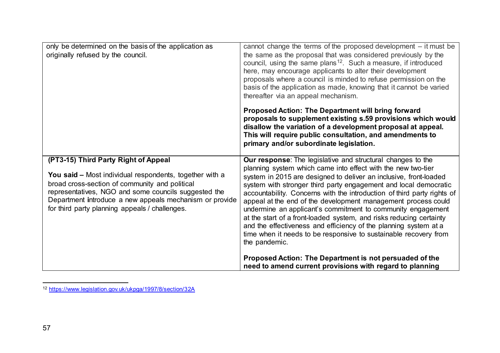<span id="page-60-0"></span>

| only be determined on the basis of the application as<br>originally refused by the council.                                                                                                                                                                                                                            | cannot change the terms of the proposed development - it must be<br>the same as the proposal that was considered previously by the<br>council, using the same plans <sup>12</sup> . Such a measure, if introduced<br>here, may encourage applicants to alter their development<br>proposals where a council is minded to refuse permission on the<br>basis of the application as made, knowing that it cannot be varied<br>thereafter via an appeal mechanism.<br><b>Proposed Action: The Department will bring forward</b><br>proposals to supplement existing s.59 provisions which would<br>disallow the variation of a development proposal at appeal.<br>This will require public consultation, and amendments to<br>primary and/or subordinate legislation.                                                                             |
|------------------------------------------------------------------------------------------------------------------------------------------------------------------------------------------------------------------------------------------------------------------------------------------------------------------------|-----------------------------------------------------------------------------------------------------------------------------------------------------------------------------------------------------------------------------------------------------------------------------------------------------------------------------------------------------------------------------------------------------------------------------------------------------------------------------------------------------------------------------------------------------------------------------------------------------------------------------------------------------------------------------------------------------------------------------------------------------------------------------------------------------------------------------------------------|
| (PT3-15) Third Party Right of Appeal<br>You said - Most individual respondents, together with a<br>broad cross-section of community and political<br>representatives, NGO and some councils suggested the<br>Department introduce a new appeals mechanism or provide<br>for third party planning appeals / challenges. | <b>Our response:</b> The legislative and structural changes to the<br>planning system which came into effect with the new two-tier<br>system in 2015 are designed to deliver an inclusive, front-loaded<br>system with stronger third party engagement and local democratic<br>accountability. Concerns with the introduction of third party rights of<br>appeal at the end of the development management process could<br>undermine an applicant's commitment to community engagement<br>at the start of a front-loaded system, and risks reducing certainty<br>and the effectiveness and efficiency of the planning system at a<br>time when it needs to be responsive to sustainable recovery from<br>the pandemic.<br>Proposed Action: The Department is not persuaded of the<br>need to amend current provisions with regard to planning |

<sup>-</sup><sup>12</sup> <https://www.legislation.gov.uk/ukpga/1997/8/section/32A>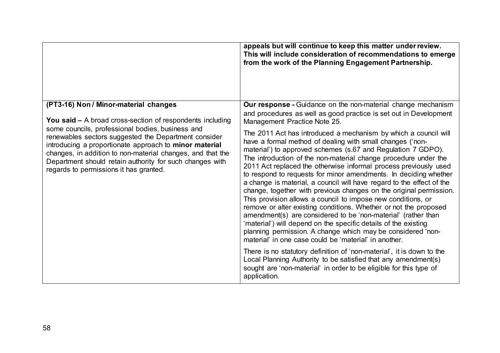|                                                                                                                                                                                                                                                                                                                                        | appeals but will continue to keep this matter under review.<br>This will include consideration of recommendations to emerge<br>from the work of the Planning Engagement Partnership.                                                                                                                                                                                                                                                                                                                                                                                                                                                                                                                                                                                                                                                                                                                                                                                                                                                                                                                                                                                                    |
|----------------------------------------------------------------------------------------------------------------------------------------------------------------------------------------------------------------------------------------------------------------------------------------------------------------------------------------|-----------------------------------------------------------------------------------------------------------------------------------------------------------------------------------------------------------------------------------------------------------------------------------------------------------------------------------------------------------------------------------------------------------------------------------------------------------------------------------------------------------------------------------------------------------------------------------------------------------------------------------------------------------------------------------------------------------------------------------------------------------------------------------------------------------------------------------------------------------------------------------------------------------------------------------------------------------------------------------------------------------------------------------------------------------------------------------------------------------------------------------------------------------------------------------------|
| (PT3-16) Non / Minor-material changes<br><b>You said –</b> A broad cross-section of respondents including                                                                                                                                                                                                                              | Our response - Guidance on the non-material change mechanism<br>and procedures as well as good practice is set out in Development<br>Management Practice Note 25.                                                                                                                                                                                                                                                                                                                                                                                                                                                                                                                                                                                                                                                                                                                                                                                                                                                                                                                                                                                                                       |
| some councils, professional bodies, business and<br>renewables sectors suggested the Department consider<br>introducing a proportionate approach to minor material<br>changes, in addition to non-material changes, and that the<br>Department should retain authority for such changes with<br>regards to permissions it has granted. | The 2011 Act has introduced a mechanism by which a council will<br>have a formal method of dealing with small changes ('non-<br>material') to approved schemes (s.67 and Regulation 7 GDPO).<br>The introduction of the non-material change procedure under the<br>2011 Act replaced the otherwise informal process previously used<br>to respond to requests for minor amendments. In deciding whether<br>a change is material, a council will have regard to the effect of the<br>change, together with previous changes on the original permission.<br>This provision allows a council to impose new conditions, or<br>remove or alter existing conditions. Whether or not the proposed<br>amendment(s) are considered to be 'non-material' (rather than<br>'material') will depend on the specific details of the existing<br>planning permission. A change which may be considered 'non-<br>material' in one case could be 'material' in another.<br>There is no statutory definition of 'non-material', it is down to the<br>Local Planning Authority to be satisfied that any amendment(s)<br>sought are 'non-material' in order to be eligible for this type of<br>application. |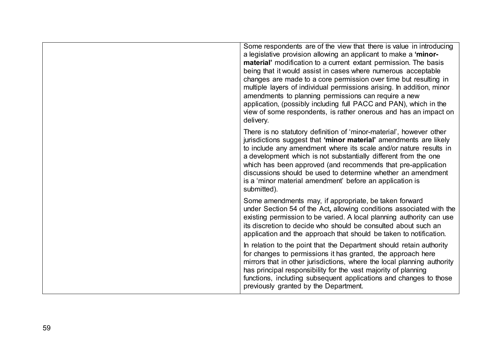| Some respondents are of the view that there is value in introducing<br>a legislative provision allowing an applicant to make a 'minor-<br>material' modification to a current extant permission. The basis<br>being that it would assist in cases where numerous acceptable<br>changes are made to a core permission over time but resulting in<br>multiple layers of individual permissions arising. In addition, minor<br>amendments to planning permissions can require a new<br>application, (possibly including full PACC and PAN), which in the<br>view of some respondents, is rather onerous and has an impact on<br>delivery. |
|----------------------------------------------------------------------------------------------------------------------------------------------------------------------------------------------------------------------------------------------------------------------------------------------------------------------------------------------------------------------------------------------------------------------------------------------------------------------------------------------------------------------------------------------------------------------------------------------------------------------------------------|
| There is no statutory definition of 'minor-material', however other<br>jurisdictions suggest that 'minor material' amendments are likely<br>to include any amendment where its scale and/or nature results in<br>a development which is not substantially different from the one<br>which has been approved (and recommends that pre-application<br>discussions should be used to determine whether an amendment<br>is a 'minor material amendment' before an application is<br>submitted).                                                                                                                                            |
| Some amendments may, if appropriate, be taken forward<br>under Section 54 of the Act, allowing conditions associated with the<br>existing permission to be varied. A local planning authority can use<br>its discretion to decide who should be consulted about such an<br>application and the approach that should be taken to notification.                                                                                                                                                                                                                                                                                          |
| In relation to the point that the Department should retain authority<br>for changes to permissions it has granted, the approach here<br>mirrors that in other jurisdictions, where the local planning authority<br>has principal responsibility for the vast majority of planning<br>functions, including subsequent applications and changes to those<br>previously granted by the Department.                                                                                                                                                                                                                                        |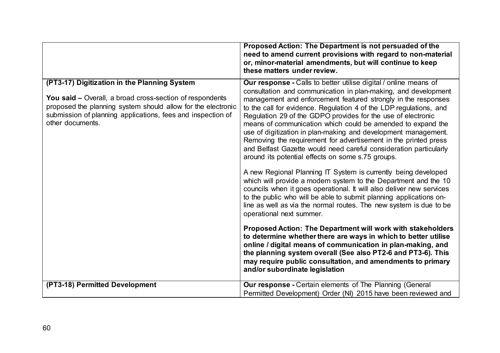|                                                                                                                                                                                                                                                                    | Proposed Action: The Department is not persuaded of the<br>need to amend current provisions with regard to non-material<br>or, minor-material amendments, but will continue to keep<br>these matters under review.                                                                                                                                                                                                                                                                                                                                                                                                                                                                                                                                                                                                                                                                                                                                                                                                                                           |
|--------------------------------------------------------------------------------------------------------------------------------------------------------------------------------------------------------------------------------------------------------------------|--------------------------------------------------------------------------------------------------------------------------------------------------------------------------------------------------------------------------------------------------------------------------------------------------------------------------------------------------------------------------------------------------------------------------------------------------------------------------------------------------------------------------------------------------------------------------------------------------------------------------------------------------------------------------------------------------------------------------------------------------------------------------------------------------------------------------------------------------------------------------------------------------------------------------------------------------------------------------------------------------------------------------------------------------------------|
| (PT3-17) Digitization in the Planning System<br><b>You said – Overall, a broad cross-section of respondents</b><br>proposed the planning system should allow for the electronic<br>submission of planning applications, fees and inspection of<br>other documents. | Our response - Calls to better utilise digital / online means of<br>consultation and communication in plan-making, and development<br>management and enforcement featured strongly in the responses<br>to the call for evidence. Regulation 4 of the LDP regulations, and<br>Regulation 29 of the GDPO provides for the use of electronic<br>means of communication which could be amended to expand the<br>use of digitization in plan-making and development management.<br>Removing the requirement for advertisement in the printed press<br>and Belfast Gazette would need careful consideration particularly<br>around its potential effects on some s.75 groups.<br>A new Regional Planning IT System is currently being developed<br>which will provide a modern system to the Department and the 10<br>councils when it goes operational. It will also deliver new services<br>to the public who will be able to submit planning applications on-<br>line as well as via the normal routes. The new system is due to be<br>operational next summer. |
|                                                                                                                                                                                                                                                                    | Proposed Action: The Department will work with stakeholders<br>to determine whether there are ways in which to better utilise<br>online / digital means of communication in plan-making, and<br>the planning system overall (See also PT2-6 and PT3-6). This<br>may require public consultation, and amendments to primary<br>and/or subordinate legislation                                                                                                                                                                                                                                                                                                                                                                                                                                                                                                                                                                                                                                                                                                 |
| (PT3-18) Permitted Development                                                                                                                                                                                                                                     | <b>Our response - Certain elements of The Planning (General</b><br>Permitted Development) Order (NI) 2015 have been reviewed and                                                                                                                                                                                                                                                                                                                                                                                                                                                                                                                                                                                                                                                                                                                                                                                                                                                                                                                             |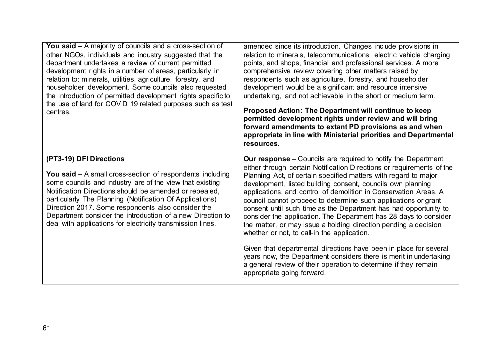| <b>You said –</b> A majority of councils and a cross-section of<br>other NGOs, individuals and industry suggested that the<br>department undertakes a review of current permitted<br>development rights in a number of areas, particularly in<br>relation to: minerals, utilities, agriculture, forestry, and<br>householder development. Some councils also requested<br>the introduction of permitted development rights specific to<br>the use of land for COVID 19 related purposes such as test<br>centres. | amended since its introduction. Changes include provisions in<br>relation to minerals, telecommunications, electric vehicle charging<br>points, and shops, financial and professional services. A more<br>comprehensive review covering other matters raised by<br>respondents such as agriculture, forestry, and householder<br>development would be a significant and resource intensive<br>undertaking, and not achievable in the short or medium term.<br>Proposed Action: The Department will continue to keep<br>permitted development rights under review and will bring<br>forward amendments to extant PD provisions as and when<br>appropriate in line with Ministerial priorities and Departmental<br>resources.                                                                                                                                                                                                 |
|------------------------------------------------------------------------------------------------------------------------------------------------------------------------------------------------------------------------------------------------------------------------------------------------------------------------------------------------------------------------------------------------------------------------------------------------------------------------------------------------------------------|-----------------------------------------------------------------------------------------------------------------------------------------------------------------------------------------------------------------------------------------------------------------------------------------------------------------------------------------------------------------------------------------------------------------------------------------------------------------------------------------------------------------------------------------------------------------------------------------------------------------------------------------------------------------------------------------------------------------------------------------------------------------------------------------------------------------------------------------------------------------------------------------------------------------------------|
| (PT3-19) DFI Directions<br>You said $-$ A small cross-section of respondents including<br>some councils and industry are of the view that existing<br>Notification Directions should be amended or repealed,<br>particularly The Planning (Notification Of Applications)<br>Direction 2017. Some respondents also consider the<br>Department consider the introduction of a new Direction to<br>deal with applications for electricity transmission lines.                                                       | <b>Our response –</b> Councils are required to notify the Department,<br>either through certain Notification Directions or requirements of the<br>Planning Act, of certain specified matters with regard to major<br>development, listed building consent, councils own planning<br>applications, and control of demolition in Conservation Areas. A<br>council cannot proceed to determine such applications or grant<br>consent until such time as the Department has had opportunity to<br>consider the application. The Department has 28 days to consider<br>the matter, or may issue a holding direction pending a decision<br>whether or not, to call-in the application.<br>Given that departmental directions have been in place for several<br>years now, the Department considers there is merit in undertaking<br>a general review of their operation to determine if they remain<br>appropriate going forward. |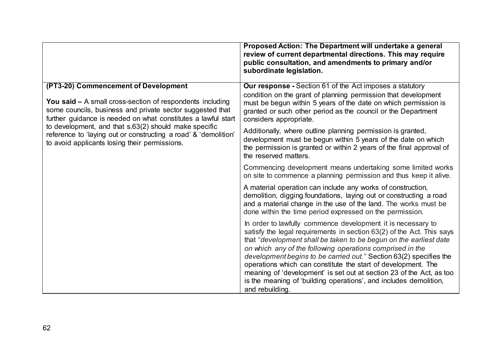|                                                                                                                                                                                                                                                                                                                                                                                                                     | Proposed Action: The Department will undertake a general<br>review of current departmental directions. This may require<br>public consultation, and amendments to primary and/or<br>subordinate legislation.                                                                                                                                                                                                                                                                                                                                                                   |
|---------------------------------------------------------------------------------------------------------------------------------------------------------------------------------------------------------------------------------------------------------------------------------------------------------------------------------------------------------------------------------------------------------------------|--------------------------------------------------------------------------------------------------------------------------------------------------------------------------------------------------------------------------------------------------------------------------------------------------------------------------------------------------------------------------------------------------------------------------------------------------------------------------------------------------------------------------------------------------------------------------------|
| (PT3-20) Commencement of Development<br><b>You said - A small cross-section of respondents including</b><br>some councils, business and private sector suggested that<br>further guidance is needed on what constitutes a lawful start<br>to development, and that s.63(2) should make specific<br>reference to 'laying out or constructing a road' & 'demolition'<br>to avoid applicants losing their permissions. | <b>Our response</b> - Section 61 of the Act imposes a statutory<br>condition on the grant of planning permission that development<br>must be begun within 5 years of the date on which permission is<br>granted or such other period as the council or the Department<br>considers appropriate.                                                                                                                                                                                                                                                                                |
|                                                                                                                                                                                                                                                                                                                                                                                                                     | Additionally, where outline planning permission is granted,<br>development must be begun within 5 years of the date on which<br>the permission is granted or within 2 years of the final approval of<br>the reserved matters.                                                                                                                                                                                                                                                                                                                                                  |
|                                                                                                                                                                                                                                                                                                                                                                                                                     | Commencing development means undertaking some limited works<br>on site to commence a planning permission and thus keep it alive.                                                                                                                                                                                                                                                                                                                                                                                                                                               |
|                                                                                                                                                                                                                                                                                                                                                                                                                     | A material operation can include any works of construction,<br>demolition, digging foundations, laying out or constructing a road<br>and a material change in the use of the land. The works must be<br>done within the time period expressed on the permission.                                                                                                                                                                                                                                                                                                               |
|                                                                                                                                                                                                                                                                                                                                                                                                                     | In order to lawfully commence development it is necessary to<br>satisfy the legal requirements in section 63(2) of the Act. This says<br>that "development shall be taken to be begun on the earliest date<br>on which any of the following operations comprised in the<br>development begins to be carried out." Section 63(2) specifies the<br>operations which can constitute the start of development. The<br>meaning of 'development' is set out at section 23 of the Act, as too<br>is the meaning of 'building operations', and includes demolition,<br>and rebuilding. |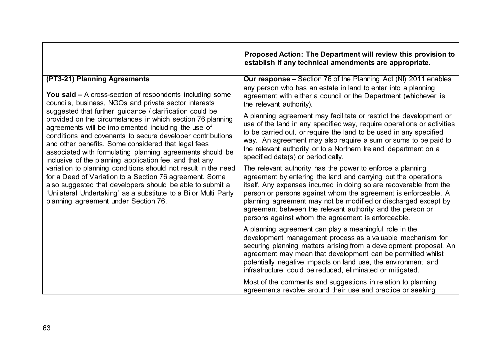|                                                                                                                                                                                                                                                                                                                                                                                                                                                                                                                                                                                                                                                                                                                                                                                                                                                        | Proposed Action: The Department will review this provision to<br>establish if any technical amendments are appropriate.                                                                                                                                                                                                                                                                                                                                    |
|--------------------------------------------------------------------------------------------------------------------------------------------------------------------------------------------------------------------------------------------------------------------------------------------------------------------------------------------------------------------------------------------------------------------------------------------------------------------------------------------------------------------------------------------------------------------------------------------------------------------------------------------------------------------------------------------------------------------------------------------------------------------------------------------------------------------------------------------------------|------------------------------------------------------------------------------------------------------------------------------------------------------------------------------------------------------------------------------------------------------------------------------------------------------------------------------------------------------------------------------------------------------------------------------------------------------------|
| (PT3-21) Planning Agreements                                                                                                                                                                                                                                                                                                                                                                                                                                                                                                                                                                                                                                                                                                                                                                                                                           | <b>Our response –</b> Section 76 of the Planning Act (NI) 2011 enables                                                                                                                                                                                                                                                                                                                                                                                     |
| You said $-$ A cross-section of respondents including some<br>councils, business, NGOs and private sector interests<br>suggested that further guidance / clarification could be<br>provided on the circumstances in which section 76 planning<br>agreements will be implemented including the use of<br>conditions and covenants to secure developer contributions<br>and other benefits. Some considered that legal fees<br>associated with formulating planning agreements should be<br>inclusive of the planning application fee, and that any<br>variation to planning conditions should not result in the need<br>for a Deed of Variation to a Section 76 agreement. Some<br>also suggested that developers should be able to submit a<br>'Unilateral Undertaking' as a substitute to a Bi or Multi Party<br>planning agreement under Section 76. | any person who has an estate in land to enter into a planning<br>agreement with either a council or the Department (whichever is<br>the relevant authority).                                                                                                                                                                                                                                                                                               |
|                                                                                                                                                                                                                                                                                                                                                                                                                                                                                                                                                                                                                                                                                                                                                                                                                                                        | A planning agreement may facilitate or restrict the development or<br>use of the land in any specified way, require operations or activities<br>to be carried out, or require the land to be used in any specified<br>way. An agreement may also require a sum or sums to be paid to<br>the relevant authority or to a Northern Ireland department on a<br>specified date(s) or periodically.                                                              |
|                                                                                                                                                                                                                                                                                                                                                                                                                                                                                                                                                                                                                                                                                                                                                                                                                                                        | The relevant authority has the power to enforce a planning<br>agreement by entering the land and carrying out the operations<br>itself. Any expenses incurred in doing so are recoverable from the<br>person or persons against whom the agreement is enforceable. A<br>planning agreement may not be modified or discharged except by<br>agreement between the relevant authority and the person or<br>persons against whom the agreement is enforceable. |
|                                                                                                                                                                                                                                                                                                                                                                                                                                                                                                                                                                                                                                                                                                                                                                                                                                                        | A planning agreement can play a meaningful role in the<br>development management process as a valuable mechanism for<br>securing planning matters arising from a development proposal. An<br>agreement may mean that development can be permitted whilst<br>potentially negative impacts on land use, the environment and<br>infrastructure could be reduced, eliminated or mitigated.                                                                     |
|                                                                                                                                                                                                                                                                                                                                                                                                                                                                                                                                                                                                                                                                                                                                                                                                                                                        | Most of the comments and suggestions in relation to planning<br>agreements revolve around their use and practice or seeking                                                                                                                                                                                                                                                                                                                                |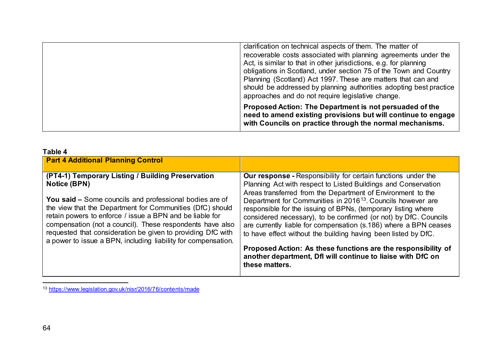<span id="page-67-0"></span>

| clarification on technical aspects of them. The matter of<br>recoverable costs associated with planning agreements under the<br>Act, is similar to that in other jurisdictions, e.g. for planning<br>obligations in Scotland, under section 75 of the Town and Country<br>Planning (Scotland) Act 1997. These are matters that can and<br>should be addressed by planning authorities adopting best practice<br>approaches and do not require legislative change. |
|-------------------------------------------------------------------------------------------------------------------------------------------------------------------------------------------------------------------------------------------------------------------------------------------------------------------------------------------------------------------------------------------------------------------------------------------------------------------|
| Proposed Action: The Department is not persuaded of the<br>need to amend existing provisions but will continue to engage<br>with Councils on practice through the normal mechanisms.                                                                                                                                                                                                                                                                              |

| Table 4                                                                                                                                                                                                                                                                                                                                                                                                                                                          |                                                                                                                                                                                                                                                                                                                                                                                                                                                                                                                                                                                                                                                                                                               |
|------------------------------------------------------------------------------------------------------------------------------------------------------------------------------------------------------------------------------------------------------------------------------------------------------------------------------------------------------------------------------------------------------------------------------------------------------------------|---------------------------------------------------------------------------------------------------------------------------------------------------------------------------------------------------------------------------------------------------------------------------------------------------------------------------------------------------------------------------------------------------------------------------------------------------------------------------------------------------------------------------------------------------------------------------------------------------------------------------------------------------------------------------------------------------------------|
| <b>Part 4 Additional Planning Control</b>                                                                                                                                                                                                                                                                                                                                                                                                                        |                                                                                                                                                                                                                                                                                                                                                                                                                                                                                                                                                                                                                                                                                                               |
| (PT4-1) Temporary Listing / Building Preservation<br><b>Notice (BPN)</b><br><b>You said –</b> Some councils and professional bodies are of<br>the view that the Department for Communities (DfC) should<br>retain powers to enforce / issue a BPN and be liable for<br>compensation (not a council). These respondents have also<br>requested that consideration be given to providing DfC with<br>a power to issue a BPN, including liability for compensation. | <b>Our response</b> - Responsibility for certain functions under the<br>Planning Act with respect to Listed Buildings and Conservation<br>Areas transferred from the Department of Environment to the<br>Department for Communities in 2016 <sup>13</sup> . Councils however are<br>responsible for the issuing of BPNs, (temporary listing where<br>considered necessary), to be confirmed (or not) by DfC. Councils<br>are currently liable for compensation (s.186) where a BPN ceases<br>to have effect without the building having been listed by DfC.<br>Proposed Action: As these functions are the responsibility of<br>another department, Dfl will continue to liaise with DfC on<br>these matters. |

<sup>13</sup> <https://www.legislation.gov.uk/nisr/2016/76/contents/made>

-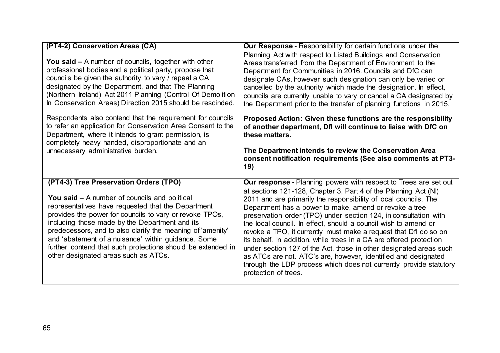| (PT4-2) Conservation Areas (CA)                                                                                                                                                                                                                                                                                                                                                                                                                                                               | <b>Our Response - Responsibility for certain functions under the</b>                                                                                                                                                                                                                                                                                                                                                                                                                                                                                                                                                                                                                                                                                                                             |
|-----------------------------------------------------------------------------------------------------------------------------------------------------------------------------------------------------------------------------------------------------------------------------------------------------------------------------------------------------------------------------------------------------------------------------------------------------------------------------------------------|--------------------------------------------------------------------------------------------------------------------------------------------------------------------------------------------------------------------------------------------------------------------------------------------------------------------------------------------------------------------------------------------------------------------------------------------------------------------------------------------------------------------------------------------------------------------------------------------------------------------------------------------------------------------------------------------------------------------------------------------------------------------------------------------------|
| You said $-$ A number of councils, together with other<br>professional bodies and a political party, propose that<br>councils be given the authority to vary / repeal a CA<br>designated by the Department, and that The Planning<br>(Northern Ireland) Act 2011 Planning (Control Of Demolition<br>In Conservation Areas) Direction 2015 should be rescinded.                                                                                                                                | Planning Act with respect to Listed Buildings and Conservation<br>Areas transferred from the Department of Environment to the<br>Department for Communities in 2016. Councils and DfC can<br>designate CAs, however such designation can only be varied or<br>cancelled by the authority which made the designation. In effect,<br>councils are currently unable to vary or cancel a CA designated by<br>the Department prior to the transfer of planning functions in 2015.                                                                                                                                                                                                                                                                                                                     |
| Respondents also contend that the requirement for councils<br>to refer an application for Conservation Area Consent to the<br>Department, where it intends to grant permission, is<br>completely heavy handed, disproportionate and an<br>unnecessary administrative burden.                                                                                                                                                                                                                  | Proposed Action: Given these functions are the responsibility<br>of another department, Dfl will continue to liaise with DfC on<br>these matters.<br>The Department intends to review the Conservation Area<br>consent notification requirements (See also comments at PT3-<br>19)                                                                                                                                                                                                                                                                                                                                                                                                                                                                                                               |
| (PT4-3) Tree Preservation Orders (TPO)<br><b>You said – A number of councils and political</b><br>representatives have requested that the Department<br>provides the power for councils to vary or revoke TPOs,<br>including those made by the Department and its<br>predecessors, and to also clarify the meaning of 'amenity'<br>and 'abatement of a nuisance' within guidance. Some<br>further contend that such protections should be extended in<br>other designated areas such as ATCs. | <b>Our response - Planning powers with respect to Trees are set out</b><br>at sections 121-128, Chapter 3, Part 4 of the Planning Act (NI)<br>2011 and are primarily the responsibility of local councils. The<br>Department has a power to make, amend or revoke a tree<br>preservation order (TPO) under section 124, in consultation with<br>the local council. In effect, should a council wish to amend or<br>revoke a TPO, it currently must make a request that Dfl do so on<br>its behalf. In addition, while trees in a CA are offered protection<br>under section 127 of the Act, those in other designated areas such<br>as ATCs are not. ATC's are, however, identified and designated<br>through the LDP process which does not currently provide statutory<br>protection of trees. |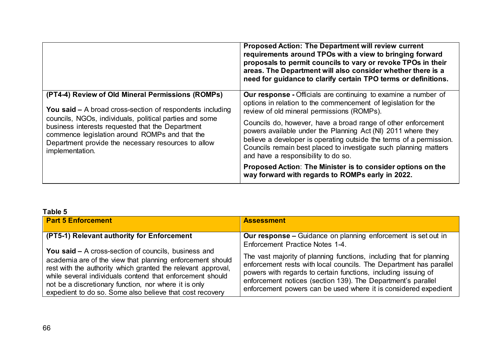|                                                                                                                                                                                                                                                                                                                                                                  | <b>Proposed Action: The Department will review current</b><br>requirements around TPOs with a view to bringing forward<br>proposals to permit councils to vary or revoke TPOs in their<br>areas. The Department will also consider whether there is a<br>need for guidance to clarify certain TPO terms or definitions. |
|------------------------------------------------------------------------------------------------------------------------------------------------------------------------------------------------------------------------------------------------------------------------------------------------------------------------------------------------------------------|-------------------------------------------------------------------------------------------------------------------------------------------------------------------------------------------------------------------------------------------------------------------------------------------------------------------------|
| (PT4-4) Review of Old Mineral Permissions (ROMPs)<br><b>You said –</b> A broad cross-section of respondents including<br>councils, NGOs, individuals, political parties and some<br>business interests requested that the Department<br>commence legislation around ROMPs and that the<br>Department provide the necessary resources to allow<br>implementation. | Our response - Officials are continuing to examine a number of<br>options in relation to the commencement of legislation for the<br>review of old mineral permissions (ROMPs).                                                                                                                                          |
|                                                                                                                                                                                                                                                                                                                                                                  | Councils do, however, have a broad range of other enforcement<br>powers available under the Planning Act (NI) 2011 where they<br>believe a developer is operating outside the terms of a permission.<br>Councils remain best placed to investigate such planning matters<br>and have a responsibility to do so.         |
|                                                                                                                                                                                                                                                                                                                                                                  | Proposed Action: The Minister is to consider options on the<br>way forward with regards to ROMPs early in 2022.                                                                                                                                                                                                         |

## **Table 5**

| <b>Part 5 Enforcement</b>                                    | <b>Assessment</b>                                                    |  |
|--------------------------------------------------------------|----------------------------------------------------------------------|--|
|                                                              |                                                                      |  |
| (PT5-1) Relevant authority for Enforcement                   | <b>Our response –</b> Guidance on planning enforcement is set out in |  |
|                                                              | Enforcement Practice Notes 1-4.                                      |  |
| <b>You said – A cross-section of councils, business and</b>  |                                                                      |  |
| academia are of the view that planning enforcement should    | The vast majority of planning functions, including that for planning |  |
| rest with the authority which granted the relevant approval, | enforcement rests with local councils. The Department has parallel   |  |
| while several individuals contend that enforcement should    | powers with regards to certain functions, including issuing of       |  |
|                                                              | enforcement notices (section 139). The Department's parallel         |  |
| not be a discretionary function, nor where it is only        | enforcement powers can be used where it is considered expedient      |  |
| expedient to do so. Some also believe that cost recovery     |                                                                      |  |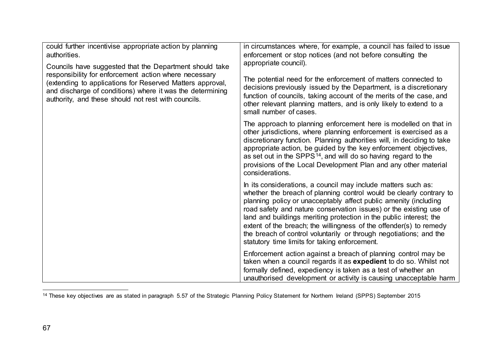<span id="page-70-0"></span>

| could further incentivise appropriate action by planning<br>authorities.<br>Councils have suggested that the Department should take<br>responsibility for enforcement action where necessary<br>(extending to applications for Reserved Matters approval,<br>and discharge of conditions) where it was the determining<br>authority, and these should not rest with councils. | in circumstances where, for example, a council has failed to issue<br>enforcement or stop notices (and not before consulting the<br>appropriate council).<br>The potential need for the enforcement of matters connected to<br>decisions previously issued by the Department, is a discretionary<br>function of councils, taking account of the merits of the case, and<br>other relevant planning matters, and is only likely to extend to a<br>small number of cases.                                                                           |
|-------------------------------------------------------------------------------------------------------------------------------------------------------------------------------------------------------------------------------------------------------------------------------------------------------------------------------------------------------------------------------|---------------------------------------------------------------------------------------------------------------------------------------------------------------------------------------------------------------------------------------------------------------------------------------------------------------------------------------------------------------------------------------------------------------------------------------------------------------------------------------------------------------------------------------------------|
|                                                                                                                                                                                                                                                                                                                                                                               | The approach to planning enforcement here is modelled on that in<br>other jurisdictions, where planning enforcement is exercised as a<br>discretionary function. Planning authorities will, in deciding to take<br>appropriate action, be guided by the key enforcement objectives,<br>as set out in the SPPS <sup>14</sup> , and will do so having regard to the<br>provisions of the Local Development Plan and any other material<br>considerations.                                                                                           |
|                                                                                                                                                                                                                                                                                                                                                                               | In its considerations, a council may include matters such as:<br>whether the breach of planning control would be clearly contrary to<br>planning policy or unacceptably affect public amenity (including<br>road safety and nature conservation issues) or the existing use of<br>land and buildings meriting protection in the public interest; the<br>extent of the breach; the willingness of the offender(s) to remedy<br>the breach of control voluntarily or through negotiations; and the<br>statutory time limits for taking enforcement. |
|                                                                                                                                                                                                                                                                                                                                                                               | Enforcement action against a breach of planning control may be<br>taken when a council regards it as expedient to do so. Whilst not<br>formally defined, expediency is taken as a test of whether an<br>unauthorised development or activity is causing unacceptable harm                                                                                                                                                                                                                                                                         |

<sup>&</sup>lt;u>.</u> <sup>14</sup> These key objectives are as stated in paragraph 5.57 of the Strategic Planning Policy Statement for Northern Ireland (SPPS) September 2015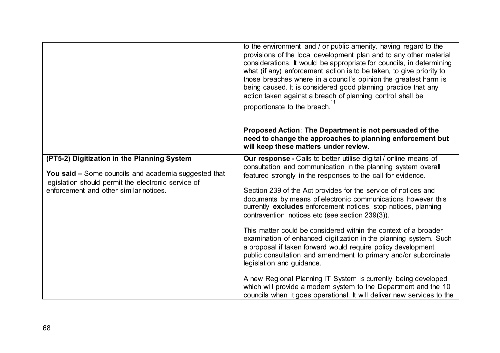|                                                                                                                                                                                                      | to the environment and / or public amenity, having regard to the<br>provisions of the local development plan and to any other material<br>considerations. It would be appropriate for councils, in determining<br>what (if any) enforcement action is to be taken, to give priority to<br>those breaches where in a council's opinion the greatest harm is<br>being caused. It is considered good planning practice that any<br>action taken against a breach of planning control shall be<br>proportionate to the breach.<br>Proposed Action: The Department is not persuaded of the<br>need to change the approaches to planning enforcement but<br>will keep these matters under review.                                                                                                                                                                                                                                                                                      |
|------------------------------------------------------------------------------------------------------------------------------------------------------------------------------------------------------|----------------------------------------------------------------------------------------------------------------------------------------------------------------------------------------------------------------------------------------------------------------------------------------------------------------------------------------------------------------------------------------------------------------------------------------------------------------------------------------------------------------------------------------------------------------------------------------------------------------------------------------------------------------------------------------------------------------------------------------------------------------------------------------------------------------------------------------------------------------------------------------------------------------------------------------------------------------------------------|
| (PT5-2) Digitization in the Planning System<br>You said - Some councils and academia suggested that<br>legislation should permit the electronic service of<br>enforcement and other similar notices. | Our response - Calls to better utilise digital / online means of<br>consultation and communication in the planning system overall<br>featured strongly in the responses to the call for evidence.<br>Section 239 of the Act provides for the service of notices and<br>documents by means of electronic communications however this<br>currently excludes enforcement notices, stop notices, planning<br>contravention notices etc (see section 239(3)).<br>This matter could be considered within the context of a broader<br>examination of enhanced digitization in the planning system. Such<br>a proposal if taken forward would require policy development,<br>public consultation and amendment to primary and/or subordinate<br>legislation and guidance.<br>A new Regional Planning IT System is currently being developed<br>which will provide a modern system to the Department and the 10<br>councils when it goes operational. It will deliver new services to the |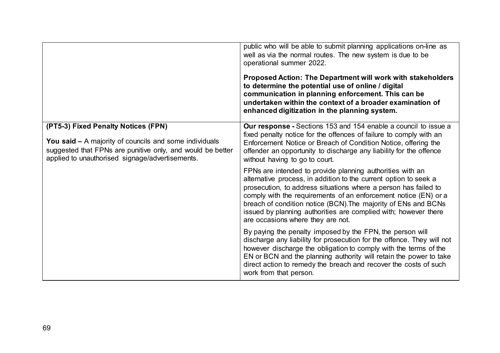|                                                                                                                                                                                                                       | public who will be able to submit planning applications on-line as<br>well as via the normal routes. The new system is due to be<br>operational summer 2022.<br>Proposed Action: The Department will work with stakeholders<br>to determine the potential use of online / digital<br>communication in planning enforcement. This can be<br>undertaken within the context of a broader examination of<br>enhanced digitization in the planning system. |
|-----------------------------------------------------------------------------------------------------------------------------------------------------------------------------------------------------------------------|-------------------------------------------------------------------------------------------------------------------------------------------------------------------------------------------------------------------------------------------------------------------------------------------------------------------------------------------------------------------------------------------------------------------------------------------------------|
| (PT5-3) Fixed Penalty Notices (FPN)<br><b>You said - A majority of councils and some individuals</b><br>suggested that FPNs are punitive only, and would be better<br>applied to unauthorised signage/advertisements. | <b>Our response</b> - Sections 153 and 154 enable a council to issue a<br>fixed penalty notice for the offences of failure to comply with an<br>Enforcement Notice or Breach of Condition Notice, offering the<br>offender an opportunity to discharge any liability for the offence<br>without having to go to court.                                                                                                                                |
|                                                                                                                                                                                                                       | FPNs are intended to provide planning authorities with an<br>alternative process, in addition to the current option to seek a<br>prosecution, to address situations where a person has failed to<br>comply with the requirements of an enforcement notice (EN) or a<br>breach of condition notice (BCN). The majority of ENs and BCNs<br>issued by planning authorities are complied with; however there<br>are occasions where they are not.         |
|                                                                                                                                                                                                                       | By paying the penalty imposed by the FPN, the person will<br>discharge any liability for prosecution for the offence. They will not<br>however discharge the obligation to comply with the terms of the<br>EN or BCN and the planning authority will retain the power to take<br>direct action to remedy the breach and recover the costs of such<br>work from that person.                                                                           |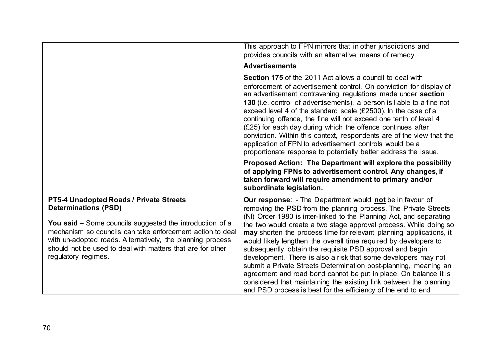|                                                                                                                                                                                                                                                                                                                                                    | This approach to FPN mirrors that in other jurisdictions and<br>provides councils with an alternative means of remedy.<br><b>Advertisements</b>                                                                                                                                                                                                                                                                                                                                                                                                                                                                                                                                                                                                                                                                                       |
|----------------------------------------------------------------------------------------------------------------------------------------------------------------------------------------------------------------------------------------------------------------------------------------------------------------------------------------------------|---------------------------------------------------------------------------------------------------------------------------------------------------------------------------------------------------------------------------------------------------------------------------------------------------------------------------------------------------------------------------------------------------------------------------------------------------------------------------------------------------------------------------------------------------------------------------------------------------------------------------------------------------------------------------------------------------------------------------------------------------------------------------------------------------------------------------------------|
|                                                                                                                                                                                                                                                                                                                                                    | <b>Section 175 of the 2011 Act allows a council to deal with</b><br>enforcement of advertisement control. On conviction for display of<br>an advertisement contravening regulations made under section<br>130 (i.e. control of advertisements), a person is liable to a fine not<br>exceed level 4 of the standard scale $(E2500)$ . In the case of a<br>continuing offence, the fine will not exceed one tenth of level 4<br>$(E25)$ for each day during which the offence continues after<br>conviction. Within this context, respondents are of the view that the<br>application of FPN to advertisement controls would be a<br>proportionate response to potentially better address the issue.                                                                                                                                    |
|                                                                                                                                                                                                                                                                                                                                                    | Proposed Action: The Department will explore the possibility<br>of applying FPNs to advertisement control. Any changes, if<br>taken forward will require amendment to primary and/or<br>subordinate legislation.                                                                                                                                                                                                                                                                                                                                                                                                                                                                                                                                                                                                                      |
| PT5-4 Unadopted Roads / Private Streets<br><b>Determinations (PSD)</b><br>You said – Some councils suggested the introduction of a<br>mechanism so councils can take enforcement action to deal<br>with un-adopted roads. Alternatively, the planning process<br>should not be used to deal with matters that are for other<br>regulatory regimes. | <b>Our response:</b> - The Department would not be in favour of<br>removing the PSD from the planning process. The Private Streets<br>(NI) Order 1980 is inter-linked to the Planning Act, and separating<br>the two would create a two stage approval process. While doing so<br>may shorten the process time for relevant planning applications, it<br>would likely lengthen the overall time required by developers to<br>subsequently obtain the requisite PSD approval and begin<br>development. There is also a risk that some developers may not<br>submit a Private Streets Determination post-planning, meaning an<br>agreement and road bond cannot be put in place. On balance it is<br>considered that maintaining the existing link between the planning<br>and PSD process is best for the efficiency of the end to end |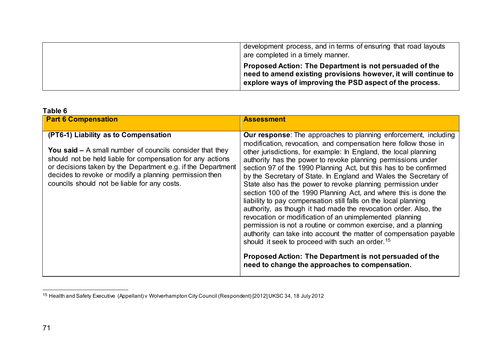<span id="page-74-0"></span>

| development process, and in terms of ensuring that road layouts<br>are completed in a timely manner.                                                                                  |
|---------------------------------------------------------------------------------------------------------------------------------------------------------------------------------------|
| Proposed Action: The Department is not persuaded of the<br>need to amend existing provisions however, it will continue to<br>explore ways of improving the PSD aspect of the process. |

| Table 6                                                                                                                                                                                                                                                                                                                                   |                                                                                                                                                                                                                                                                                                                                                                                                                                                                                                                                                                                                                                                                                                                                                                                                                                                                                                                                                                                                                                                                                  |
|-------------------------------------------------------------------------------------------------------------------------------------------------------------------------------------------------------------------------------------------------------------------------------------------------------------------------------------------|----------------------------------------------------------------------------------------------------------------------------------------------------------------------------------------------------------------------------------------------------------------------------------------------------------------------------------------------------------------------------------------------------------------------------------------------------------------------------------------------------------------------------------------------------------------------------------------------------------------------------------------------------------------------------------------------------------------------------------------------------------------------------------------------------------------------------------------------------------------------------------------------------------------------------------------------------------------------------------------------------------------------------------------------------------------------------------|
| <b>Part 6 Compensation</b>                                                                                                                                                                                                                                                                                                                | <b>Assessment</b>                                                                                                                                                                                                                                                                                                                                                                                                                                                                                                                                                                                                                                                                                                                                                                                                                                                                                                                                                                                                                                                                |
| (PT6-1) Liability as to Compensation<br>You said $-$ A small number of councils consider that they<br>should not be held liable for compensation for any actions<br>or decisions taken by the Department e.g. if the Department<br>decides to revoke or modify a planning permission then<br>councils should not be liable for any costs. | <b>Our response:</b> The approaches to planning enforcement, including<br>modification, revocation, and compensation here follow those in<br>other jurisdictions, for example: In England, the local planning<br>authority has the power to revoke planning permissions under<br>section 97 of the 1990 Planning Act, but this has to be confirmed<br>by the Secretary of State. In England and Wales the Secretary of<br>State also has the power to revoke planning permission under<br>section 100 of the 1990 Planning Act, and where this is done the<br>liability to pay compensation still falls on the local planning<br>authority, as though it had made the revocation order. Also, the<br>revocation or modification of an unimplemented planning<br>permission is not a routine or common exercise, and a planning<br>authority can take into account the matter of compensation payable<br>should it seek to proceed with such an order. <sup>15</sup><br>Proposed Action: The Department is not persuaded of the<br>need to change the approaches to compensation. |
|                                                                                                                                                                                                                                                                                                                                           |                                                                                                                                                                                                                                                                                                                                                                                                                                                                                                                                                                                                                                                                                                                                                                                                                                                                                                                                                                                                                                                                                  |

<sup>&</sup>lt;u>.</u> <sup>15</sup> Health and Safety Executive (Appellant) v Wolverhampton City Council (Respondent) [2012] UKSC 34, 18 July 2012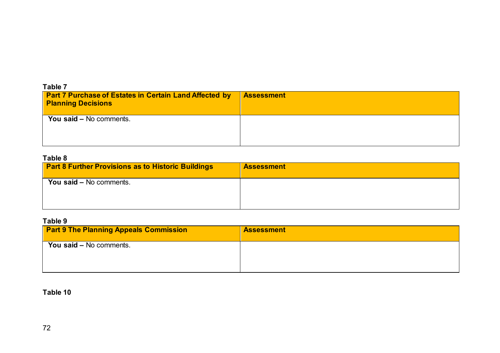| Table 7                                                                                    |                   |
|--------------------------------------------------------------------------------------------|-------------------|
| <b>Part 7 Purchase of Estates in Certain Land Affected by</b><br><b>Planning Decisions</b> | <b>Assessment</b> |
| You said - No comments.                                                                    |                   |

## **Table 8**

| <b>Part 8 Further Provisions as to Historic Buildings</b> | <b>Assessment</b> |
|-----------------------------------------------------------|-------------------|
| <b>You said – No comments.</b>                            |                   |
|                                                           |                   |

## **Table 9**

| <b>Part 9 The Planning Appeals Commission</b> | <b>Assessment</b> |
|-----------------------------------------------|-------------------|
| You said – No comments.                       |                   |
|                                               |                   |

**Table 10**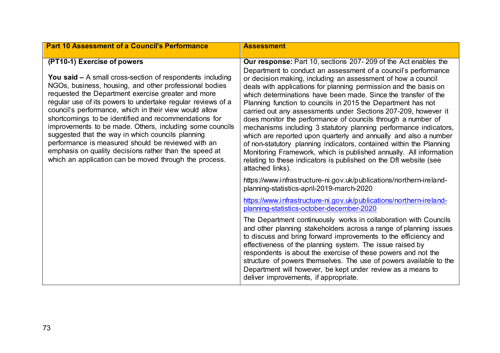| <b>Part 10 Assessment of a Council's Performance</b>                                                                                                                                                                                                                                                                                                                                                                                                                                                                                                                                                                                                                                         | <b>Assessment</b>                                                                                                                                                                                                                                                                                                                                                                                                                                                                                                                                                                                                                                                                                                                                                                                                                                                                                                                                                                              |
|----------------------------------------------------------------------------------------------------------------------------------------------------------------------------------------------------------------------------------------------------------------------------------------------------------------------------------------------------------------------------------------------------------------------------------------------------------------------------------------------------------------------------------------------------------------------------------------------------------------------------------------------------------------------------------------------|------------------------------------------------------------------------------------------------------------------------------------------------------------------------------------------------------------------------------------------------------------------------------------------------------------------------------------------------------------------------------------------------------------------------------------------------------------------------------------------------------------------------------------------------------------------------------------------------------------------------------------------------------------------------------------------------------------------------------------------------------------------------------------------------------------------------------------------------------------------------------------------------------------------------------------------------------------------------------------------------|
| (PT10-1) Exercise of powers<br><b>You said –</b> A small cross-section of respondents including<br>NGOs, business, housing, and other professional bodies<br>requested the Department exercise greater and more<br>regular use of its powers to undertake regular reviews of a<br>council's performance, which in their view would allow<br>shortcomings to be identified and recommendations for<br>improvements to be made. Others, including some councils<br>suggested that the way in which councils planning<br>performance is measured should be reviewed with an<br>emphasis on quality decisions rather than the speed at<br>which an application can be moved through the process. | Our response: Part 10, sections 207-209 of the Act enables the<br>Department to conduct an assessment of a council's performance<br>or decision making, including an assessment of how a council<br>deals with applications for planning permission and the basis on<br>which determinations have been made. Since the transfer of the<br>Planning function to councils in 2015 the Department has not<br>carried out any assessments under Sections 207-209, however it<br>does monitor the performance of councils through a number of<br>mechanisms including 3 statutory planning performance indicators,<br>which are reported upon quarterly and annually and also a number<br>of non-statutory planning indicators, contained within the Planning<br>Monitoring Framework, which is published annually. All information<br>relating to these indicators is published on the Dfl website (see<br>attached links).<br>https://www.infrastructure-ni.gov.uk/publications/northern-ireland- |
|                                                                                                                                                                                                                                                                                                                                                                                                                                                                                                                                                                                                                                                                                              | planning-statistics-april-2019-march-2020<br>https://www.infrastructure-ni.gov.uk/publications/northern-ireland-                                                                                                                                                                                                                                                                                                                                                                                                                                                                                                                                                                                                                                                                                                                                                                                                                                                                               |
|                                                                                                                                                                                                                                                                                                                                                                                                                                                                                                                                                                                                                                                                                              | planning-statistics-october-december-2020<br>The Department continuously works in collaboration with Councils<br>and other planning stakeholders across a range of planning issues<br>to discuss and bring forward improvements to the efficiency and<br>effectiveness of the planning system. The issue raised by<br>respondents is about the exercise of these powers and not the<br>structure of powers themselves. The use of powers available to the<br>Department will however, be kept under review as a means to<br>deliver improvements, if appropriate.                                                                                                                                                                                                                                                                                                                                                                                                                              |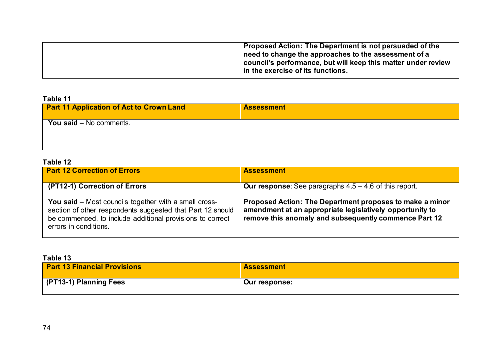| Proposed Action: The Department is not persuaded of the       |
|---------------------------------------------------------------|
| $\vert$ need to change the approaches to the assessment of a  |
| council's performance, but will keep this matter under review |
| $\mid$ in the exercise of its functions.                      |
|                                                               |

# **Table 11**

| <b>Part 11 Application of Act to Crown Land</b> | <b>Assessment</b> |
|-------------------------------------------------|-------------------|
| You said - No comments.                         |                   |
|                                                 |                   |

## **Table 12**

| <b>Part 12 Correction of Errors</b>                                                                                                                                                                              | <b>Assessment</b>                                                                                                                                                             |
|------------------------------------------------------------------------------------------------------------------------------------------------------------------------------------------------------------------|-------------------------------------------------------------------------------------------------------------------------------------------------------------------------------|
| (PT12-1) Correction of Errors                                                                                                                                                                                    | <b>Our response:</b> See paragraphs $4.5 - 4.6$ of this report.                                                                                                               |
| <b>You said – Most councils together with a small cross-</b><br>section of other respondents suggested that Part 12 should<br>be commenced, to include additional provisions to correct<br>errors in conditions. | Proposed Action: The Department proposes to make a minor<br>amendment at an appropriate legislatively opportunity to<br>remove this anomaly and subsequently commence Part 12 |

### **Table 13**

| <b>Part 13 Financial Provisions</b> | <b>Assessment</b> |
|-------------------------------------|-------------------|
| (PT13-1) Planning Fees              | Our response:     |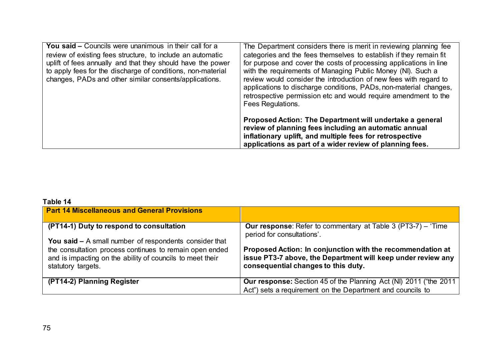| You said – Councils were unanimous in their call for a<br>review of existing fees structure, to include an automatic<br>uplift of fees annually and that they should have the power<br>to apply fees for the discharge of conditions, non-material<br>changes, PADs and other similar consents/applications. | The Department considers there is merit in reviewing planning fee<br>categories and the fees themselves to establish if they remain fit<br>for purpose and cover the costs of processing applications in line<br>with the requirements of Managing Public Money (NI). Such a<br>review would consider the introduction of new fees with regard to<br>applications to discharge conditions, PADs, non-material changes,<br>retrospective permission etc and would require amendment to the<br>Fees Regulations. |
|--------------------------------------------------------------------------------------------------------------------------------------------------------------------------------------------------------------------------------------------------------------------------------------------------------------|----------------------------------------------------------------------------------------------------------------------------------------------------------------------------------------------------------------------------------------------------------------------------------------------------------------------------------------------------------------------------------------------------------------------------------------------------------------------------------------------------------------|
|                                                                                                                                                                                                                                                                                                              | Proposed Action: The Department will undertake a general<br>review of planning fees including an automatic annual<br>inflationary uplift, and multiple fees for retrospective<br>applications as part of a wider review of planning fees.                                                                                                                                                                                                                                                                      |

## **Table 14**

| <b>Part 14 Miscellaneous and General Provisions</b>                                                                                        |                                                                                                                                                                   |
|--------------------------------------------------------------------------------------------------------------------------------------------|-------------------------------------------------------------------------------------------------------------------------------------------------------------------|
| (PT14-1) Duty to respond to consultation<br>You said $-$ A small number of respondents consider that                                       | <b>Our response:</b> Refer to commentary at Table 3 (PT3-7) – 'Time<br>period for consultations'.                                                                 |
| the consultation process continues to remain open ended<br>and is impacting on the ability of councils to meet their<br>statutory targets. | Proposed Action: In conjunction with the recommendation at<br>issue PT3-7 above, the Department will keep under review any<br>consequential changes to this duty. |
| (PT14-2) Planning Register                                                                                                                 | <b>Our response:</b> Section 45 of the Planning Act (NI) 2011 ("the 2011                                                                                          |
|                                                                                                                                            | Act") sets a requirement on the Department and councils to                                                                                                        |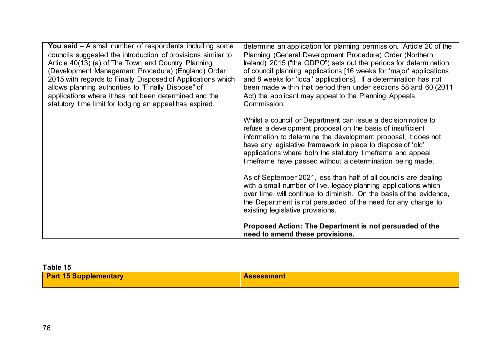| You said $-$ A small number of respondents including some    | determine an application for planning permission. Article 20 of the |
|--------------------------------------------------------------|---------------------------------------------------------------------|
| councils suggested the introduction of provisions similar to | Planning (General Development Procedure) Order (Northern            |
| Article 40(13) (a) of The Town and Country Planning          | Ireland) 2015 ("the GDPO") sets out the periods for determination   |
| (Development Management Procedure) (England) Order           | of council planning applications [16 weeks for 'major' applications |
| 2015 with regards to Finally Disposed of Applications which  | and 8 weeks for 'local' applications]. If a determination has not   |
| allows planning authorities to "Finally Dispose" of          | been made within that period then under sections 58 and 60 (2011    |
| applications where it has not been determined and the        | Act) the applicant may appeal to the Planning Appeals               |
| statutory time limit for lodging an appeal has expired.      | Commission.                                                         |
|                                                              |                                                                     |
|                                                              | Whilst a council or Department can issue a decision notice to       |
|                                                              | refuse a development proposal on the basis of insufficient          |
|                                                              | information to determine the development proposal, it does not      |
|                                                              | have any legislative framework in place to dispose of 'old'         |
|                                                              | applications where both the statutory timeframe and appeal          |
|                                                              | timeframe have passed without a determination being made.           |
|                                                              |                                                                     |
|                                                              | As of September 2021, less than half of all councils are dealing    |
|                                                              | with a small number of live, legacy planning applications which     |
|                                                              | over time, will continue to diminish. On the basis of the evidence, |
|                                                              | the Department is not persuaded of the need for any change to       |
|                                                              | existing legislative provisions.                                    |
|                                                              | Proposed Action: The Department is not persuaded of the             |
|                                                              | need to amend these provisions.                                     |

| Table 15                     |                   |
|------------------------------|-------------------|
| <b>Part 15 Supplementary</b> | <b>Assessment</b> |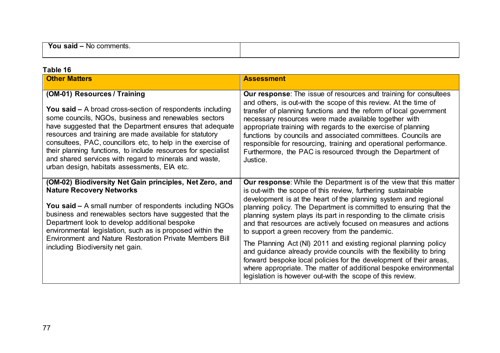| 'OL<br>NO <sub>2</sub><br>comments.<br><b>sald</b>                              |  |
|---------------------------------------------------------------------------------|--|
| the contract of the contract of the contract of the contract of the contract of |  |
|                                                                                 |  |

| Table 16                                                                                                                                                                                                                                                                                                                                                                                                                                                                                                                   |                                                                                                                                                                                                                                                                                                                                                                                                                                                                                                                                                                                                                         |
|----------------------------------------------------------------------------------------------------------------------------------------------------------------------------------------------------------------------------------------------------------------------------------------------------------------------------------------------------------------------------------------------------------------------------------------------------------------------------------------------------------------------------|-------------------------------------------------------------------------------------------------------------------------------------------------------------------------------------------------------------------------------------------------------------------------------------------------------------------------------------------------------------------------------------------------------------------------------------------------------------------------------------------------------------------------------------------------------------------------------------------------------------------------|
| <b>Other Matters</b>                                                                                                                                                                                                                                                                                                                                                                                                                                                                                                       | <b>Assessment</b>                                                                                                                                                                                                                                                                                                                                                                                                                                                                                                                                                                                                       |
| (OM-01) Resources / Training<br><b>You said –</b> A broad cross-section of respondents including<br>some councils, NGOs, business and renewables sectors<br>have suggested that the Department ensures that adequate<br>resources and training are made available for statutory<br>consultees, PAC, councillors etc, to help in the exercise of<br>their planning functions, to include resources for specialist<br>and shared services with regard to minerals and waste,<br>urban design, habitats assessments, EIA etc. | <b>Our response:</b> The issue of resources and training for consultees<br>and others, is out-with the scope of this review. At the time of<br>transfer of planning functions and the reform of local government<br>necessary resources were made available together with<br>appropriate training with regards to the exercise of planning<br>functions by councils and associated committees. Councils are<br>responsible for resourcing, training and operational performance.<br>Furthermore, the PAC is resourced through the Department of<br>Justice.                                                             |
| (OM-02) Biodiversity Net Gain principles, Net Zero, and<br><b>Nature Recovery Networks</b><br><b>You said –</b> A small number of respondents including NGOs<br>business and renewables sectors have suggested that the<br>Department look to develop additional bespoke<br>environmental legislation, such as is proposed within the<br>Environment and Nature Restoration Private Members Bill<br>including Biodiversity net gain.                                                                                       | <b>Our response:</b> While the Department is of the view that this matter<br>is out-with the scope of this review, furthering sustainable<br>development is at the heart of the planning system and regional<br>planning policy. The Department is committed to ensuring that the<br>planning system plays its part in responding to the climate crisis<br>and that resources are actively focused on measures and actions<br>to support a green recovery from the pandemic.<br>The Planning Act (NI) 2011 and existing regional planning policy<br>and guidance already provide councils with the flexibility to bring |
|                                                                                                                                                                                                                                                                                                                                                                                                                                                                                                                            | forward bespoke local policies for the development of their areas,<br>where appropriate. The matter of additional bespoke environmental<br>legislation is however out-with the scope of this review.                                                                                                                                                                                                                                                                                                                                                                                                                    |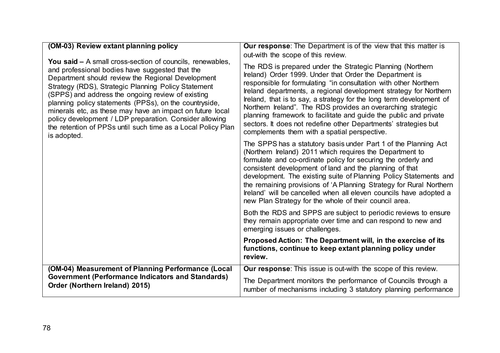| (OM-03) Review extant planning policy                                                                                                                                                                                                                                                                                                                                                                                                                                                                                                                 | <b>Our response:</b> The Department is of the view that this matter is                                                                                                                                                                                                                                                                                                                                                                                                                                                                                                                         |
|-------------------------------------------------------------------------------------------------------------------------------------------------------------------------------------------------------------------------------------------------------------------------------------------------------------------------------------------------------------------------------------------------------------------------------------------------------------------------------------------------------------------------------------------------------|------------------------------------------------------------------------------------------------------------------------------------------------------------------------------------------------------------------------------------------------------------------------------------------------------------------------------------------------------------------------------------------------------------------------------------------------------------------------------------------------------------------------------------------------------------------------------------------------|
|                                                                                                                                                                                                                                                                                                                                                                                                                                                                                                                                                       | out-with the scope of this review.                                                                                                                                                                                                                                                                                                                                                                                                                                                                                                                                                             |
| <b>You said –</b> A small cross-section of councils, renewables,<br>and professional bodies have suggested that the<br>Department should review the Regional Development<br>Strategy (RDS), Strategic Planning Policy Statement<br>(SPPS) and address the ongoing review of existing<br>planning policy statements (PPSs), on the countryside,<br>minerals etc, as these may have an impact on future local<br>policy development / LDP preparation. Consider allowing<br>the retention of PPSs until such time as a Local Policy Plan<br>is adopted. | The RDS is prepared under the Strategic Planning (Northern<br>Ireland) Order 1999. Under that Order the Department is<br>responsible for formulating "in consultation with other Northern<br>Ireland departments, a regional development strategy for Northern<br>Ireland, that is to say, a strategy for the long term development of<br>Northern Ireland". The RDS provides an overarching strategic<br>planning framework to facilitate and guide the public and private<br>sectors. It does not redefine other Departments' strategies but<br>complements them with a spatial perspective. |
|                                                                                                                                                                                                                                                                                                                                                                                                                                                                                                                                                       | The SPPS has a statutory basis under Part 1 of the Planning Act<br>(Northern Ireland) 2011 which requires the Department to<br>formulate and co-ordinate policy for securing the orderly and<br>consistent development of land and the planning of that<br>development. The existing suite of Planning Policy Statements and<br>the remaining provisions of 'A Planning Strategy for Rural Northern<br>Ireland' will be cancelled when all eleven councils have adopted a<br>new Plan Strategy for the whole of their council area.                                                            |
|                                                                                                                                                                                                                                                                                                                                                                                                                                                                                                                                                       | Both the RDS and SPPS are subject to periodic reviews to ensure<br>they remain appropriate over time and can respond to new and<br>emerging issues or challenges.                                                                                                                                                                                                                                                                                                                                                                                                                              |
|                                                                                                                                                                                                                                                                                                                                                                                                                                                                                                                                                       | Proposed Action: The Department will, in the exercise of its<br>functions, continue to keep extant planning policy under<br>review.                                                                                                                                                                                                                                                                                                                                                                                                                                                            |
| (OM-04) Measurement of Planning Performance (Local                                                                                                                                                                                                                                                                                                                                                                                                                                                                                                    | Our response: This issue is out-with the scope of this review.                                                                                                                                                                                                                                                                                                                                                                                                                                                                                                                                 |
| <b>Government (Performance Indicators and Standards)</b><br>Order (Northern Ireland) 2015)                                                                                                                                                                                                                                                                                                                                                                                                                                                            | The Department monitors the performance of Councils through a<br>number of mechanisms including 3 statutory planning performance                                                                                                                                                                                                                                                                                                                                                                                                                                                               |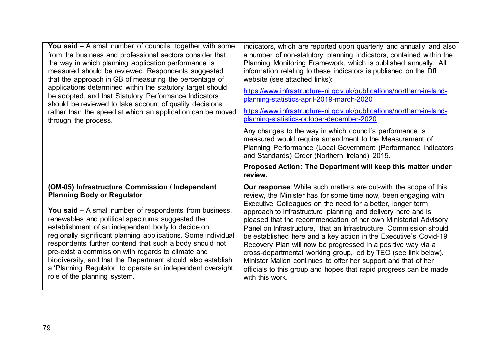| <b>You said –</b> A small number of councils, together with some<br>from the business and professional sectors consider that<br>the way in which planning application performance is<br>measured should be reviewed. Respondents suggested<br>that the approach in GB of measuring the percentage of<br>applications determined within the statutory target should<br>be adopted, and that Statutory Performance Indicators<br>should be reviewed to take account of quality decisions<br>rather than the speed at which an application can be moved<br>through the process.                                   | indicators, which are reported upon quarterly and annually and also<br>a number of non-statutory planning indicators, contained within the<br>Planning Monitoring Framework, which is published annually. All<br>information relating to these indicators is published on the Dfl<br>website (see attached links):<br>https://www.infrastructure-ni.gov.uk/publications/northern-ireland-<br>planning-statistics-april-2019-march-2020<br>https://www.infrastructure-ni.gov.uk/publications/northern-ireland-<br>planning-statistics-october-december-2020<br>Any changes to the way in which council's performance is<br>measured would require amendment to the Measurement of<br>Planning Performance (Local Government (Performance Indicators<br>and Standards) Order (Northern Ireland) 2015.<br>Proposed Action: The Department will keep this matter under<br>review. |
|----------------------------------------------------------------------------------------------------------------------------------------------------------------------------------------------------------------------------------------------------------------------------------------------------------------------------------------------------------------------------------------------------------------------------------------------------------------------------------------------------------------------------------------------------------------------------------------------------------------|-------------------------------------------------------------------------------------------------------------------------------------------------------------------------------------------------------------------------------------------------------------------------------------------------------------------------------------------------------------------------------------------------------------------------------------------------------------------------------------------------------------------------------------------------------------------------------------------------------------------------------------------------------------------------------------------------------------------------------------------------------------------------------------------------------------------------------------------------------------------------------|
| (OM-05) Infrastructure Commission / Independent<br><b>Planning Body or Regulator</b><br><b>You said –</b> A small number of respondents from business,<br>renewables and political spectrums suggested the<br>establishment of an independent body to decide on<br>regionally significant planning applications. Some individual<br>respondents further contend that such a body should not<br>pre-exist a commission with regards to climate and<br>biodiversity, and that the Department should also establish<br>a 'Planning Regulator' to operate an independent oversight<br>role of the planning system. | Our response: While such matters are out-with the scope of this<br>review, the Minister has for some time now, been engaging with<br>Executive Colleagues on the need for a better, longer term<br>approach to infrastructure planning and delivery here and is<br>pleased that the recommendation of her own Ministerial Advisory<br>Panel on Infrastructure, that an Infrastructure Commission should<br>be established here and a key action in the Executive's Covid-19<br>Recovery Plan will now be progressed in a positive way via a<br>cross-departmental working group, led by TEO (see link below).<br>Minister Mallon continues to offer her support and that of her<br>officials to this group and hopes that rapid progress can be made<br>with this work.                                                                                                       |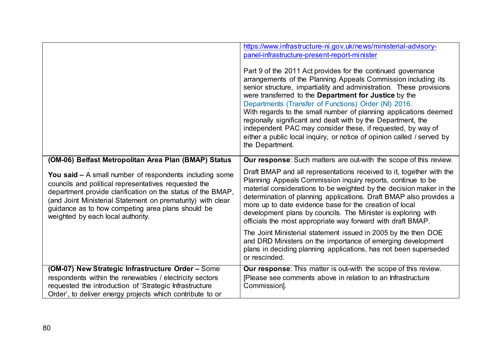|                                                                                                                                                                                                                                                                                                                                                | https://www.infrastructure-ni.gov.uk/news/ministerial-advisory-<br>panel-infrastructure-present-report-minister<br>Part 9 of the 2011 Act provides for the continued governance<br>arrangements of the Planning Appeals Commission including its<br>senior structure, impartiality and administration. These provisions<br>were transferred to the Department for Justice by the<br>Departments (Transfer of Functions) Order (NI) 2016.<br>With regards to the small number of planning applications deemed<br>regionally significant and dealt with by the Department, the<br>independent PAC may consider these, if requested, by way of<br>either a public local inquiry, or notice of opinion called / served by<br>the Department. |
|------------------------------------------------------------------------------------------------------------------------------------------------------------------------------------------------------------------------------------------------------------------------------------------------------------------------------------------------|------------------------------------------------------------------------------------------------------------------------------------------------------------------------------------------------------------------------------------------------------------------------------------------------------------------------------------------------------------------------------------------------------------------------------------------------------------------------------------------------------------------------------------------------------------------------------------------------------------------------------------------------------------------------------------------------------------------------------------------|
| (OM-06) Belfast Metropolitan Area Plan (BMAP) Status                                                                                                                                                                                                                                                                                           | Our response: Such matters are out-with the scope of this review.                                                                                                                                                                                                                                                                                                                                                                                                                                                                                                                                                                                                                                                                        |
| <b>You said - A small number of respondents including some</b><br>councils and political representatives requested the<br>department provide clarification on the status of the BMAP,<br>(and Joint Ministerial Statement on prematurity) with clear<br>guidance as to how competing area plans should be<br>weighted by each local authority. | Draft BMAP and all representations received to it, together with the<br>Planning Appeals Commission inquiry reports, continue to be<br>material considerations to be weighted by the decision maker in the<br>determination of planning applications. Draft BMAP also provides a<br>more up to date evidence base for the creation of local<br>development plans by councils. The Minister is exploring with<br>officials the most appropriate way forward with draft BMAP.                                                                                                                                                                                                                                                              |
|                                                                                                                                                                                                                                                                                                                                                | The Joint Ministerial statement issued in 2005 by the then DOE<br>and DRD Ministers on the importance of emerging development<br>plans in deciding planning applications, has not been superseded<br>or rescinded.                                                                                                                                                                                                                                                                                                                                                                                                                                                                                                                       |
| (OM-07) New Strategic Infrastructure Order - Some<br>respondents within the renewables / electricity sectors<br>requested the introduction of 'Strategic Infrastructure<br>Order', to deliver energy projects which contribute to or                                                                                                           | Our response: This matter is out-with the scope of this review.<br>[Please see comments above in relation to an Infrastructure<br>Commission].                                                                                                                                                                                                                                                                                                                                                                                                                                                                                                                                                                                           |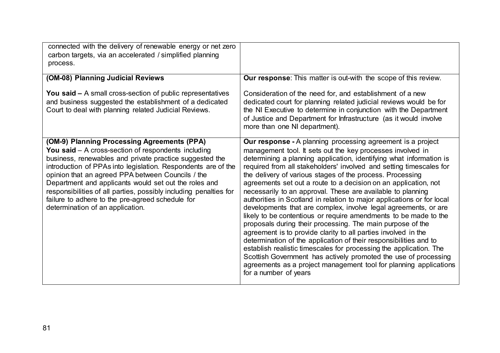| connected with the delivery of renewable energy or net zero<br>carbon targets, via an accelerated / simplified planning<br>process.                                                                                                                                                                                                                                                                                                                                                                         |                                                                                                                                                                                                                                                                                                                                                                                                                                                                                                                                                                                                                                                                                                                                                                                                                                                                                                                                                                                                                                                                                                                                     |
|-------------------------------------------------------------------------------------------------------------------------------------------------------------------------------------------------------------------------------------------------------------------------------------------------------------------------------------------------------------------------------------------------------------------------------------------------------------------------------------------------------------|-------------------------------------------------------------------------------------------------------------------------------------------------------------------------------------------------------------------------------------------------------------------------------------------------------------------------------------------------------------------------------------------------------------------------------------------------------------------------------------------------------------------------------------------------------------------------------------------------------------------------------------------------------------------------------------------------------------------------------------------------------------------------------------------------------------------------------------------------------------------------------------------------------------------------------------------------------------------------------------------------------------------------------------------------------------------------------------------------------------------------------------|
| (OM-08) Planning Judicial Reviews                                                                                                                                                                                                                                                                                                                                                                                                                                                                           | Our response: This matter is out-with the scope of this review.                                                                                                                                                                                                                                                                                                                                                                                                                                                                                                                                                                                                                                                                                                                                                                                                                                                                                                                                                                                                                                                                     |
| <b>You said –</b> A small cross-section of public representatives<br>and business suggested the establishment of a dedicated<br>Court to deal with planning related Judicial Reviews.                                                                                                                                                                                                                                                                                                                       | Consideration of the need for, and establishment of a new<br>dedicated court for planning related judicial reviews would be for<br>the NI Executive to determine in conjunction with the Department<br>of Justice and Department for Infrastructure (as it would involve<br>more than one NI department).                                                                                                                                                                                                                                                                                                                                                                                                                                                                                                                                                                                                                                                                                                                                                                                                                           |
| (OM-9) Planning Processing Agreements (PPA)<br>You said $-$ A cross-section of respondents including<br>business, renewables and private practice suggested the<br>introduction of PPAs into legislation. Respondents are of the<br>opinion that an agreed PPA between Councils / the<br>Department and applicants would set out the roles and<br>responsibilities of all parties, possibly including penalties for<br>failure to adhere to the pre-agreed schedule for<br>determination of an application. | Our response - A planning processing agreement is a project<br>management tool. It sets out the key processes involved in<br>determining a planning application, identifying what information is<br>required from all stakeholders' involved and setting timescales for<br>the delivery of various stages of the process. Processing<br>agreements set out a route to a decision on an application, not<br>necessarily to an approval. These are available to planning<br>authorities in Scotland in relation to major applications or for local<br>developments that are complex, involve legal agreements, or are<br>likely to be contentious or require amendments to be made to the<br>proposals during their processing. The main purpose of the<br>agreement is to provide clarity to all parties involved in the<br>determination of the application of their responsibilities and to<br>establish realistic timescales for processing the application. The<br>Scottish Government has actively promoted the use of processing<br>agreements as a project management tool for planning applications<br>for a number of years |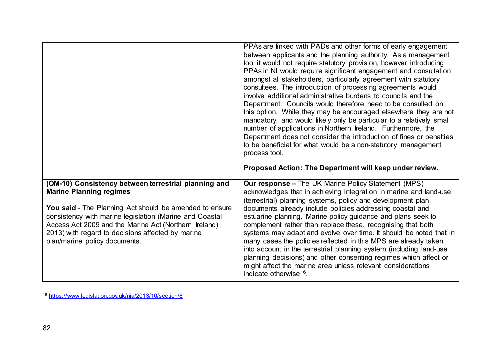<span id="page-85-0"></span>

|                                                                                                                                                                                                                                                                                                                                                             | PPAs are linked with PADs and other forms of early engagement<br>between applicants and the planning authority. As a management<br>tool it would not require statutory provision, however introducing<br>PPAs in NI would require significant engagement and consultation<br>amongst all stakeholders, particularly agreement with statutory<br>consultees. The introduction of processing agreements would<br>involve additional administrative burdens to councils and the<br>Department. Councils would therefore need to be consulted on<br>this option. While they may be encouraged elsewhere they are not<br>mandatory, and would likely only be particular to a relatively small<br>number of applications in Northern Ireland. Furthermore, the<br>Department does not consider the introduction of fines or penalties<br>to be beneficial for what would be a non-statutory management<br>process tool.<br>Proposed Action: The Department will keep under review. |
|-------------------------------------------------------------------------------------------------------------------------------------------------------------------------------------------------------------------------------------------------------------------------------------------------------------------------------------------------------------|------------------------------------------------------------------------------------------------------------------------------------------------------------------------------------------------------------------------------------------------------------------------------------------------------------------------------------------------------------------------------------------------------------------------------------------------------------------------------------------------------------------------------------------------------------------------------------------------------------------------------------------------------------------------------------------------------------------------------------------------------------------------------------------------------------------------------------------------------------------------------------------------------------------------------------------------------------------------------|
| (OM-10) Consistency between terrestrial planning and<br><b>Marine Planning regimes</b><br>You said - The Planning Act should be amended to ensure<br>consistency with marine legislation (Marine and Coastal<br>Access Act 2009 and the Marine Act (Northern Ireland)<br>2013) with regard to decisions affected by marine<br>plan/marine policy documents. | <b>Our response - The UK Marine Policy Statement (MPS)</b><br>acknowledges that in achieving integration in marine and land-use<br>(terrestrial) planning systems, policy and development plan<br>documents already include policies addressing coastal and<br>estuarine planning. Marine policy guidance and plans seek to<br>complement rather than replace these, recognising that both<br>systems may adapt and evolve over time. It should be noted that in<br>many cases the policies reflected in this MPS are already taken<br>into account in the terrestrial planning system (including land-use<br>planning decisions) and other consenting regimes which affect or                                                                                                                                                                                                                                                                                               |

<sup>&</sup>lt;u>.</u> <sup>16</sup> <https://www.legislation.gov.uk/nia/2013/10/section/8>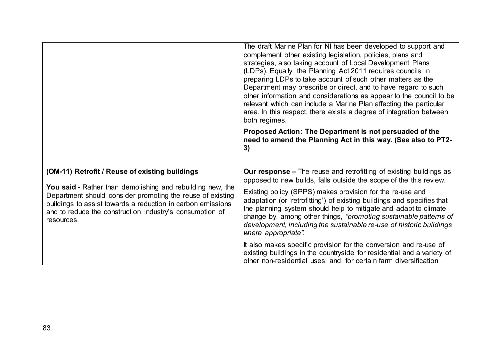|                                                                                                                                                                                                                                                                                                                     | The draft Marine Plan for NI has been developed to support and<br>complement other existing legislation, policies, plans and<br>strategies, also taking account of Local Development Plans<br>(LDPs). Equally, the Planning Act 2011 requires councils in<br>preparing LDPs to take account of such other matters as the<br>Department may prescribe or direct, and to have regard to such<br>other information and considerations as appear to the council to be<br>relevant which can include a Marine Plan affecting the particular<br>area. In this respect, there exists a degree of integration between<br>both regimes. |
|---------------------------------------------------------------------------------------------------------------------------------------------------------------------------------------------------------------------------------------------------------------------------------------------------------------------|--------------------------------------------------------------------------------------------------------------------------------------------------------------------------------------------------------------------------------------------------------------------------------------------------------------------------------------------------------------------------------------------------------------------------------------------------------------------------------------------------------------------------------------------------------------------------------------------------------------------------------|
|                                                                                                                                                                                                                                                                                                                     | Proposed Action: The Department is not persuaded of the<br>need to amend the Planning Act in this way. (See also to PT2-<br>3)                                                                                                                                                                                                                                                                                                                                                                                                                                                                                                 |
| (OM-11) Retrofit / Reuse of existing buildings<br>You said - Rather than demolishing and rebuilding new, the<br>Department should consider promoting the reuse of existing<br>buildings to assist towards a reduction in carbon emissions<br>and to reduce the construction industry's consumption of<br>resources. | <b>Our response –</b> The reuse and retrofitting of existing buildings as<br>opposed to new builds, falls outside the scope of the this review.<br>Existing policy (SPPS) makes provision for the re-use and<br>adaptation (or 'retrofitting') of existing buildings and specifies that<br>the planning system should help to mitigate and adapt to climate<br>change by, among other things, "promoting sustainable patterns of<br>development, including the sustainable re-use of historic buildings<br>where appropriate".                                                                                                 |
|                                                                                                                                                                                                                                                                                                                     | It also makes specific provision for the conversion and re-use of<br>existing buildings in the countryside for residential and a variety of<br>other non-residential uses; and, for certain farm diversification                                                                                                                                                                                                                                                                                                                                                                                                               |

<u>.</u>